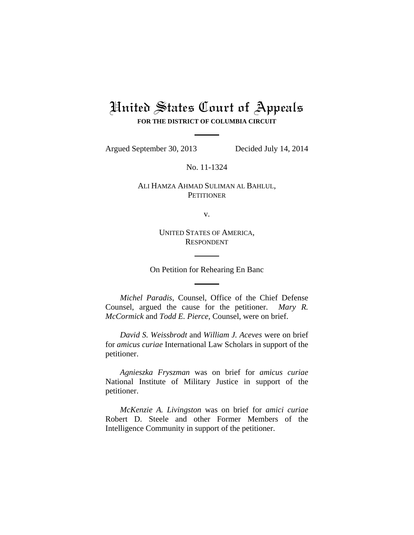# United States Court of Appeals **FOR THE DISTRICT OF COLUMBIA CIRCUIT**

Argued September 30, 2013 Decided July 14, 2014

No. 11-1324

# ALI HAMZA AHMAD SULIMAN AL BAHLUL, **PETITIONER**

v.

UNITED STATES OF AMERICA, RESPONDENT

On Petition for Rehearing En Banc

*Michel Paradis*, Counsel, Office of the Chief Defense Counsel, argued the cause for the petitioner. *Mary R. McCormick* and *Todd E. Pierce*, Counsel, were on brief.

*David S. Weissbrodt* and *William J. Aceves* were on brief for *amicus curiae* International Law Scholars in support of the petitioner.

*Agnieszka Fryszman* was on brief for *amicus curiae*  National Institute of Military Justice in support of the petitioner.

*McKenzie A. Livingston* was on brief for *amici curiae*  Robert D. Steele and other Former Members of the Intelligence Community in support of the petitioner.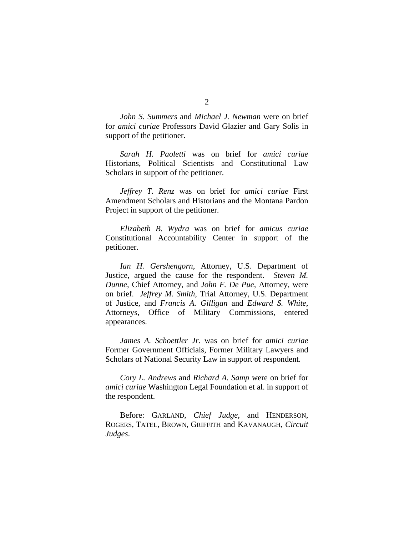*John S. Summers* and *Michael J. Newman* were on brief for *amici curiae* Professors David Glazier and Gary Solis in support of the petitioner.

*Sarah H. Paoletti* was on brief for *amici curiae*  Historians, Political Scientists and Constitutional Law Scholars in support of the petitioner.

*Jeffrey T. Renz* was on brief for *amici curiae* First Amendment Scholars and Historians and the Montana Pardon Project in support of the petitioner.

*Elizabeth B. Wydra* was on brief for *amicus curiae*  Constitutional Accountability Center in support of the petitioner.

*Ian H. Gershengorn*, Attorney, U.S. Department of Justice, argued the cause for the respondent. *Steven M. Dunne*, Chief Attorney, and *John F. De Pue*, Attorney, were on brief. *Jeffrey M. Smith*, Trial Attorney, U.S. Department of Justice, and *Francis A. Gilligan* and *Edward S. White*, Attorneys, Office of Military Commissions, entered appearances.

*James A. Schoettler Jr.* was on brief for *amici curiae*  Former Government Officials, Former Military Lawyers and Scholars of National Security Law in support of respondent.

*Cory L. Andrews* and *Richard A. Samp* were on brief for *amici curiae* Washington Legal Foundation et al. in support of the respondent.

Before: GARLAND, *Chief Judge*, and HENDERSON, ROGERS, TATEL, BROWN, GRIFFITH and KAVANAUGH, *Circuit Judges*.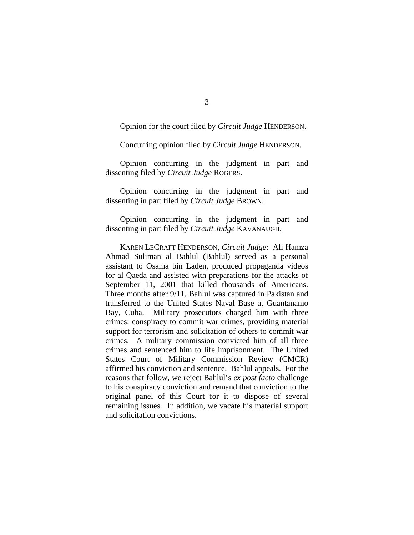Opinion for the court filed by *Circuit Judge* HENDERSON.

Concurring opinion filed by *Circuit Judge* HENDERSON.

Opinion concurring in the judgment in part and dissenting filed by *Circuit Judge* ROGERS.

Opinion concurring in the judgment in part and dissenting in part filed by *Circuit Judge* BROWN.

Opinion concurring in the judgment in part and dissenting in part filed by *Circuit Judge* KAVANAUGH.

KAREN LECRAFT HENDERSON, *Circuit Judge*: Ali Hamza Ahmad Suliman al Bahlul (Bahlul) served as a personal assistant to Osama bin Laden, produced propaganda videos for al Qaeda and assisted with preparations for the attacks of September 11, 2001 that killed thousands of Americans. Three months after 9/11, Bahlul was captured in Pakistan and transferred to the United States Naval Base at Guantanamo Bay, Cuba. Military prosecutors charged him with three crimes: conspiracy to commit war crimes, providing material support for terrorism and solicitation of others to commit war crimes. A military commission convicted him of all three crimes and sentenced him to life imprisonment. The United States Court of Military Commission Review (CMCR) affirmed his conviction and sentence. Bahlul appeals. For the reasons that follow, we reject Bahlul's *ex post facto* challenge to his conspiracy conviction and remand that conviction to the original panel of this Court for it to dispose of several remaining issues. In addition, we vacate his material support and solicitation convictions.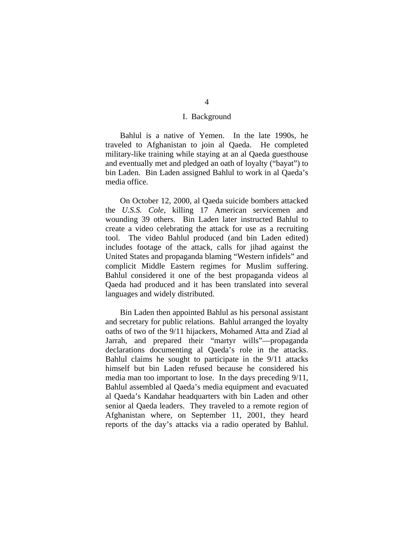## I. Background

Bahlul is a native of Yemen. In the late 1990s, he traveled to Afghanistan to join al Qaeda. He completed military-like training while staying at an al Qaeda guesthouse and eventually met and pledged an oath of loyalty ("bayat") to bin Laden. Bin Laden assigned Bahlul to work in al Qaeda's media office.

On October 12, 2000, al Qaeda suicide bombers attacked the *U.S.S. Cole*, killing 17 American servicemen and wounding 39 others. Bin Laden later instructed Bahlul to create a video celebrating the attack for use as a recruiting tool. The video Bahlul produced (and bin Laden edited) includes footage of the attack, calls for jihad against the United States and propaganda blaming "Western infidels" and complicit Middle Eastern regimes for Muslim suffering. Bahlul considered it one of the best propaganda videos al Qaeda had produced and it has been translated into several languages and widely distributed.

Bin Laden then appointed Bahlul as his personal assistant and secretary for public relations. Bahlul arranged the loyalty oaths of two of the 9/11 hijackers, Mohamed Atta and Ziad al Jarrah, and prepared their "martyr wills"—propaganda declarations documenting al Qaeda's role in the attacks. Bahlul claims he sought to participate in the 9/11 attacks himself but bin Laden refused because he considered his media man too important to lose. In the days preceding 9/11, Bahlul assembled al Qaeda's media equipment and evacuated al Qaeda's Kandahar headquarters with bin Laden and other senior al Qaeda leaders. They traveled to a remote region of Afghanistan where, on September 11, 2001, they heard reports of the day's attacks via a radio operated by Bahlul.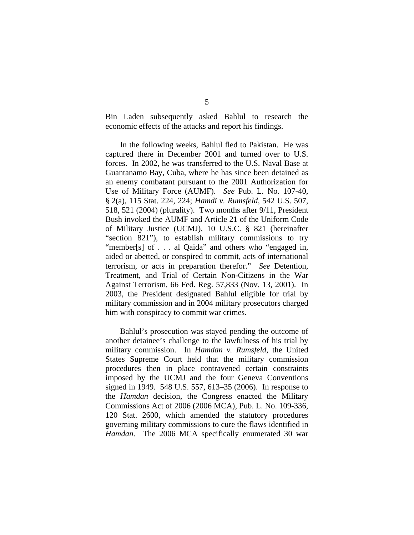Bin Laden subsequently asked Bahlul to research the economic effects of the attacks and report his findings.

In the following weeks, Bahlul fled to Pakistan. He was captured there in December 2001 and turned over to U.S. forces. In 2002, he was transferred to the U.S. Naval Base at Guantanamo Bay, Cuba, where he has since been detained as an enemy combatant pursuant to the 2001 Authorization for Use of Military Force (AUMF). *See* Pub. L. No. 107-40, § 2(a), 115 Stat. 224, 224; *Hamdi v. Rumsfeld*, 542 U.S. 507, 518, 521 (2004) (plurality). Two months after 9/11, President Bush invoked the AUMF and Article 21 of the Uniform Code of Military Justice (UCMJ), 10 U.S.C. § 821 (hereinafter "section 821"), to establish military commissions to try "member[s] of . . . al Qaida" and others who "engaged in, aided or abetted, or conspired to commit, acts of international terrorism, or acts in preparation therefor." *See* Detention, Treatment, and Trial of Certain Non-Citizens in the War Against Terrorism, 66 Fed. Reg. 57,833 (Nov. 13, 2001). In 2003, the President designated Bahlul eligible for trial by military commission and in 2004 military prosecutors charged him with conspiracy to commit war crimes.

 Bahlul's prosecution was stayed pending the outcome of another detainee's challenge to the lawfulness of his trial by military commission. In *Hamdan v. Rumsfeld*, the United States Supreme Court held that the military commission procedures then in place contravened certain constraints imposed by the UCMJ and the four Geneva Conventions signed in 1949. 548 U.S. 557, 613–35 (2006). In response to the *Hamdan* decision, the Congress enacted the Military Commissions Act of 2006 (2006 MCA), Pub. L. No. 109-336, 120 Stat. 2600, which amended the statutory procedures governing military commissions to cure the flaws identified in *Hamdan*. The 2006 MCA specifically enumerated 30 war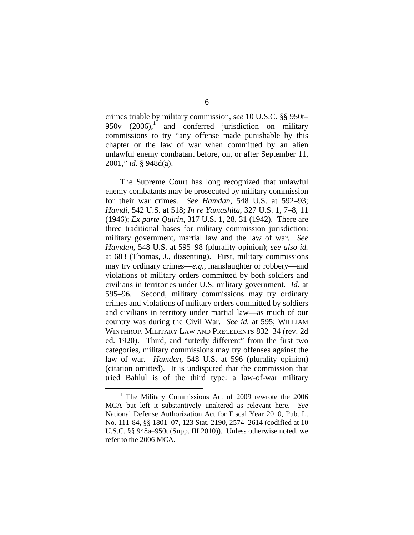crimes triable by military commission, *see* 10 U.S.C. §§ 950t–  $950v$   $(2006)$ ,<sup>1</sup> and conferred jurisdiction on military commissions to try "any offense made punishable by this chapter or the law of war when committed by an alien unlawful enemy combatant before, on, or after September 11, 2001," *id.* § 948d(a).

 The Supreme Court has long recognized that unlawful enemy combatants may be prosecuted by military commission for their war crimes. *See Hamdan*, 548 U.S. at 592–93; *Hamdi*, 542 U.S. at 518; *In re Yamashita*, 327 U.S. 1, 7–8, 11 (1946); *Ex parte Quirin*, 317 U.S. 1, 28, 31 (1942). There are three traditional bases for military commission jurisdiction: military government, martial law and the law of war. *See Hamdan*, 548 U.S. at 595–98 (plurality opinion); *see also id.* at 683 (Thomas, J., dissenting). First, military commissions may try ordinary crimes—*e.g.*, manslaughter or robbery—and violations of military orders committed by both soldiers and civilians in territories under U.S. military government. *Id.* at 595–96. Second, military commissions may try ordinary crimes and violations of military orders committed by soldiers and civilians in territory under martial law—as much of our country was during the Civil War. *See id.* at 595; WILLIAM WINTHROP, MILITARY LAW AND PRECEDENTS 832–34 (rev. 2d ed. 1920). Third, and "utterly different" from the first two categories, military commissions may try offenses against the law of war. *Hamdan*, 548 U.S. at 596 (plurality opinion) (citation omitted). It is undisputed that the commission that tried Bahlul is of the third type: a law-of-war military

6

 <sup>1</sup>  $1$  The Military Commissions Act of 2009 rewrote the 2006 MCA but left it substantively unaltered as relevant here. *See*  National Defense Authorization Act for Fiscal Year 2010, Pub. L. No. 111-84, §§ 1801–07, 123 Stat. 2190, 2574–2614 (codified at 10 U.S.C. §§ 948a–950t (Supp. III 2010)). Unless otherwise noted, we refer to the 2006 MCA.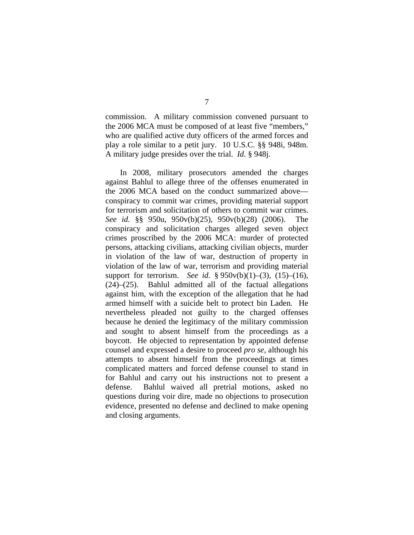commission. A military commission convened pursuant to the 2006 MCA must be composed of at least five "members," who are qualified active duty officers of the armed forces and play a role similar to a petit jury. 10 U.S.C. §§ 948i, 948m. A military judge presides over the trial. *Id.* § 948j.

 In 2008, military prosecutors amended the charges against Bahlul to allege three of the offenses enumerated in the 2006 MCA based on the conduct summarized above conspiracy to commit war crimes, providing material support for terrorism and solicitation of others to commit war crimes. *See id.* §§ 950u, 950v(b)(25), 950v(b)(28) (2006). The conspiracy and solicitation charges alleged seven object crimes proscribed by the 2006 MCA: murder of protected persons, attacking civilians, attacking civilian objects, murder in violation of the law of war, destruction of property in violation of the law of war, terrorism and providing material support for terrorism. *See id.* § 950v(b)(1)–(3), (15)–(16), (24)–(25). Bahlul admitted all of the factual allegations against him, with the exception of the allegation that he had armed himself with a suicide belt to protect bin Laden. He nevertheless pleaded not guilty to the charged offenses because he denied the legitimacy of the military commission and sought to absent himself from the proceedings as a boycott. He objected to representation by appointed defense counsel and expressed a desire to proceed *pro se*, although his attempts to absent himself from the proceedings at times complicated matters and forced defense counsel to stand in for Bahlul and carry out his instructions not to present a defense. Bahlul waived all pretrial motions, asked no questions during voir dire, made no objections to prosecution evidence, presented no defense and declined to make opening and closing arguments.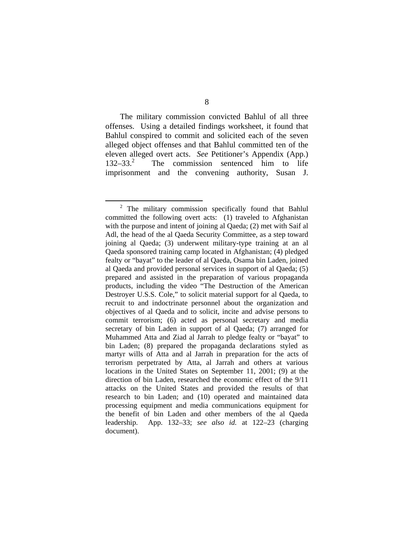The military commission convicted Bahlul of all three offenses. Using a detailed findings worksheet, it found that Bahlul conspired to commit and solicited each of the seven alleged object offenses and that Bahlul committed ten of the eleven alleged overt acts. *See* Petitioner's Appendix (App.)  $132 - 33<sup>2</sup>$  The commission sentenced him to life imprisonment and the convening authority, Susan J.

 <sup>2</sup>  $2$  The military commission specifically found that Bahlul committed the following overt acts: (1) traveled to Afghanistan with the purpose and intent of joining al Qaeda; (2) met with Saif al Adl, the head of the al Qaeda Security Committee, as a step toward joining al Qaeda; (3) underwent military-type training at an al Qaeda sponsored training camp located in Afghanistan; (4) pledged fealty or "bayat" to the leader of al Qaeda, Osama bin Laden, joined al Qaeda and provided personal services in support of al Qaeda; (5) prepared and assisted in the preparation of various propaganda products, including the video "The Destruction of the American Destroyer U.S.S. Cole," to solicit material support for al Qaeda, to recruit to and indoctrinate personnel about the organization and objectives of al Qaeda and to solicit, incite and advise persons to commit terrorism; (6) acted as personal secretary and media secretary of bin Laden in support of al Qaeda; (7) arranged for Muhammed Atta and Ziad al Jarrah to pledge fealty or "bayat" to bin Laden; (8) prepared the propaganda declarations styled as martyr wills of Atta and al Jarrah in preparation for the acts of terrorism perpetrated by Atta, al Jarrah and others at various locations in the United States on September 11, 2001; (9) at the direction of bin Laden, researched the economic effect of the 9/11 attacks on the United States and provided the results of that research to bin Laden; and (10) operated and maintained data processing equipment and media communications equipment for the benefit of bin Laden and other members of the al Qaeda leadership. App. 132–33; *see also id.* at 122–23 (charging document).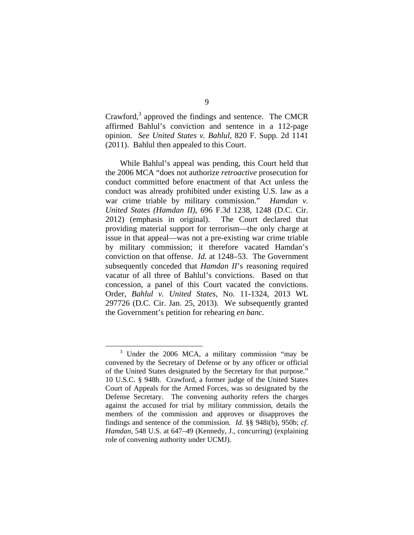Crawford, $3$  approved the findings and sentence. The CMCR affirmed Bahlul's conviction and sentence in a 112-page opinion. *See United States v. Bahlul*, 820 F. Supp. 2d 1141 (2011). Bahlul then appealed to this Court.

While Bahlul's appeal was pending, this Court held that the 2006 MCA "does not authorize *retroactive* prosecution for conduct committed before enactment of that Act unless the conduct was already prohibited under existing U.S. law as a war crime triable by military commission." *Hamdan v. United States (Hamdan II)*, 696 F.3d 1238, 1248 (D.C. Cir. 2012) (emphasis in original). The Court declared that providing material support for terrorism—the only charge at issue in that appeal—was not a pre-existing war crime triable by military commission; it therefore vacated Hamdan's conviction on that offense. *Id.* at 1248–53. The Government subsequently conceded that *Hamdan II*'s reasoning required vacatur of all three of Bahlul's convictions. Based on that concession, a panel of this Court vacated the convictions. Order, *Bahlul v. United States*, No. 11-1324, 2013 WL 297726 (D.C. Cir. Jan. 25, 2013). We subsequently granted the Government's petition for rehearing *en banc*.

 $\frac{1}{3}$  $3$  Under the 2006 MCA, a military commission "may be convened by the Secretary of Defense or by any officer or official of the United States designated by the Secretary for that purpose." 10 U.S.C. § 948h. Crawford, a former judge of the United States Court of Appeals for the Armed Forces, was so designated by the Defense Secretary. The convening authority refers the charges against the accused for trial by military commission, details the members of the commission and approves or disapproves the findings and sentence of the commission. *Id.* §§ 948i(b), 950b; *cf. Hamdan*, 548 U.S. at 647–49 (Kennedy, J., concurring) (explaining role of convening authority under UCMJ).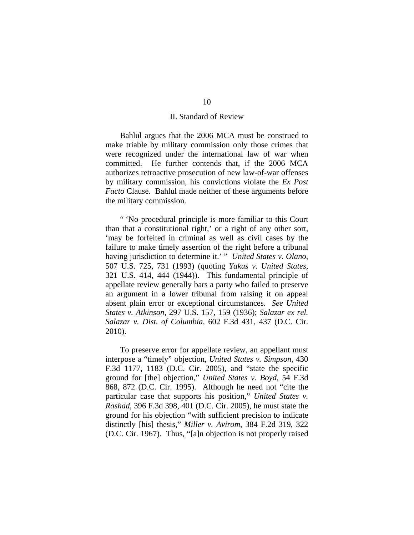## II. Standard of Review

Bahlul argues that the 2006 MCA must be construed to make triable by military commission only those crimes that were recognized under the international law of war when committed. He further contends that, if the 2006 MCA authorizes retroactive prosecution of new law-of-war offenses by military commission, his convictions violate the *Ex Post Facto* Clause. Bahlul made neither of these arguments before the military commission.

" 'No procedural principle is more familiar to this Court than that a constitutional right,' or a right of any other sort, 'may be forfeited in criminal as well as civil cases by the failure to make timely assertion of the right before a tribunal having jurisdiction to determine it.' " *United States v. Olano*, 507 U.S. 725, 731 (1993) (quoting *Yakus v. United States*, 321 U.S. 414, 444 (1944)). This fundamental principle of appellate review generally bars a party who failed to preserve an argument in a lower tribunal from raising it on appeal absent plain error or exceptional circumstances. *See United States v. Atkinson*, 297 U.S. 157, 159 (1936); *Salazar ex rel. Salazar v. Dist. of Columbia*, 602 F.3d 431, 437 (D.C. Cir. 2010).

To preserve error for appellate review, an appellant must interpose a "timely" objection, *United States v. Simpson*, 430 F.3d 1177, 1183 (D.C. Cir. 2005), and "state the specific ground for [the] objection," *United States v. Boyd*, 54 F.3d 868, 872 (D.C. Cir. 1995). Although he need not "cite the particular case that supports his position," *United States v. Rashad*, 396 F.3d 398, 401 (D.C. Cir. 2005), he must state the ground for his objection "with sufficient precision to indicate distinctly [his] thesis," *Miller v. Avirom*, 384 F.2d 319, 322 (D.C. Cir. 1967). Thus, "[a]n objection is not properly raised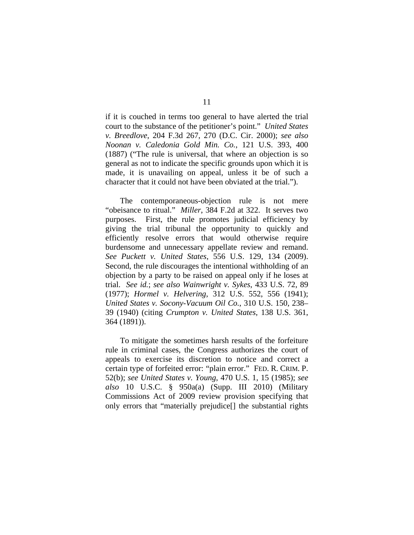if it is couched in terms too general to have alerted the trial court to the substance of the petitioner's point." *United States v. Breedlove*, 204 F.3d 267, 270 (D.C. Cir. 2000); *see also Noonan v. Caledonia Gold Min. Co.*, 121 U.S. 393, 400 (1887) ("The rule is universal, that where an objection is so general as not to indicate the specific grounds upon which it is made, it is unavailing on appeal, unless it be of such a character that it could not have been obviated at the trial.").

The contemporaneous-objection rule is not mere "obeisance to ritual." *Miller*, 384 F.2d at 322. It serves two purposes. First, the rule promotes judicial efficiency by giving the trial tribunal the opportunity to quickly and efficiently resolve errors that would otherwise require burdensome and unnecessary appellate review and remand. *See Puckett v. United States*, 556 U.S. 129, 134 (2009). Second, the rule discourages the intentional withholding of an objection by a party to be raised on appeal only if he loses at trial. *See id.*; *see also Wainwright v. Sykes*, 433 U.S. 72, 89 (1977); *Hormel v. Helvering*, 312 U.S. 552, 556 (1941); *United States v. Socony-Vacuum Oil Co.*, 310 U.S. 150, 238– 39 (1940) (citing *Crumpton v. United States*, 138 U.S. 361, 364 (1891)).

To mitigate the sometimes harsh results of the forfeiture rule in criminal cases, the Congress authorizes the court of appeals to exercise its discretion to notice and correct a certain type of forfeited error: "plain error." FED. R. CRIM. P. 52(b); *see United States v. Young*, 470 U.S. 1, 15 (1985); *see also* 10 U.S.C. § 950a(a) (Supp. III 2010) (Military Commissions Act of 2009 review provision specifying that only errors that "materially prejudice[] the substantial rights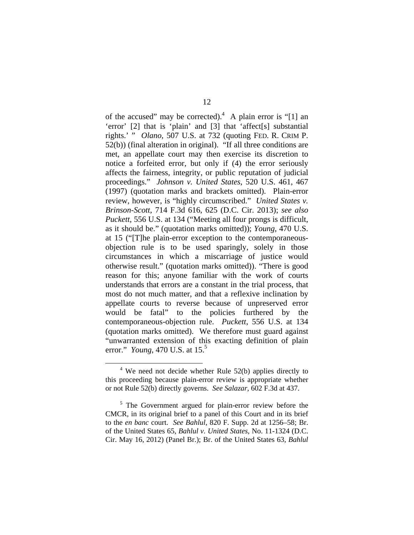of the accused" may be corrected).<sup>4</sup> A plain error is "[1] an 'error' [2] that is 'plain' and [3] that 'affect[s] substantial rights.' " *Olano*, 507 U.S. at 732 (quoting FED. R. CRIM P. 52(b)) (final alteration in original). "If all three conditions are met, an appellate court may then exercise its discretion to notice a forfeited error, but only if (4) the error seriously affects the fairness, integrity, or public reputation of judicial proceedings." *Johnson v. United States*, 520 U.S. 461, 467 (1997) (quotation marks and brackets omitted). Plain-error review, however, is "highly circumscribed." *United States v. Brinson-Scott*, 714 F.3d 616, 625 (D.C. Cir. 2013); *see also Puckett*, 556 U.S. at 134 ("Meeting all four prongs is difficult, as it should be." (quotation marks omitted)); *Young*, 470 U.S. at 15 ("[T]he plain-error exception to the contemporaneousobjection rule is to be used sparingly, solely in those circumstances in which a miscarriage of justice would otherwise result." (quotation marks omitted)). "There is good reason for this; anyone familiar with the work of courts understands that errors are a constant in the trial process, that most do not much matter, and that a reflexive inclination by appellate courts to reverse because of unpreserved error would be fatal" to the policies furthered by the contemporaneous-objection rule. *Puckett*, 556 U.S. at 134 (quotation marks omitted). We therefore must guard against "unwarranted extension of this exacting definition of plain error." *Young*, 470 U.S. at 15.5

<sup>&</sup>lt;sup>4</sup> We need not decide whether Rule 52(b) applies directly to this proceeding because plain-error review is appropriate whether or not Rule 52(b) directly governs. *See Salazar*, 602 F.3d at 437.

<sup>&</sup>lt;sup>5</sup> The Government argued for plain-error review before the CMCR, in its original brief to a panel of this Court and in its brief to the *en banc* court. *See Bahlul*, 820 F. Supp. 2d at 1256–58; Br. of the United States 65, *Bahlul v. United States*, No. 11-1324 (D.C. Cir. May 16, 2012) (Panel Br.); Br. of the United States 63, *Bahlul*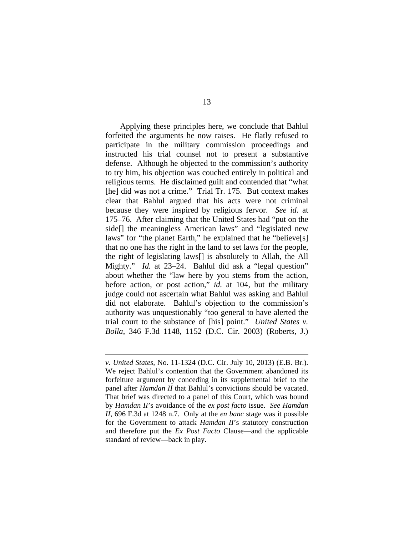Applying these principles here, we conclude that Bahlul forfeited the arguments he now raises. He flatly refused to participate in the military commission proceedings and instructed his trial counsel not to present a substantive defense. Although he objected to the commission's authority to try him, his objection was couched entirely in political and religious terms. He disclaimed guilt and contended that "what [he] did was not a crime." Trial Tr. 175. But context makes clear that Bahlul argued that his acts were not criminal because they were inspired by religious fervor. *See id.* at 175–76. After claiming that the United States had "put on the side[] the meaningless American laws" and "legislated new laws" for "the planet Earth," he explained that he "believe[s] that no one has the right in the land to set laws for the people, the right of legislating laws[] is absolutely to Allah, the All Mighty." *Id.* at 23–24. Bahlul did ask a "legal question" about whether the "law here by you stems from the action, before action, or post action," *id.* at 104, but the military judge could not ascertain what Bahlul was asking and Bahlul did not elaborate. Bahlul's objection to the commission's authority was unquestionably "too general to have alerted the trial court to the substance of [his] point." *United States v. Bolla*, 346 F.3d 1148, 1152 (D.C. Cir. 2003) (Roberts, J.)

 $\overline{a}$ 

*v. United States*, No. 11-1324 (D.C. Cir. July 10, 2013) (E.B. Br.). We reject Bahlul's contention that the Government abandoned its forfeiture argument by conceding in its supplemental brief to the panel after *Hamdan II* that Bahlul's convictions should be vacated. That brief was directed to a panel of this Court, which was bound by *Hamdan II*'s avoidance of the *ex post facto* issue. *See Hamdan II*, 696 F.3d at 1248 n.7. Only at the *en banc* stage was it possible for the Government to attack *Hamdan II*'s statutory construction and therefore put the *Ex Post Facto* Clause—and the applicable standard of review—back in play.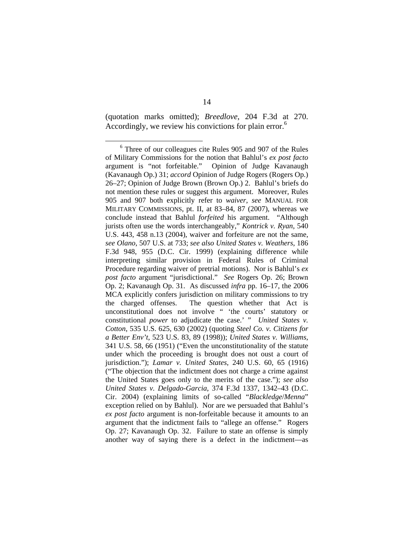(quotation marks omitted); *Breedlove*, 204 F.3d at 270. Accordingly, we review his convictions for plain error.<sup>6</sup>

 $\overline{6}$  Three of our colleagues cite Rules 905 and 907 of the Rules of Military Commissions for the notion that Bahlul's *ex post facto* argument is "not forfeitable." Opinion of Judge Kavanaugh (Kavanaugh Op.) 31; *accord* Opinion of Judge Rogers (Rogers Op.) 26–27; Opinion of Judge Brown (Brown Op.) 2. Bahlul's briefs do not mention these rules or suggest this argument. Moreover, Rules 905 and 907 both explicitly refer to *waiver*, *see* MANUAL FOR MILITARY COMMISSIONS, pt. II, at 83–84, 87 (2007), whereas we conclude instead that Bahlul *forfeited* his argument. "Although jurists often use the words interchangeably," *Kontrick v. Ryan*, 540 U.S. 443, 458 n.13 (2004), waiver and forfeiture are not the same, *see Olano*, 507 U.S. at 733; *see also United States v. Weathers*, 186 F.3d 948, 955 (D.C. Cir. 1999) (explaining difference while interpreting similar provision in Federal Rules of Criminal Procedure regarding waiver of pretrial motions). Nor is Bahlul's *ex post facto* argument "jurisdictional." *See* Rogers Op. 26; Brown Op. 2; Kavanaugh Op. 31. As discussed *infra* pp. 16–17, the 2006 MCA explicitly confers jurisdiction on military commissions to try the charged offenses. The question whether that Act is unconstitutional does not involve " 'the courts' statutory or constitutional *power* to adjudicate the case.' " *United States v. Cotton*, 535 U.S. 625, 630 (2002) (quoting *Steel Co. v. Citizens for a Better Env't*, 523 U.S. 83, 89 (1998)); *United States v. Williams*, 341 U.S. 58, 66 (1951) ("Even the unconstitutionality of the statute under which the proceeding is brought does not oust a court of jurisdiction."); *Lamar v. United States*, 240 U.S. 60, 65 (1916) ("The objection that the indictment does not charge a crime against the United States goes only to the merits of the case."); *see also United States v. Delgado-Garcia*, 374 F.3d 1337, 1342–43 (D.C. Cir. 2004) (explaining limits of so-called "*Blackledge*/*Menna*" exception relied on by Bahlul). Nor are we persuaded that Bahlul's *ex post facto* argument is non-forfeitable because it amounts to an argument that the indictment fails to "allege an offense." Rogers Op. 27; Kavanaugh Op. 32. Failure to state an offense is simply another way of saying there is a defect in the indictment—as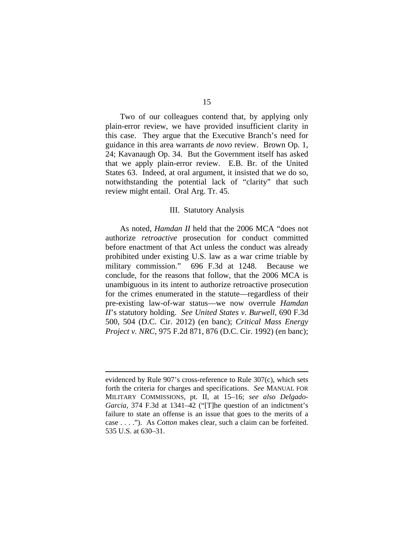Two of our colleagues contend that, by applying only plain-error review, we have provided insufficient clarity in this case. They argue that the Executive Branch's need for guidance in this area warrants *de novo* review. Brown Op. 1, 24; Kavanaugh Op. 34. But the Government itself has asked that we apply plain-error review. E.B. Br. of the United States 63. Indeed, at oral argument, it insisted that we do so, notwithstanding the potential lack of "clarity" that such review might entail. Oral Arg. Tr. 45.

#### III. Statutory Analysis

As noted, *Hamdan II* held that the 2006 MCA "does not authorize *retroactive* prosecution for conduct committed before enactment of that Act unless the conduct was already prohibited under existing U.S. law as a war crime triable by military commission." 696 F.3d at 1248. Because we conclude, for the reasons that follow, that the 2006 MCA is unambiguous in its intent to authorize retroactive prosecution for the crimes enumerated in the statute—regardless of their pre-existing law-of-war status—we now overrule *Hamdan II*'s statutory holding. *See United States v. Burwell*, 690 F.3d 500, 504 (D.C. Cir. 2012) (en banc); *Critical Mass Energy Project v. NRC*, 975 F.2d 871, 876 (D.C. Cir. 1992) (en banc);

 $\overline{a}$ 

evidenced by Rule 907's cross-reference to Rule 307(c), which sets forth the criteria for charges and specifications. *See* MANUAL FOR MILITARY COMMISSIONS, pt. II, at 15–16; *see also Delgado-Garcia*, 374 F.3d at 1341–42 ("[T]he question of an indictment's failure to state an offense is an issue that goes to the merits of a case . . . ."). As *Cotton* makes clear, such a claim can be forfeited. 535 U.S. at 630–31.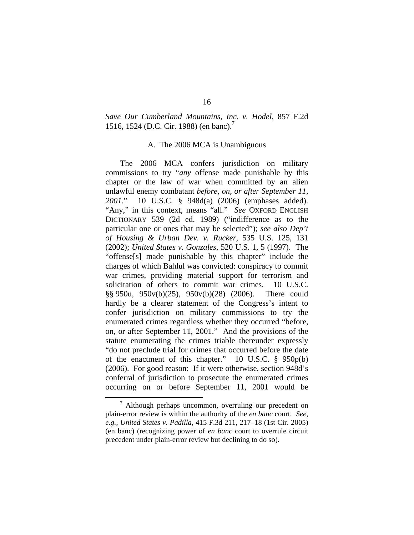# *Save Our Cumberland Mountains, Inc. v. Hodel*, 857 F.2d 1516, 1524 (D.C. Cir. 1988) (en banc).<sup>7</sup>

#### A. The 2006 MCA is Unambiguous

 The 2006 MCA confers jurisdiction on military commissions to try "*any* offense made punishable by this chapter or the law of war when committed by an alien unlawful enemy combatant *before, on, or after September 11, 2001*." 10 U.S.C. § 948d(a) (2006) (emphases added). "Any," in this context, means "all." *See* OXFORD ENGLISH DICTIONARY 539 (2d ed. 1989) ("indifference as to the particular one or ones that may be selected"); *see also Dep't of Housing & Urban Dev. v. Rucker*, 535 U.S. 125, 131 (2002); *United States v. Gonzales*, 520 U.S. 1, 5 (1997). The "offense[s] made punishable by this chapter" include the charges of which Bahlul was convicted: conspiracy to commit war crimes, providing material support for terrorism and solicitation of others to commit war crimes. 10 U.S.C. §§ 950u, 950v(b)(25), 950v(b)(28) (2006). There could hardly be a clearer statement of the Congress's intent to confer jurisdiction on military commissions to try the enumerated crimes regardless whether they occurred "before, on, or after September 11, 2001." And the provisions of the statute enumerating the crimes triable thereunder expressly "do not preclude trial for crimes that occurred before the date of the enactment of this chapter." 10 U.S.C. § 950p(b) (2006). For good reason: If it were otherwise, section 948d's conferral of jurisdiction to prosecute the enumerated crimes occurring on or before September 11, 2001 would be

 $\frac{1}{7}$  $\frac{7}{1}$  Although perhaps uncommon, overruling our precedent on plain-error review is within the authority of the *en banc* court. *See, e.g.*, *United States v. Padilla*, 415 F.3d 211, 217–18 (1st Cir. 2005) (en banc) (recognizing power of *en banc* court to overrule circuit precedent under plain-error review but declining to do so).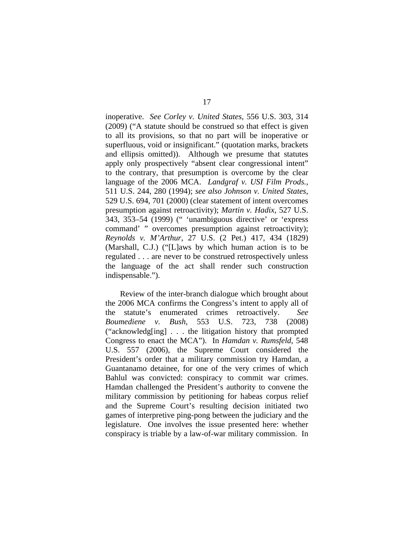inoperative. *See Corley v. United States*, 556 U.S. 303, 314 (2009) ("A statute should be construed so that effect is given to all its provisions, so that no part will be inoperative or superfluous, void or insignificant." (quotation marks, brackets and ellipsis omitted)). Although we presume that statutes apply only prospectively "absent clear congressional intent" to the contrary, that presumption is overcome by the clear language of the 2006 MCA. *Landgraf v. USI Film Prods.*, 511 U.S. 244, 280 (1994); *see also Johnson v. United States*, 529 U.S. 694, 701 (2000) (clear statement of intent overcomes presumption against retroactivity); *Martin v. Hadix*, 527 U.S. 343, 353–54 (1999) (" 'unambiguous directive' or 'express command' " overcomes presumption against retroactivity); *Reynolds v. M'Arthur*, 27 U.S. (2 Pet.) 417, 434 (1829) (Marshall, C.J.) ("[L]aws by which human action is to be regulated . . . are never to be construed retrospectively unless the language of the act shall render such construction indispensable.").

 Review of the inter-branch dialogue which brought about the 2006 MCA confirms the Congress's intent to apply all of the statute's enumerated crimes retroactively. *See Boumediene v. Bush*, 553 U.S. 723, 738 (2008) ("acknowledg[ing] . . . the litigation history that prompted Congress to enact the MCA"). In *Hamdan v. Rumsfeld*, 548 U.S. 557 (2006), the Supreme Court considered the President's order that a military commission try Hamdan, a Guantanamo detainee, for one of the very crimes of which Bahlul was convicted: conspiracy to commit war crimes. Hamdan challenged the President's authority to convene the military commission by petitioning for habeas corpus relief and the Supreme Court's resulting decision initiated two games of interpretive ping-pong between the judiciary and the legislature. One involves the issue presented here: whether conspiracy is triable by a law-of-war military commission. In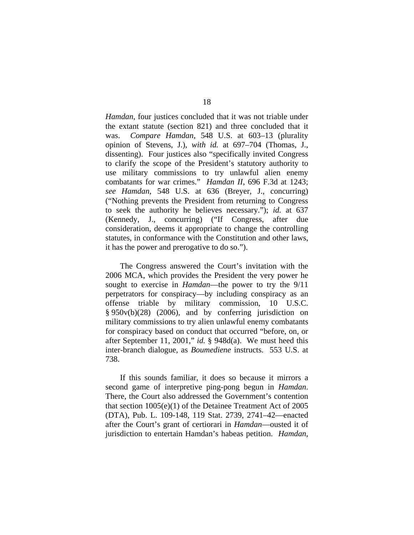*Hamdan*, four justices concluded that it was not triable under the extant statute (section 821) and three concluded that it was. *Compare Hamdan*, 548 U.S. at 603–13 (plurality opinion of Stevens, J.), *with id.* at 697–704 (Thomas, J., dissenting). Four justices also "specifically invited Congress to clarify the scope of the President's statutory authority to use military commissions to try unlawful alien enemy combatants for war crimes." *Hamdan II*, 696 F.3d at 1243; *see Hamdan*, 548 U.S. at 636 (Breyer, J., concurring) ("Nothing prevents the President from returning to Congress to seek the authority he believes necessary."); *id.* at 637 (Kennedy, J., concurring) ("If Congress, after due consideration, deems it appropriate to change the controlling statutes, in conformance with the Constitution and other laws, it has the power and prerogative to do so.").

The Congress answered the Court's invitation with the 2006 MCA, which provides the President the very power he sought to exercise in *Hamdan*—the power to try the 9/11 perpetrators for conspiracy—by including conspiracy as an offense triable by military commission, 10 U.S.C. § 950v(b)(28) (2006), and by conferring jurisdiction on military commissions to try alien unlawful enemy combatants for conspiracy based on conduct that occurred "before, on, or after September 11, 2001," *id.* § 948d(a). We must heed this inter-branch dialogue, as *Boumediene* instructs. 553 U.S. at 738.

If this sounds familiar, it does so because it mirrors a second game of interpretive ping-pong begun in *Hamdan*. There, the Court also addressed the Government's contention that section 1005(e)(1) of the Detainee Treatment Act of 2005 (DTA), Pub. L. 109-148, 119 Stat. 2739, 2741–42—enacted after the Court's grant of certiorari in *Hamdan*—ousted it of jurisdiction to entertain Hamdan's habeas petition. *Hamdan*,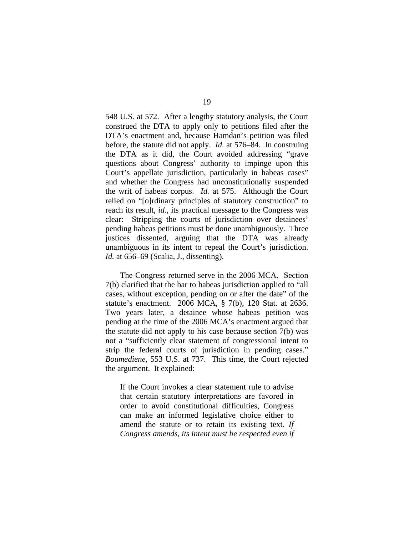548 U.S. at 572. After a lengthy statutory analysis, the Court construed the DTA to apply only to petitions filed after the DTA's enactment and, because Hamdan's petition was filed before, the statute did not apply. *Id.* at 576–84. In construing the DTA as it did, the Court avoided addressing "grave questions about Congress' authority to impinge upon this Court's appellate jurisdiction, particularly in habeas cases" and whether the Congress had unconstitutionally suspended the writ of habeas corpus. *Id.* at 575. Although the Court relied on "[o]rdinary principles of statutory construction" to reach its result, *id.*, its practical message to the Congress was clear: Stripping the courts of jurisdiction over detainees' pending habeas petitions must be done unambiguously. Three justices dissented, arguing that the DTA was already unambiguous in its intent to repeal the Court's jurisdiction. *Id.* at 656–69 (Scalia, J., dissenting).

 The Congress returned serve in the 2006 MCA. Section 7(b) clarified that the bar to habeas jurisdiction applied to "all cases, without exception, pending on or after the date" of the statute's enactment. 2006 MCA, § 7(b), 120 Stat. at 2636. Two years later, a detainee whose habeas petition was pending at the time of the 2006 MCA's enactment argued that the statute did not apply to his case because section 7(b) was not a "sufficiently clear statement of congressional intent to strip the federal courts of jurisdiction in pending cases." *Boumediene*, 553 U.S. at 737. This time, the Court rejected the argument. It explained:

If the Court invokes a clear statement rule to advise that certain statutory interpretations are favored in order to avoid constitutional difficulties, Congress can make an informed legislative choice either to amend the statute or to retain its existing text. *If Congress amends, its intent must be respected even if*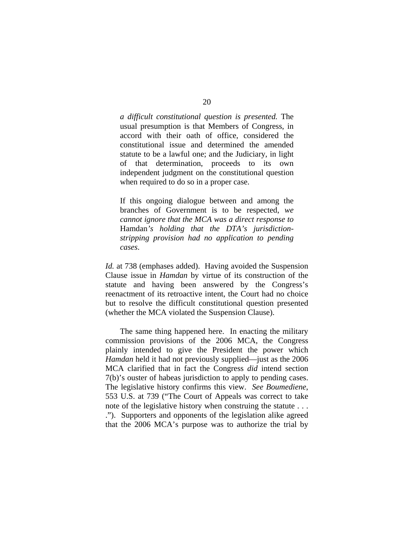*a difficult constitutional question is presented.* The usual presumption is that Members of Congress, in accord with their oath of office, considered the constitutional issue and determined the amended statute to be a lawful one; and the Judiciary, in light of that determination, proceeds to its own independent judgment on the constitutional question when required to do so in a proper case.

If this ongoing dialogue between and among the branches of Government is to be respected, *we cannot ignore that the MCA was a direct response to*  Hamdan*'s holding that the DTA's jurisdictionstripping provision had no application to pending cases*.

*Id.* at 738 (emphases added). Having avoided the Suspension Clause issue in *Hamdan* by virtue of its construction of the statute and having been answered by the Congress's reenactment of its retroactive intent, the Court had no choice but to resolve the difficult constitutional question presented (whether the MCA violated the Suspension Clause).

 The same thing happened here. In enacting the military commission provisions of the 2006 MCA, the Congress plainly intended to give the President the power which *Hamdan* held it had not previously supplied—just as the 2006 MCA clarified that in fact the Congress *did* intend section 7(b)'s ouster of habeas jurisdiction to apply to pending cases. The legislative history confirms this view. *See Boumediene*, 553 U.S. at 739 ("The Court of Appeals was correct to take note of the legislative history when construing the statute . . . ."). Supporters and opponents of the legislation alike agreed that the 2006 MCA's purpose was to authorize the trial by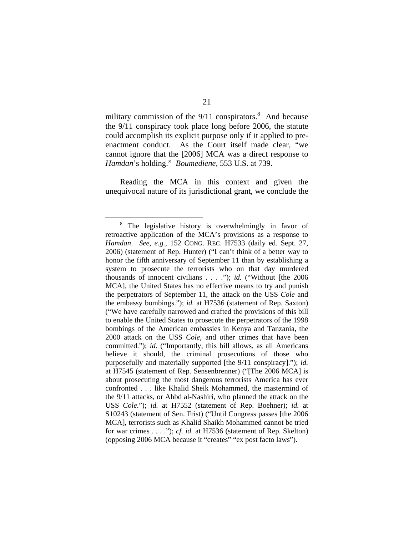military commission of the  $9/11$  conspirators.<sup>8</sup> And because the 9/11 conspiracy took place long before 2006, the statute could accomplish its explicit purpose only if it applied to preenactment conduct. As the Court itself made clear, "we cannot ignore that the [2006] MCA was a direct response to *Hamdan*'s holding." *Boumediene*, 553 U.S. at 739.

Reading the MCA in this context and given the unequivocal nature of its jurisdictional grant, we conclude the

 <sup>8</sup> <sup>8</sup> The legislative history is overwhelmingly in favor of retroactive application of the MCA's provisions as a response to *Hamdan*. *See, e.g.*, 152 CONG. REC. H7533 (daily ed. Sept. 27, 2006) (statement of Rep. Hunter) ("I can't think of a better way to honor the fifth anniversary of September 11 than by establishing a system to prosecute the terrorists who on that day murdered thousands of innocent civilians . . . ."); *id.* ("Without [the 2006 MCA], the United States has no effective means to try and punish the perpetrators of September 11, the attack on the USS *Cole* and the embassy bombings."); *id.* at H7536 (statement of Rep. Saxton) ("We have carefully narrowed and crafted the provisions of this bill to enable the United States to prosecute the perpetrators of the 1998 bombings of the American embassies in Kenya and Tanzania, the 2000 attack on the USS *Cole*, and other crimes that have been committed."); *id.* ("Importantly, this bill allows, as all Americans believe it should, the criminal prosecutions of those who purposefully and materially supported [the 9/11 conspiracy]."); *id.* at H7545 (statement of Rep. Sensenbrenner) ("[The 2006 MCA] is about prosecuting the most dangerous terrorists America has ever confronted . . . like Khalid Sheik Mohammed, the mastermind of the 9/11 attacks, or Ahbd al-Nashiri, who planned the attack on the USS *Cole*."); *id.* at H7552 (statement of Rep. Boehner); *id.* at S10243 (statement of Sen. Frist) ("Until Congress passes [the 2006 MCA], terrorists such as Khalid Shaikh Mohammed cannot be tried for war crimes . . . ."); *cf. id.* at H7536 (statement of Rep. Skelton) (opposing 2006 MCA because it "creates" "ex post facto laws").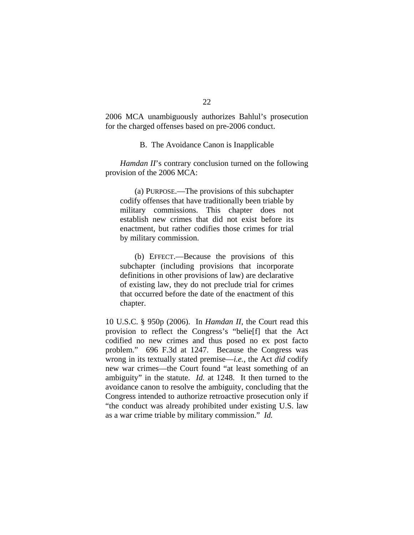2006 MCA unambiguously authorizes Bahlul's prosecution for the charged offenses based on pre-2006 conduct.

B. The Avoidance Canon is Inapplicable

*Hamdan II*'s contrary conclusion turned on the following provision of the 2006 MCA:

(a) PURPOSE.—The provisions of this subchapter codify offenses that have traditionally been triable by military commissions. This chapter does not establish new crimes that did not exist before its enactment, but rather codifies those crimes for trial by military commission.

(b) EFFECT.—Because the provisions of this subchapter (including provisions that incorporate definitions in other provisions of law) are declarative of existing law, they do not preclude trial for crimes that occurred before the date of the enactment of this chapter.

10 U.S.C. § 950p (2006). In *Hamdan II*, the Court read this provision to reflect the Congress's "belie[f] that the Act codified no new crimes and thus posed no ex post facto problem." 696 F.3d at 1247. Because the Congress was wrong in its textually stated premise—*i.e.*, the Act *did* codify new war crimes—the Court found "at least something of an ambiguity" in the statute. *Id.* at 1248. It then turned to the avoidance canon to resolve the ambiguity, concluding that the Congress intended to authorize retroactive prosecution only if "the conduct was already prohibited under existing U.S. law as a war crime triable by military commission." *Id.*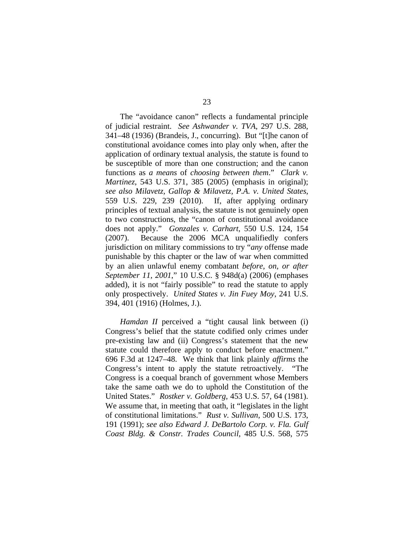The "avoidance canon" reflects a fundamental principle of judicial restraint. *See Ashwander v. TVA*, 297 U.S. 288, 341–48 (1936) (Brandeis, J., concurring). But "[t]he canon of constitutional avoidance comes into play only when, after the application of ordinary textual analysis, the statute is found to be susceptible of more than one construction; and the canon functions as *a means* of *choosing between them*." *Clark v. Martinez*, 543 U.S. 371, 385 (2005) (emphasis in original); *see also Milavetz, Gallop & Milavetz, P.A. v. United States*, 559 U.S. 229, 239 (2010). If, after applying ordinary principles of textual analysis, the statute is not genuinely open to two constructions, the "canon of constitutional avoidance does not apply." *Gonzales v. Carhart*, 550 U.S. 124, 154 (2007). Because the 2006 MCA unqualifiedly confers jurisdiction on military commissions to try "*any* offense made punishable by this chapter or the law of war when committed by an alien unlawful enemy combatant *before, on, or after September 11, 2001*," 10 U.S.C. § 948d(a) (2006) (emphases added), it is not "fairly possible" to read the statute to apply only prospectively. *United States v. Jin Fuey Moy*, 241 U.S. 394, 401 (1916) (Holmes, J.).

*Hamdan II* perceived a "tight causal link between (i) Congress's belief that the statute codified only crimes under pre-existing law and (ii) Congress's statement that the new statute could therefore apply to conduct before enactment." 696 F.3d at 1247–48. We think that link plainly *affirms* the Congress's intent to apply the statute retroactively. "The Congress is a coequal branch of government whose Members take the same oath we do to uphold the Constitution of the United States." *Rostker v. Goldberg*, 453 U.S. 57, 64 (1981). We assume that, in meeting that oath, it "legislates in the light of constitutional limitations." *Rust v. Sullivan*, 500 U.S. 173, 191 (1991); *see also Edward J. DeBartolo Corp. v. Fla. Gulf Coast Bldg. & Constr. Trades Council*, 485 U.S. 568, 575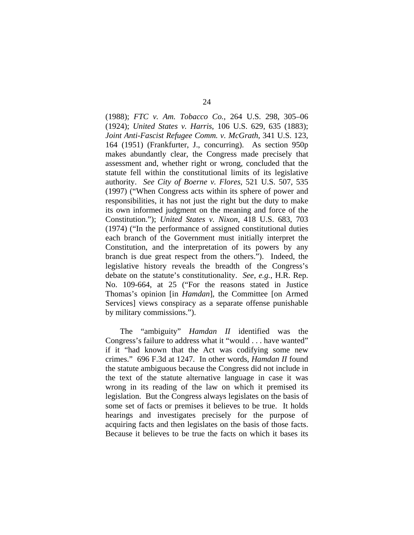(1988); *FTC v. Am. Tobacco Co.*, 264 U.S. 298, 305–06 (1924); *United States v. Harris*, 106 U.S. 629, 635 (1883); *Joint Anti-Fascist Refugee Comm. v. McGrath*, 341 U.S. 123, 164 (1951) (Frankfurter, J., concurring). As section 950p makes abundantly clear, the Congress made precisely that assessment and, whether right or wrong, concluded that the statute fell within the constitutional limits of its legislative authority. *See City of Boerne v. Flores*, 521 U.S. 507, 535 (1997) ("When Congress acts within its sphere of power and responsibilities, it has not just the right but the duty to make its own informed judgment on the meaning and force of the Constitution."); *United States v. Nixon*, 418 U.S. 683, 703 (1974) ("In the performance of assigned constitutional duties each branch of the Government must initially interpret the Constitution, and the interpretation of its powers by any branch is due great respect from the others."). Indeed, the legislative history reveals the breadth of the Congress's debate on the statute's constitutionality. *See, e.g.*, H.R. Rep. No. 109-664, at 25 ("For the reasons stated in Justice Thomas's opinion [in *Hamdan*], the Committee [on Armed Services] views conspiracy as a separate offense punishable by military commissions.").

The "ambiguity" *Hamdan II* identified was the Congress's failure to address what it "would . . . have wanted" if it "had known that the Act was codifying some new crimes." 696 F.3d at 1247. In other words, *Hamdan II* found the statute ambiguous because the Congress did not include in the text of the statute alternative language in case it was wrong in its reading of the law on which it premised its legislation. But the Congress always legislates on the basis of some set of facts or premises it believes to be true. It holds hearings and investigates precisely for the purpose of acquiring facts and then legislates on the basis of those facts. Because it believes to be true the facts on which it bases its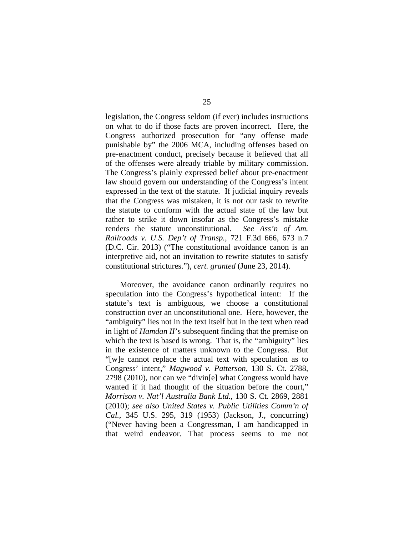legislation, the Congress seldom (if ever) includes instructions on what to do if those facts are proven incorrect. Here, the Congress authorized prosecution for "any offense made punishable by" the 2006 MCA, including offenses based on pre-enactment conduct, precisely because it believed that all of the offenses were already triable by military commission. The Congress's plainly expressed belief about pre-enactment law should govern our understanding of the Congress's intent expressed in the text of the statute. If judicial inquiry reveals that the Congress was mistaken, it is not our task to rewrite the statute to conform with the actual state of the law but rather to strike it down insofar as the Congress's mistake renders the statute unconstitutional. *See Ass'n of Am. Railroads v. U.S. Dep't of Transp.*, 721 F.3d 666, 673 n.7 (D.C. Cir. 2013) ("The constitutional avoidance canon is an interpretive aid, not an invitation to rewrite statutes to satisfy constitutional strictures."), *cert. granted* (June 23, 2014).

Moreover, the avoidance canon ordinarily requires no speculation into the Congress's hypothetical intent: If the statute's text is ambiguous, we choose a constitutional construction over an unconstitutional one. Here, however, the "ambiguity" lies not in the text itself but in the text when read in light of *Hamdan II*'s subsequent finding that the premise on which the text is based is wrong. That is, the "ambiguity" lies in the existence of matters unknown to the Congress. But "[w]e cannot replace the actual text with speculation as to Congress' intent," *Magwood v. Patterson*, 130 S. Ct. 2788, 2798 (2010), nor can we "divin[e] what Congress would have wanted if it had thought of the situation before the court," *Morrison v. Nat'l Australia Bank Ltd.*, 130 S. Ct. 2869, 2881 (2010); *see also United States v. Public Utilities Comm'n of Cal.*, 345 U.S. 295, 319 (1953) (Jackson, J., concurring) ("Never having been a Congressman, I am handicapped in that weird endeavor. That process seems to me not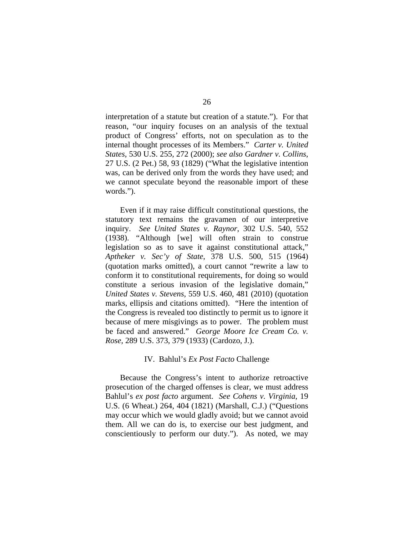interpretation of a statute but creation of a statute."). For that reason, "our inquiry focuses on an analysis of the textual product of Congress' efforts, not on speculation as to the internal thought processes of its Members." *Carter v. United States*, 530 U.S. 255, 272 (2000); *see also Gardner v. Collins*, 27 U.S. (2 Pet.) 58, 93 (1829) ("What the legislative intention was, can be derived only from the words they have used; and we cannot speculate beyond the reasonable import of these words.").

Even if it may raise difficult constitutional questions, the statutory text remains the gravamen of our interpretive inquiry. *See United States v. Raynor*, 302 U.S. 540, 552 (1938). "Although [we] will often strain to construe legislation so as to save it against constitutional attack," *Aptheker v. Sec'y of State*, 378 U.S. 500, 515 (1964) (quotation marks omitted), a court cannot "rewrite a law to conform it to constitutional requirements, for doing so would constitute a serious invasion of the legislative domain," *United States v. Stevens*, 559 U.S. 460, 481 (2010) (quotation marks, ellipsis and citations omitted). "Here the intention of the Congress is revealed too distinctly to permit us to ignore it because of mere misgivings as to power. The problem must be faced and answered." *George Moore Ice Cream Co. v. Rose*, 289 U.S. 373, 379 (1933) (Cardozo, J.).

#### IV. Bahlul's *Ex Post Facto* Challenge

 Because the Congress's intent to authorize retroactive prosecution of the charged offenses is clear, we must address Bahlul's *ex post facto* argument. *See Cohens v. Virginia*, 19 U.S. (6 Wheat.) 264, 404 (1821) (Marshall, C.J.) ("Questions may occur which we would gladly avoid; but we cannot avoid them. All we can do is, to exercise our best judgment, and conscientiously to perform our duty."). As noted, we may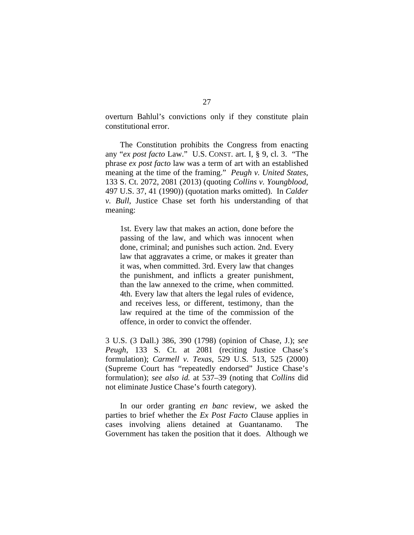overturn Bahlul's convictions only if they constitute plain constitutional error.

 The Constitution prohibits the Congress from enacting any "*ex post facto* Law." U.S. CONST. art. I, § 9, cl. 3. "The phrase *ex post facto* law was a term of art with an established meaning at the time of the framing." *Peugh v. United States*, 133 S. Ct. 2072, 2081 (2013) (quoting *Collins v. Youngblood*, 497 U.S. 37, 41 (1990)) (quotation marks omitted). In *Calder v. Bull*, Justice Chase set forth his understanding of that meaning:

1st. Every law that makes an action, done before the passing of the law, and which was innocent when done, criminal; and punishes such action. 2nd. Every law that aggravates a crime, or makes it greater than it was, when committed. 3rd. Every law that changes the punishment, and inflicts a greater punishment, than the law annexed to the crime, when committed. 4th. Every law that alters the legal rules of evidence, and receives less, or different, testimony, than the law required at the time of the commission of the offence, in order to convict the offender.

3 U.S. (3 Dall.) 386, 390 (1798) (opinion of Chase, J.); *see Peugh*, 133 S. Ct. at 2081 (reciting Justice Chase's formulation); *Carmell v. Texas*, 529 U.S. 513, 525 (2000) (Supreme Court has "repeatedly endorsed" Justice Chase's formulation); *see also id.* at 537–39 (noting that *Collins* did not eliminate Justice Chase's fourth category).

In our order granting *en banc* review, we asked the parties to brief whether the *Ex Post Facto* Clause applies in cases involving aliens detained at Guantanamo. The Government has taken the position that it does. Although we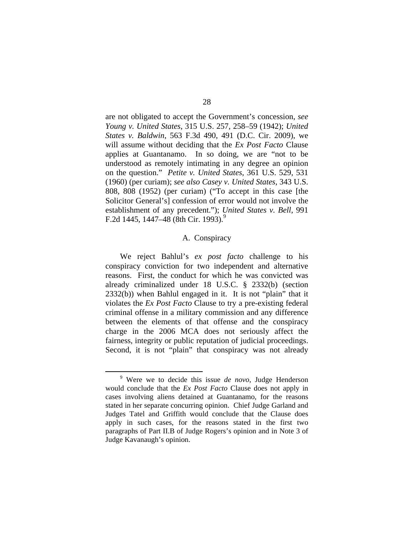are not obligated to accept the Government's concession, *see Young v. United States*, 315 U.S. 257, 258–59 (1942); *United States v. Baldwin*, 563 F.3d 490, 491 (D.C. Cir. 2009), we will assume without deciding that the *Ex Post Facto* Clause applies at Guantanamo. In so doing, we are "not to be understood as remotely intimating in any degree an opinion on the question." *Petite v. United States*, 361 U.S. 529, 531 (1960) (per curiam); *see also Casey v. United States*, 343 U.S. 808, 808 (1952) (per curiam) ("To accept in this case [the Solicitor General's] confession of error would not involve the establishment of any precedent."); *United States v. Bell*, 991 F.2d 1445, 1447–48 (8th Cir. 1993).<sup>9</sup>

## A. Conspiracy

We reject Bahlul's *ex post facto* challenge to his conspiracy conviction for two independent and alternative reasons. First, the conduct for which he was convicted was already criminalized under 18 U.S.C. § 2332(b) (section 2332(b)) when Bahlul engaged in it. It is not "plain" that it violates the *Ex Post Facto* Clause to try a pre-existing federal criminal offense in a military commission and any difference between the elements of that offense and the conspiracy charge in the 2006 MCA does not seriously affect the fairness, integrity or public reputation of judicial proceedings. Second, it is not "plain" that conspiracy was not already

 $\frac{1}{\sqrt{9}}$  Were we to decide this issue *de novo*, Judge Henderson would conclude that the *Ex Post Facto* Clause does not apply in cases involving aliens detained at Guantanamo, for the reasons stated in her separate concurring opinion. Chief Judge Garland and Judges Tatel and Griffith would conclude that the Clause does apply in such cases, for the reasons stated in the first two paragraphs of Part II.B of Judge Rogers's opinion and in Note 3 of Judge Kavanaugh's opinion.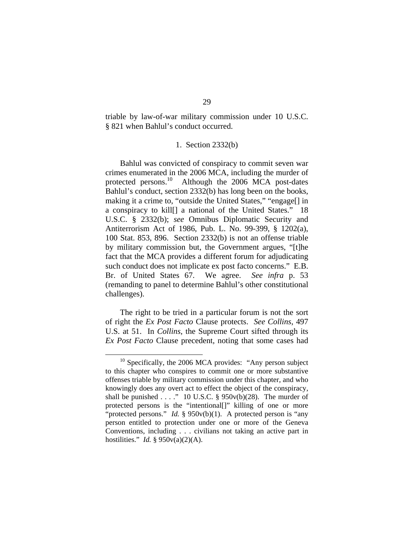triable by law-of-war military commission under 10 U.S.C. § 821 when Bahlul's conduct occurred.

## 1. Section 2332(b)

Bahlul was convicted of conspiracy to commit seven war crimes enumerated in the 2006 MCA, including the murder of protected persons.<sup>10</sup> Although the 2006 MCA post-dates Bahlul's conduct, section 2332(b) has long been on the books, making it a crime to, "outside the United States," "engage[] in a conspiracy to kill[] a national of the United States." 18 U.S.C. § 2332(b); *see* Omnibus Diplomatic Security and Antiterrorism Act of 1986, Pub. L. No. 99-399, § 1202(a), 100 Stat. 853, 896. Section 2332(b) is not an offense triable by military commission but, the Government argues, "[t]he fact that the MCA provides a different forum for adjudicating such conduct does not implicate ex post facto concerns." E.B. Br. of United States 67. We agree. *See infra* p. 53 (remanding to panel to determine Bahlul's other constitutional challenges).

The right to be tried in a particular forum is not the sort of right the *Ex Post Facto* Clause protects. *See Collins*, 497 U.S. at 51. In *Collins*, the Supreme Court sifted through its *Ex Post Facto* Clause precedent, noting that some cases had

 $10$  Specifically, the 2006 MCA provides: "Any person subject to this chapter who conspires to commit one or more substantive offenses triable by military commission under this chapter, and who knowingly does any overt act to effect the object of the conspiracy, shall be punished  $\ldots$  ." 10 U.S.C. § 950v(b)(28). The murder of protected persons is the "intentional[]" killing of one or more "protected persons." *Id.* § 950v(b)(1). A protected person is "any person entitled to protection under one or more of the Geneva Conventions, including . . . civilians not taking an active part in hostilities." *Id.* § 950v(a)(2)(A).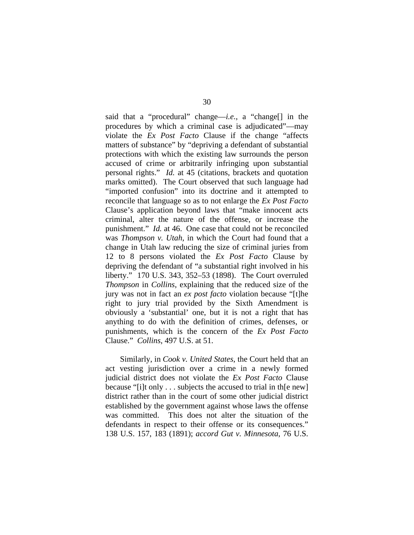said that a "procedural" change—*i.e.*, a "change[] in the procedures by which a criminal case is adjudicated"—may violate the *Ex Post Facto* Clause if the change "affects matters of substance" by "depriving a defendant of substantial protections with which the existing law surrounds the person accused of crime or arbitrarily infringing upon substantial personal rights." *Id.* at 45 (citations, brackets and quotation marks omitted). The Court observed that such language had "imported confusion" into its doctrine and it attempted to reconcile that language so as to not enlarge the *Ex Post Facto* Clause's application beyond laws that "make innocent acts criminal, alter the nature of the offense, or increase the punishment." *Id.* at 46. One case that could not be reconciled was *Thompson v. Utah*, in which the Court had found that a change in Utah law reducing the size of criminal juries from 12 to 8 persons violated the *Ex Post Facto* Clause by depriving the defendant of "a substantial right involved in his liberty." 170 U.S. 343, 352–53 (1898). The Court overruled *Thompson* in *Collins*, explaining that the reduced size of the jury was not in fact an *ex post facto* violation because "[t]he right to jury trial provided by the Sixth Amendment is obviously a 'substantial' one, but it is not a right that has anything to do with the definition of crimes, defenses, or punishments, which is the concern of the *Ex Post Facto*  Clause." *Collins*, 497 U.S. at 51.

Similarly, in *Cook v. United States*, the Court held that an act vesting jurisdiction over a crime in a newly formed judicial district does not violate the *Ex Post Facto* Clause because "[i]t only . . . subjects the accused to trial in th[e new] district rather than in the court of some other judicial district established by the government against whose laws the offense was committed. This does not alter the situation of the defendants in respect to their offense or its consequences." 138 U.S. 157, 183 (1891); *accord Gut v. Minnesota*, 76 U.S.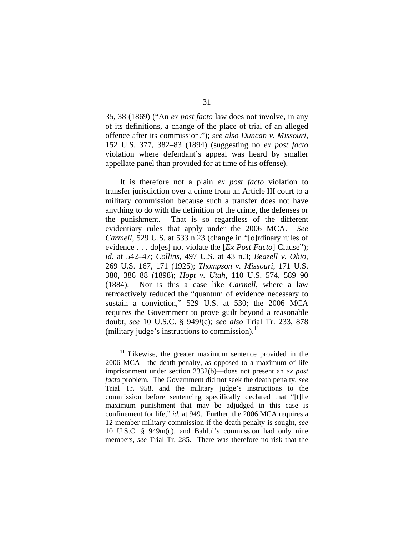35, 38 (1869) ("An *ex post facto* law does not involve, in any of its definitions, a change of the place of trial of an alleged offence after its commission."); *see also Duncan v. Missouri*, 152 U.S. 377, 382–83 (1894) (suggesting no *ex post facto* violation where defendant's appeal was heard by smaller appellate panel than provided for at time of his offense).

It is therefore not a plain *ex post facto* violation to transfer jurisdiction over a crime from an Article III court to a military commission because such a transfer does not have anything to do with the definition of the crime, the defenses or the punishment. That is so regardless of the different evidentiary rules that apply under the 2006 MCA. *See Carmell*, 529 U.S. at 533 n.23 (change in "[o]rdinary rules of evidence . . . do[es] not violate the [*Ex Post Facto*] Clause"); *id.* at 542–47; *Collins*, 497 U.S. at 43 n.3; *Beazell v. Ohio*, 269 U.S. 167, 171 (1925); *Thompson v. Missouri*, 171 U.S. 380, 386–88 (1898); *Hopt v. Utah*, 110 U.S. 574, 589–90 (1884). Nor is this a case like *Carmell*, where a law retroactively reduced the "quantum of evidence necessary to sustain a conviction," 529 U.S. at 530; the 2006 MCA requires the Government to prove guilt beyond a reasonable doubt, *see* 10 U.S.C. § 949*l*(c); *see also* Trial Tr. 233, 878 (military judge's instructions to commission). $^{11}$ 

Likewise, the greater maximum sentence provided in the 2006 MCA—the death penalty, as opposed to a maximum of life imprisonment under section 2332(b)—does not present an *ex post facto* problem. The Government did not seek the death penalty, *see*  Trial Tr. 958, and the military judge's instructions to the commission before sentencing specifically declared that "[t]he maximum punishment that may be adjudged in this case is confinement for life," *id.* at 949. Further, the 2006 MCA requires a 12-member military commission if the death penalty is sought, *see*  10 U.S.C. § 949m(c), and Bahlul's commission had only nine members, *see* Trial Tr. 285. There was therefore no risk that the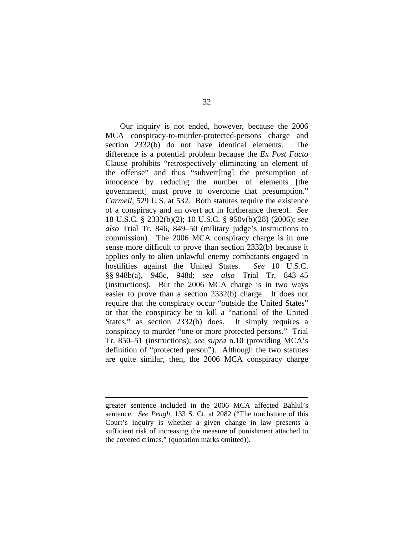Our inquiry is not ended, however, because the 2006 MCA conspiracy-to-murder-protected-persons charge and section 2332(b) do not have identical elements. The difference is a potential problem because the *Ex Post Facto*  Clause prohibits "retrospectively eliminating an element of the offense" and thus "subvert[ing] the presumption of innocence by reducing the number of elements [the government] must prove to overcome that presumption." *Carmell*, 529 U.S. at 532. Both statutes require the existence of a conspiracy and an overt act in furtherance thereof. *See*  18 U.S.C. § 2332(b)(2); 10 U.S.C. § 950v(b)(28) (2006); *see also* Trial Tr. 846, 849–50 (military judge's instructions to commission). The 2006 MCA conspiracy charge is in one sense more difficult to prove than section 2332(b) because it applies only to alien unlawful enemy combatants engaged in hostilities against the United States. *See* 10 U.S.C. §§ 948b(a), 948c, 948d; *see also* Trial Tr. 843–45 (instructions). But the 2006 MCA charge is in two ways easier to prove than a section 2332(b) charge. It does not require that the conspiracy occur "outside the United States" or that the conspiracy be to kill a "national of the United States," as section 2332(b) does. It simply requires a conspiracy to murder "one or more protected persons." Trial Tr. 850–51 (instructions); *see supra* n.10 (providing MCA's definition of "protected person"). Although the two statutes are quite similar, then, the 2006 MCA conspiracy charge

 $\overline{a}$ 

greater sentence included in the 2006 MCA affected Bahlul's sentence. *See Peugh*, 133 S. Ct. at 2082 ("The touchstone of this Court's inquiry is whether a given change in law presents a sufficient risk of increasing the measure of punishment attached to the covered crimes." (quotation marks omitted)).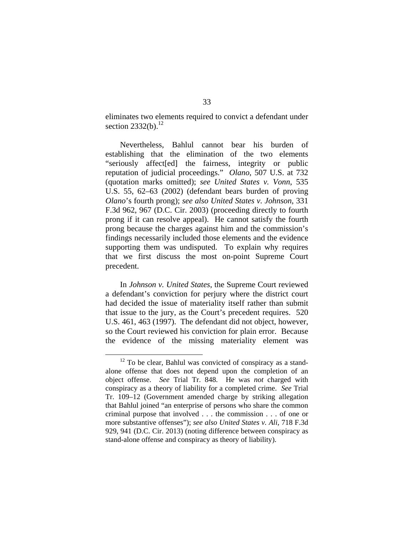eliminates two elements required to convict a defendant under section  $2332(b)$ .<sup>12</sup>

Nevertheless, Bahlul cannot bear his burden of establishing that the elimination of the two elements "seriously affect[ed] the fairness, integrity or public reputation of judicial proceedings." *Olano*, 507 U.S. at 732 (quotation marks omitted); *see United States v. Vonn*, 535 U.S. 55, 62–63 (2002) (defendant bears burden of proving *Olano*'s fourth prong); *see also United States v. Johnson*, 331 F.3d 962, 967 (D.C. Cir. 2003) (proceeding directly to fourth prong if it can resolve appeal). He cannot satisfy the fourth prong because the charges against him and the commission's findings necessarily included those elements and the evidence supporting them was undisputed. To explain why requires that we first discuss the most on-point Supreme Court precedent.

In *Johnson v. United States*, the Supreme Court reviewed a defendant's conviction for perjury where the district court had decided the issue of materiality itself rather than submit that issue to the jury, as the Court's precedent requires. 520 U.S. 461, 463 (1997). The defendant did not object, however, so the Court reviewed his conviction for plain error. Because the evidence of the missing materiality element was

 $12$  To be clear, Bahlul was convicted of conspiracy as a standalone offense that does not depend upon the completion of an object offense. *See* Trial Tr. 848. He was *not* charged with conspiracy as a theory of liability for a completed crime. *See* Trial Tr. 109–12 (Government amended charge by striking allegation that Bahlul joined "an enterprise of persons who share the common criminal purpose that involved . . . the commission . . . of one or more substantive offenses"); *see also United States v. Ali*, 718 F.3d 929, 941 (D.C. Cir. 2013) (noting difference between conspiracy as stand-alone offense and conspiracy as theory of liability).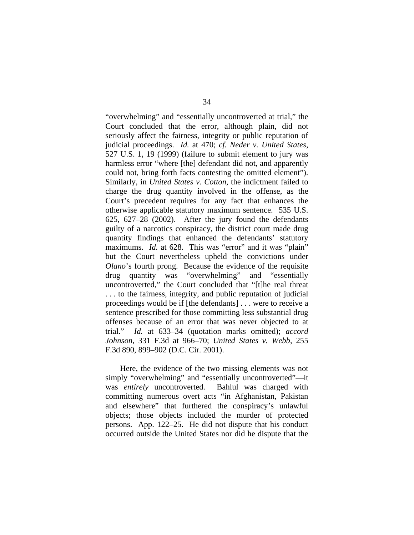"overwhelming" and "essentially uncontroverted at trial," the Court concluded that the error, although plain, did not seriously affect the fairness, integrity or public reputation of judicial proceedings. *Id.* at 470; *cf. Neder v. United States*, 527 U.S. 1, 19 (1999) (failure to submit element to jury was harmless error "where [the] defendant did not, and apparently could not, bring forth facts contesting the omitted element"). Similarly, in *United States v. Cotton*, the indictment failed to charge the drug quantity involved in the offense, as the Court's precedent requires for any fact that enhances the otherwise applicable statutory maximum sentence. 535 U.S. 625, 627–28 (2002). After the jury found the defendants guilty of a narcotics conspiracy, the district court made drug quantity findings that enhanced the defendants' statutory maximums. *Id.* at 628. This was "error" and it was "plain" but the Court nevertheless upheld the convictions under *Olano*'s fourth prong. Because the evidence of the requisite drug quantity was "overwhelming" and "essentially uncontroverted," the Court concluded that "[t]he real threat . . . to the fairness, integrity, and public reputation of judicial proceedings would be if [the defendants] . . . were to receive a sentence prescribed for those committing less substantial drug offenses because of an error that was never objected to at trial." *Id.* at 633–34 (quotation marks omitted); *accord Johnson*, 331 F.3d at 966–70; *United States v. Webb*, 255 F.3d 890, 899–902 (D.C. Cir. 2001).

Here, the evidence of the two missing elements was not simply "overwhelming" and "essentially uncontroverted"—it was *entirely* uncontroverted. Bahlul was charged with committing numerous overt acts "in Afghanistan, Pakistan and elsewhere" that furthered the conspiracy's unlawful objects; those objects included the murder of protected persons. App. 122–25. He did not dispute that his conduct occurred outside the United States nor did he dispute that the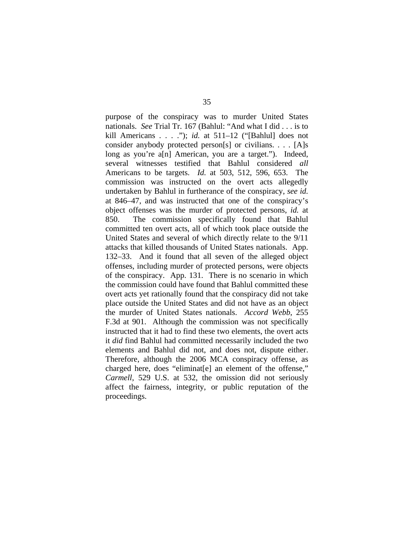purpose of the conspiracy was to murder United States nationals. *See* Trial Tr. 167 (Bahlul: "And what I did . . . is to kill Americans . . . ."); *id.* at 511–12 ("[Bahlul] does not consider anybody protected person[s] or civilians. . . . [A]s long as you're a[n] American, you are a target."). Indeed, several witnesses testified that Bahlul considered *all*  Americans to be targets. *Id.* at 503, 512, 596, 653. The commission was instructed on the overt acts allegedly undertaken by Bahlul in furtherance of the conspiracy, *see id.* at 846–47, and was instructed that one of the conspiracy's object offenses was the murder of protected persons, *id.* at 850. The commission specifically found that Bahlul committed ten overt acts, all of which took place outside the United States and several of which directly relate to the 9/11 attacks that killed thousands of United States nationals. App. 132–33. And it found that all seven of the alleged object offenses, including murder of protected persons, were objects of the conspiracy. App. 131. There is no scenario in which the commission could have found that Bahlul committed these overt acts yet rationally found that the conspiracy did not take place outside the United States and did not have as an object the murder of United States nationals. *Accord Webb*, 255 F.3d at 901. Although the commission was not specifically instructed that it had to find these two elements, the overt acts it *did* find Bahlul had committed necessarily included the two elements and Bahlul did not, and does not, dispute either. Therefore, although the 2006 MCA conspiracy offense, as charged here, does "eliminat[e] an element of the offense," *Carmell*, 529 U.S. at 532, the omission did not seriously affect the fairness, integrity, or public reputation of the proceedings.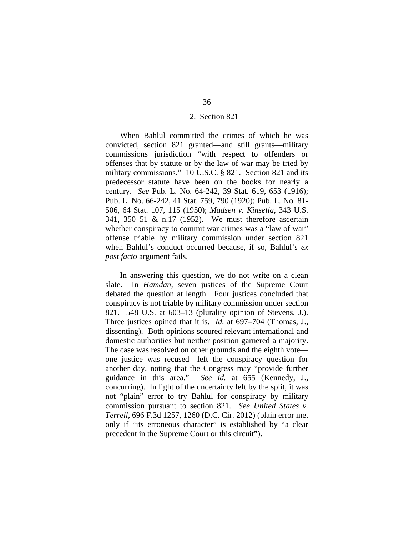#### 2. Section 821

When Bahlul committed the crimes of which he was convicted, section 821 granted—and still grants—military commissions jurisdiction "with respect to offenders or offenses that by statute or by the law of war may be tried by military commissions." 10 U.S.C. § 821. Section 821 and its predecessor statute have been on the books for nearly a century. *See* Pub. L. No. 64-242, 39 Stat. 619, 653 (1916); Pub. L. No. 66-242, 41 Stat. 759, 790 (1920); Pub. L. No. 81- 506, 64 Stat. 107, 115 (1950); *Madsen v. Kinsella*, 343 U.S. 341, 350–51 & n.17 (1952). We must therefore ascertain whether conspiracy to commit war crimes was a "law of war" offense triable by military commission under section 821 when Bahlul's conduct occurred because, if so, Bahlul's *ex post facto* argument fails.

In answering this question, we do not write on a clean slate. In *Hamdan*, seven justices of the Supreme Court debated the question at length. Four justices concluded that conspiracy is not triable by military commission under section 821.548 U.S. at 603–13 (plurality opinion of Stevens, J.). Three justices opined that it is. *Id.* at 697–704 (Thomas, J., dissenting). Both opinions scoured relevant international and domestic authorities but neither position garnered a majority. The case was resolved on other grounds and the eighth vote one justice was recused—left the conspiracy question for another day, noting that the Congress may "provide further guidance in this area." *See id.* at 655 (Kennedy, J., concurring). In light of the uncertainty left by the split, it was not "plain" error to try Bahlul for conspiracy by military commission pursuant to section 821. *See United States v. Terrell*, 696 F.3d 1257, 1260 (D.C. Cir. 2012) (plain error met only if "its erroneous character" is established by "a clear precedent in the Supreme Court or this circuit").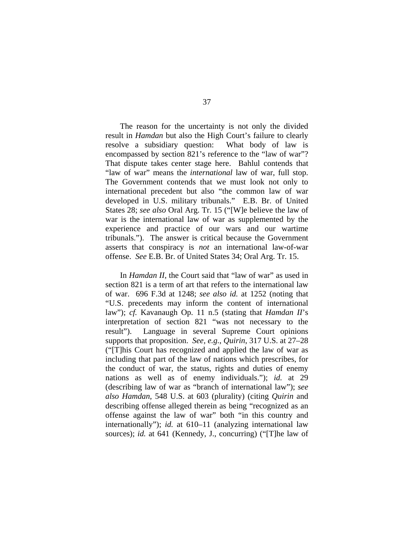The reason for the uncertainty is not only the divided result in *Hamdan* but also the High Court's failure to clearly resolve a subsidiary question: What body of law is encompassed by section 821's reference to the "law of war"? That dispute takes center stage here. Bahlul contends that "law of war" means the *international* law of war, full stop. The Government contends that we must look not only to international precedent but also "the common law of war developed in U.S. military tribunals." E.B. Br. of United States 28; *see also* Oral Arg. Tr. 15 ("[W]e believe the law of war is the international law of war as supplemented by the experience and practice of our wars and our wartime tribunals."). The answer is critical because the Government asserts that conspiracy is *not* an international law-of-war offense. *See* E.B. Br. of United States 34; Oral Arg. Tr. 15.

In *Hamdan II*, the Court said that "law of war" as used in section 821 is a term of art that refers to the international law of war. 696 F.3d at 1248; *see also id.* at 1252 (noting that "U.S. precedents may inform the content of international law"); *cf.* Kavanaugh Op. 11 n.5 (stating that *Hamdan II*'s interpretation of section 821 "was not necessary to the result"). Language in several Supreme Court opinions supports that proposition. *See, e.g.*, *Quirin*, 317 U.S. at 27–28 ("[T]his Court has recognized and applied the law of war as including that part of the law of nations which prescribes, for the conduct of war, the status, rights and duties of enemy nations as well as of enemy individuals."); *id.* at 29 (describing law of war as "branch of international law"); *see also Hamdan*, 548 U.S. at 603 (plurality) (citing *Quirin* and describing offense alleged therein as being "recognized as an offense against the law of war" both "in this country and internationally"); *id.* at 610–11 (analyzing international law sources); *id.* at 641 (Kennedy, J., concurring) ("[T]he law of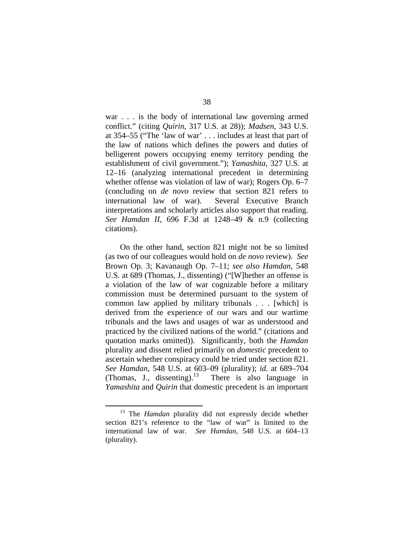war . . . is the body of international law governing armed conflict." (citing *Quirin*, 317 U.S. at 28)); *Madsen*, 343 U.S. at 354–55 ("The 'law of war' . . . includes at least that part of the law of nations which defines the powers and duties of belligerent powers occupying enemy territory pending the establishment of civil government."); *Yamashita*, 327 U.S. at 12–16 (analyzing international precedent in determining whether offense was violation of law of war); Rogers Op. 6–7 (concluding on *de novo* review that section 821 refers to international law of war). Several Executive Branch interpretations and scholarly articles also support that reading. *See Hamdan II*, 696 F.3d at 1248–49 & n.9 (collecting citations).

On the other hand, section 821 might not be so limited (as two of our colleagues would hold on *de novo* review). *See* Brown Op. 3; Kavanaugh Op. 7–11; *see also Hamdan*, 548 U.S. at 689 (Thomas, J., dissenting) ("[W]hether an offense is a violation of the law of war cognizable before a military commission must be determined pursuant to the system of common law applied by military tribunals . . . [which] is derived from the experience of our wars and our wartime tribunals and the laws and usages of war as understood and practiced by the civilized nations of the world." (citations and quotation marks omitted)). Significantly, both the *Hamdan*  plurality and dissent relied primarily on *domestic* precedent to ascertain whether conspiracy could be tried under section 821. *See Hamdan*, 548 U.S. at 603–09 (plurality); *id.* at 689–704 (Thomas, J., dissenting).<sup>13</sup> There is also language in *Yamashita* and *Quirin* that domestic precedent is an important

<sup>&</sup>lt;sup>13</sup> The *Hamdan* plurality did not expressly decide whether section 821's reference to the "law of war" is limited to the international law of war. *See Hamdan*, 548 U.S. at 604–13 (plurality).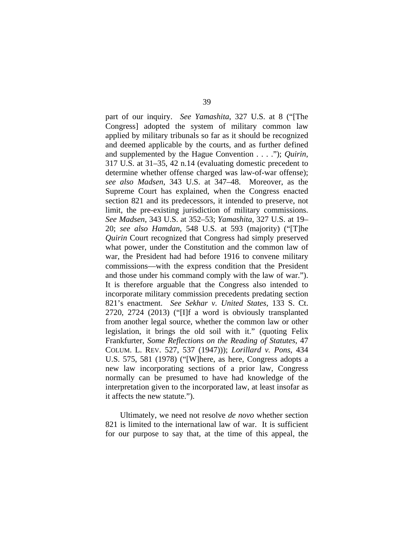part of our inquiry. *See Yamashita*, 327 U.S. at 8 ("[The Congress] adopted the system of military common law applied by military tribunals so far as it should be recognized and deemed applicable by the courts, and as further defined and supplemented by the Hague Convention . . . ."); *Quirin*, 317 U.S. at 31–35, 42 n.14 (evaluating domestic precedent to determine whether offense charged was law-of-war offense); *see also Madsen*, 343 U.S. at 347–48. Moreover, as the Supreme Court has explained, when the Congress enacted section 821 and its predecessors, it intended to preserve, not limit, the pre-existing jurisdiction of military commissions. *See Madsen*, 343 U.S. at 352–53; *Yamashita*, 327 U.S. at 19– 20; *see also Hamdan*, 548 U.S. at 593 (majority) ("[T]he *Quirin* Court recognized that Congress had simply preserved what power, under the Constitution and the common law of war, the President had had before 1916 to convene military commissions—with the express condition that the President and those under his command comply with the law of war."). It is therefore arguable that the Congress also intended to incorporate military commission precedents predating section 821's enactment. *See Sekhar v. United States*, 133 S. Ct. 2720, 2724 (2013) ("[I]f a word is obviously transplanted from another legal source, whether the common law or other legislation, it brings the old soil with it." (quoting Felix Frankfurter, *Some Reflections on the Reading of Statutes*, 47 COLUM. L. REV. 527, 537 (1947))); *Lorillard v. Pons*, 434 U.S. 575, 581 (1978) ("[W]here, as here, Congress adopts a new law incorporating sections of a prior law, Congress normally can be presumed to have had knowledge of the interpretation given to the incorporated law, at least insofar as it affects the new statute.").

Ultimately, we need not resolve *de novo* whether section 821 is limited to the international law of war. It is sufficient for our purpose to say that, at the time of this appeal, the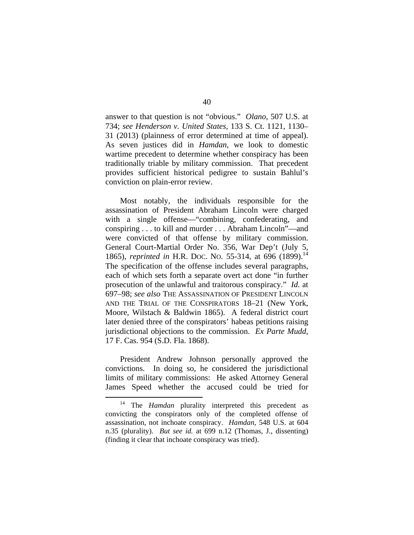answer to that question is not "obvious." *Olano*, 507 U.S. at 734; *see Henderson v. United States*, 133 S. Ct. 1121, 1130– 31 (2013) (plainness of error determined at time of appeal). As seven justices did in *Hamdan*, we look to domestic wartime precedent to determine whether conspiracy has been traditionally triable by military commission. That precedent provides sufficient historical pedigree to sustain Bahlul's conviction on plain-error review.

Most notably, the individuals responsible for the assassination of President Abraham Lincoln were charged with a single offense—"combining, confederating, and conspiring . . . to kill and murder . . . Abraham Lincoln"—and were convicted of that offense by military commission. General Court-Martial Order No. 356, War Dep't (July 5, 1865), *reprinted in* H.R. Doc. No. 55-314, at 696 (1899).<sup>14</sup> The specification of the offense includes several paragraphs, each of which sets forth a separate overt act done "in further prosecution of the unlawful and traitorous conspiracy." *Id.* at 697–98; *see also* THE ASSASSINATION OF PRESIDENT LINCOLN AND THE TRIAL OF THE CONSPIRATORS 18–21 (New York, Moore, Wilstach & Baldwin 1865). A federal district court later denied three of the conspirators' habeas petitions raising jurisdictional objections to the commission. *Ex Parte Mudd*, 17 F. Cas. 954 (S.D. Fla. 1868).

President Andrew Johnson personally approved the convictions. In doing so, he considered the jurisdictional limits of military commissions: He asked Attorney General James Speed whether the accused could be tried for

The *Hamdan* plurality interpreted this precedent as convicting the conspirators only of the completed offense of assassination, not inchoate conspiracy. *Hamdan*, 548 U.S. at 604 n.35 (plurality). *But see id.* at 699 n.12 (Thomas, J., dissenting) (finding it clear that inchoate conspiracy was tried).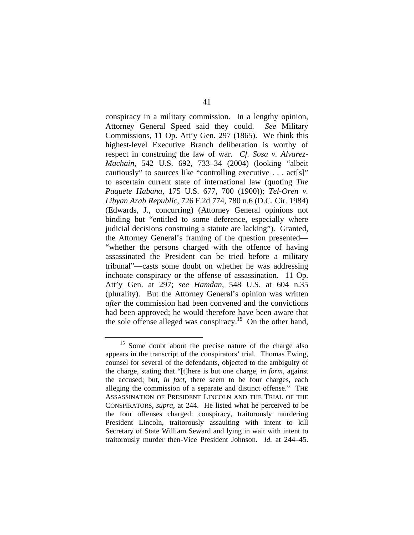conspiracy in a military commission. In a lengthy opinion, Attorney General Speed said they could. *See* Military Commissions, 11 Op. Att'y Gen. 297 (1865). We think this highest-level Executive Branch deliberation is worthy of respect in construing the law of war. *Cf. Sosa v. Alvarez-Machain*, 542 U.S. 692, 733–34 (2004) (looking "albeit cautiously" to sources like "controlling executive . . . act[s]" to ascertain current state of international law (quoting *The Paquete Habana*, 175 U.S. 677, 700 (1900)); *Tel-Oren v. Libyan Arab Republic*, 726 F.2d 774, 780 n.6 (D.C. Cir. 1984) (Edwards, J., concurring) (Attorney General opinions not binding but "entitled to some deference, especially where judicial decisions construing a statute are lacking"). Granted, the Attorney General's framing of the question presented— "whether the persons charged with the offence of having assassinated the President can be tried before a military tribunal"—casts some doubt on whether he was addressing inchoate conspiracy or the offense of assassination. 11 Op. Att'y Gen. at 297; *see Hamdan*, 548 U.S. at 604 n.35 (plurality). But the Attorney General's opinion was written *after* the commission had been convened and the convictions had been approved; he would therefore have been aware that the sole offense alleged was conspiracy.<sup>15</sup> On the other hand,

<sup>&</sup>lt;sup>15</sup> Some doubt about the precise nature of the charge also appears in the transcript of the conspirators' trial. Thomas Ewing, counsel for several of the defendants, objected to the ambiguity of the charge, stating that "[t]here is but one charge, *in form*, against the accused; but, *in fact*, there seem to be four charges, each alleging the commission of a separate and distinct offense." THE ASSASSINATION OF PRESIDENT LINCOLN AND THE TRIAL OF THE CONSPIRATORS, *supra*, at 244. He listed what he perceived to be the four offenses charged: conspiracy, traitorously murdering President Lincoln, traitorously assaulting with intent to kill Secretary of State William Seward and lying in wait with intent to traitorously murder then-Vice President Johnson. *Id.* at 244–45.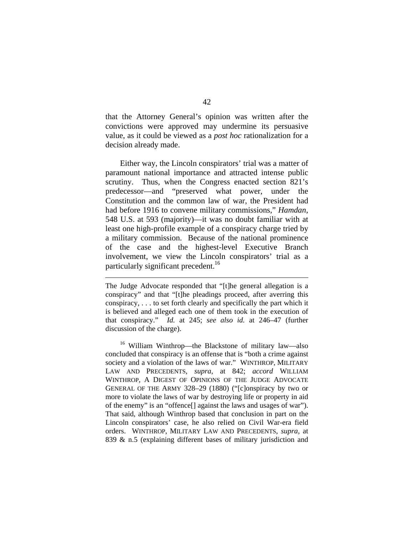that the Attorney General's opinion was written after the convictions were approved may undermine its persuasive value, as it could be viewed as a *post hoc* rationalization for a decision already made.

Either way, the Lincoln conspirators' trial was a matter of paramount national importance and attracted intense public scrutiny. Thus, when the Congress enacted section 821's predecessor—and "preserved what power, under the Constitution and the common law of war, the President had had before 1916 to convene military commissions," *Hamdan*, 548 U.S. at 593 (majority)—it was no doubt familiar with at least one high-profile example of a conspiracy charge tried by a military commission. Because of the national prominence of the case and the highest-level Executive Branch involvement, we view the Lincoln conspirators' trial as a particularly significant precedent.<sup>16</sup>

 $\overline{a}$ 

16 William Winthrop—the Blackstone of military law—also concluded that conspiracy is an offense that is "both a crime against society and a violation of the laws of war." WINTHROP, MILITARY LAW AND PRECEDENTS, *supra*, at 842; *accord* WILLIAM WINTHROP, A DIGEST OF OPINIONS OF THE JUDGE ADVOCATE GENERAL OF THE ARMY 328–29 (1880) ("[c]onspiracy by two or more to violate the laws of war by destroying life or property in aid of the enemy" is an "offence[] against the laws and usages of war"). That said, although Winthrop based that conclusion in part on the Lincoln conspirators' case, he also relied on Civil War-era field orders. WINTHROP, MILITARY LAW AND PRECEDENTS, *supra*, at 839 & n.5 (explaining different bases of military jurisdiction and

The Judge Advocate responded that "[t]he general allegation is a conspiracy" and that "[t]he pleadings proceed, after averring this conspiracy, . . . to set forth clearly and specifically the part which it is believed and alleged each one of them took in the execution of that conspiracy." *Id.* at 245; *see also id.* at 246–47 (further discussion of the charge).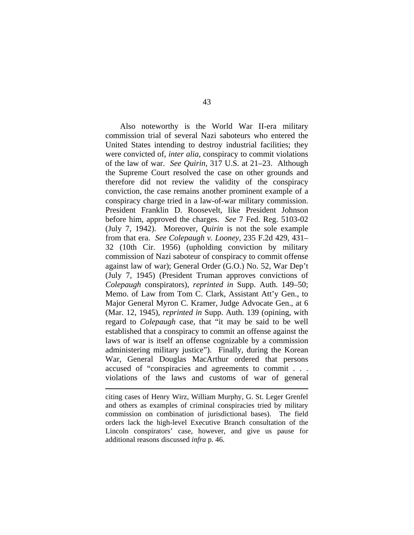Also noteworthy is the World War II-era military commission trial of several Nazi saboteurs who entered the United States intending to destroy industrial facilities; they were convicted of, *inter alia*, conspiracy to commit violations of the law of war. *See Quirin*, 317 U.S. at 21–23. Although the Supreme Court resolved the case on other grounds and therefore did not review the validity of the conspiracy conviction, the case remains another prominent example of a conspiracy charge tried in a law-of-war military commission. President Franklin D. Roosevelt, like President Johnson before him, approved the charges. *See* 7 Fed. Reg. 5103-02 (July 7, 1942). Moreover, *Quirin* is not the sole example from that era. *See Colepaugh v. Looney*, 235 F.2d 429, 431– 32 (10th Cir. 1956) (upholding conviction by military commission of Nazi saboteur of conspiracy to commit offense against law of war); General Order (G.O.) No. 52, War Dep't (July 7, 1945) (President Truman approves convictions of *Colepaugh* conspirators), *reprinted in* Supp. Auth. 149–50; Memo. of Law from Tom C. Clark, Assistant Att'y Gen., to Major General Myron C. Kramer, Judge Advocate Gen., at 6 (Mar. 12, 1945), *reprinted in* Supp. Auth. 139 (opining, with regard to *Colepaugh* case, that "it may be said to be well established that a conspiracy to commit an offense against the laws of war is itself an offense cognizable by a commission administering military justice"). Finally, during the Korean War, General Douglas MacArthur ordered that persons accused of "conspiracies and agreements to commit . . . violations of the laws and customs of war of general

 $\overline{a}$ 

citing cases of Henry Wirz, William Murphy, G. St. Leger Grenfel and others as examples of criminal conspiracies tried by military commission on combination of jurisdictional bases). The field orders lack the high-level Executive Branch consultation of the Lincoln conspirators' case, however, and give us pause for additional reasons discussed *infra* p. 46.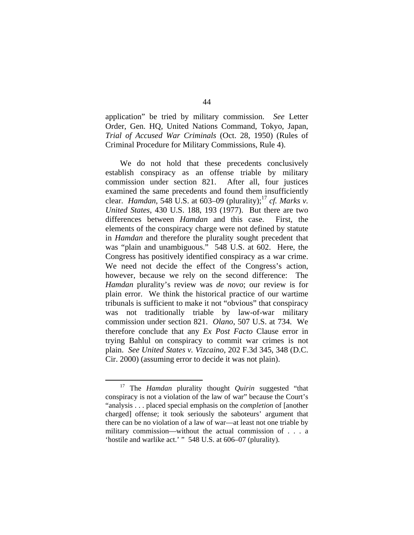application" be tried by military commission. *See* Letter Order, Gen. HQ, United Nations Command, Tokyo, Japan, *Trial of Accused War Criminals* (Oct. 28, 1950) (Rules of Criminal Procedure for Military Commissions, Rule 4).

We do not hold that these precedents conclusively establish conspiracy as an offense triable by military commission under section 821. After all, four justices examined the same precedents and found them insufficiently clear. *Hamdan*, 548 U.S. at 603–09 (plurality);<sup>17</sup> *cf. Marks v. United States*, 430 U.S. 188, 193 (1977). But there are two differences between *Hamdan* and this case. First, the elements of the conspiracy charge were not defined by statute in *Hamdan* and therefore the plurality sought precedent that was "plain and unambiguous." 548 U.S. at 602. Here, the Congress has positively identified conspiracy as a war crime. We need not decide the effect of the Congress's action, however, because we rely on the second difference: The *Hamdan* plurality's review was *de novo*; our review is for plain error. We think the historical practice of our wartime tribunals is sufficient to make it not "obvious" that conspiracy was not traditionally triable by law-of-war military commission under section 821. *Olano*, 507 U.S. at 734. We therefore conclude that any *Ex Post Facto* Clause error in trying Bahlul on conspiracy to commit war crimes is not plain. *See United States v. Vizcaino*, 202 F.3d 345, 348 (D.C. Cir. 2000) (assuming error to decide it was not plain).

 <sup>17</sup> The *Hamdan* plurality thought *Quirin* suggested "that conspiracy is not a violation of the law of war" because the Court's "analysis . . . placed special emphasis on the *completion* of [another charged] offense; it took seriously the saboteurs' argument that there can be no violation of a law of war—at least not one triable by military commission—without the actual commission of . . . a 'hostile and warlike act.' " 548 U.S. at 606–07 (plurality).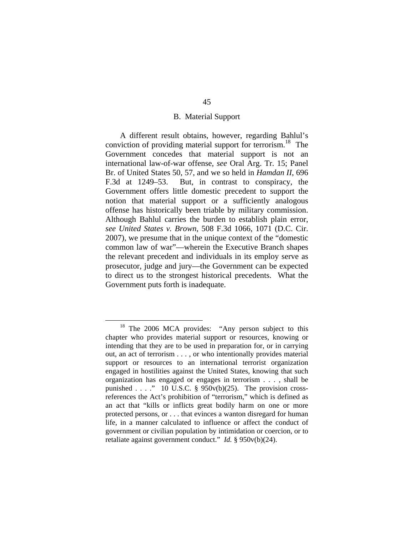## B. Material Support

A different result obtains, however, regarding Bahlul's conviction of providing material support for terrorism.<sup>18</sup> The Government concedes that material support is not an international law-of-war offense, *see* Oral Arg. Tr. 15; Panel Br. of United States 50, 57, and we so held in *Hamdan II*, 696 F.3d at 1249–53. But, in contrast to conspiracy, the Government offers little domestic precedent to support the notion that material support or a sufficiently analogous offense has historically been triable by military commission. Although Bahlul carries the burden to establish plain error, *see United States v. Brown*, 508 F.3d 1066, 1071 (D.C. Cir. 2007), we presume that in the unique context of the "domestic common law of war"—wherein the Executive Branch shapes the relevant precedent and individuals in its employ serve as prosecutor, judge and jury—the Government can be expected to direct us to the strongest historical precedents. What the Government puts forth is inadequate.

<sup>&</sup>lt;sup>18</sup> The 2006 MCA provides: "Any person subject to this chapter who provides material support or resources, knowing or intending that they are to be used in preparation for, or in carrying out, an act of terrorism . . . , or who intentionally provides material support or resources to an international terrorist organization engaged in hostilities against the United States, knowing that such organization has engaged or engages in terrorism . . . , shall be punished  $\ldots$  ." 10 U.S.C. § 950 $v(b)(25)$ . The provision crossreferences the Act's prohibition of "terrorism," which is defined as an act that "kills or inflicts great bodily harm on one or more protected persons, or . . . that evinces a wanton disregard for human life, in a manner calculated to influence or affect the conduct of government or civilian population by intimidation or coercion, or to retaliate against government conduct." *Id.* § 950v(b)(24).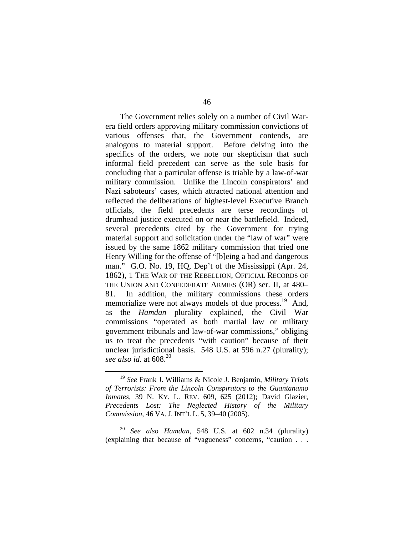The Government relies solely on a number of Civil Warera field orders approving military commission convictions of various offenses that, the Government contends, are analogous to material support. Before delving into the specifics of the orders, we note our skepticism that such informal field precedent can serve as the sole basis for concluding that a particular offense is triable by a law-of-war military commission. Unlike the Lincoln conspirators' and Nazi saboteurs' cases, which attracted national attention and reflected the deliberations of highest-level Executive Branch officials, the field precedents are terse recordings of drumhead justice executed on or near the battlefield. Indeed, several precedents cited by the Government for trying material support and solicitation under the "law of war" were issued by the same 1862 military commission that tried one Henry Willing for the offense of "[b]eing a bad and dangerous man." G.O. No. 19, HQ, Dep't of the Mississippi (Apr. 24, 1862), 1 THE WAR OF THE REBELLION, OFFICIAL RECORDS OF THE UNION AND CONFEDERATE ARMIES (OR) ser. II, at 480– 81. In addition, the military commissions these orders memorialize were not always models of due process.<sup>19</sup> And, as the *Hamdan* plurality explained, the Civil War commissions "operated as both martial law or military government tribunals and law-of-war commissions," obliging us to treat the precedents "with caution" because of their unclear jurisdictional basis. 548 U.S. at 596 n.27 (plurality); *see also id.* at 608.20

<sup>20</sup> *See also Hamdan*, 548 U.S. at 602 n.34 (plurality) (explaining that because of "vagueness" concerns, "caution . . .

 <sup>19</sup> *See* Frank J. Williams & Nicole J. Benjamin, *Military Trials of Terrorists: From the Lincoln Conspirators to the Guantanamo Inmates*, 39 N. KY. L. REV. 609, 625 (2012); David Glazier, *Precedents Lost: The Neglected History of the Military Commission*, 46 VA. J. INT'L L. 5, 39–40 (2005).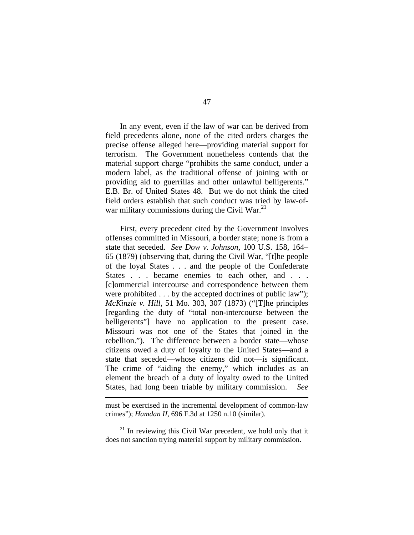In any event, even if the law of war can be derived from field precedents alone, none of the cited orders charges the precise offense alleged here—providing material support for terrorism. The Government nonetheless contends that the material support charge "prohibits the same conduct, under a modern label, as the traditional offense of joining with or providing aid to guerrillas and other unlawful belligerents." E.B. Br. of United States 48. But we do not think the cited field orders establish that such conduct was tried by law-ofwar military commissions during the Civil War. $^{21}$ 

First, every precedent cited by the Government involves offenses committed in Missouri, a border state; none is from a state that seceded. *See Dow v. Johnson*, 100 U.S. 158, 164– 65 (1879) (observing that, during the Civil War, "[t]he people of the loyal States . . . and the people of the Confederate States . . . became enemies to each other, and . . . [c]ommercial intercourse and correspondence between them were prohibited . . . by the accepted doctrines of public law"); *McKinzie v. Hill*, 51 Mo. 303, 307 (1873) ("[T]he principles [regarding the duty of "total non-intercourse between the belligerents" have no application to the present case. Missouri was not one of the States that joined in the rebellion."). The difference between a border state—whose citizens owed a duty of loyalty to the United States—and a state that seceded—whose citizens did not—is significant. The crime of "aiding the enemy," which includes as an element the breach of a duty of loyalty owed to the United States, had long been triable by military commission. *See* 

 $\overline{a}$ 

must be exercised in the incremental development of common-law crimes"); *Hamdan II*, 696 F.3d at 1250 n.10 (similar).

 $21$  In reviewing this Civil War precedent, we hold only that it does not sanction trying material support by military commission.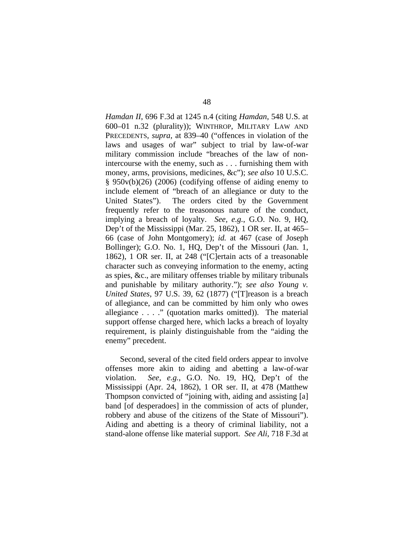*Hamdan II*, 696 F.3d at 1245 n.4 (citing *Hamdan*, 548 U.S. at 600–01 n.32 (plurality)); WINTHROP, MILITARY LAW AND PRECEDENTS, *supra*, at 839–40 ("offences in violation of the laws and usages of war" subject to trial by law-of-war military commission include "breaches of the law of nonintercourse with the enemy, such as . . . furnishing them with money, arms, provisions, medicines, &c"); *see also* 10 U.S.C. § 950v(b)(26) (2006) (codifying offense of aiding enemy to include element of "breach of an allegiance or duty to the United States"). The orders cited by the Government frequently refer to the treasonous nature of the conduct, implying a breach of loyalty. *See, e.g.*, G.O. No. 9, HQ, Dep't of the Mississippi (Mar. 25, 1862), 1 OR ser. II, at 465– 66 (case of John Montgomery); *id.* at 467 (case of Joseph Bollinger); G.O. No. 1, HQ, Dep't of the Missouri (Jan. 1, 1862), 1 OR ser. II, at 248 ("[C]ertain acts of a treasonable character such as conveying information to the enemy, acting as spies, &c., are military offenses triable by military tribunals and punishable by military authority."); *see also Young v. United States*, 97 U.S. 39, 62 (1877) ("[T]reason is a breach of allegiance, and can be committed by him only who owes allegiance . . . ." (quotation marks omitted)). The material support offense charged here, which lacks a breach of loyalty requirement, is plainly distinguishable from the "aiding the enemy" precedent.

Second, several of the cited field orders appear to involve offenses more akin to aiding and abetting a law-of-war violation. *See, e.g.*, G.O. No. 19, HQ, Dep't of the Mississippi (Apr. 24, 1862), 1 OR ser. II, at 478 (Matthew Thompson convicted of "joining with, aiding and assisting [a] band [of desperadoes] in the commission of acts of plunder, robbery and abuse of the citizens of the State of Missouri"). Aiding and abetting is a theory of criminal liability, not a stand-alone offense like material support. *See Ali*, 718 F.3d at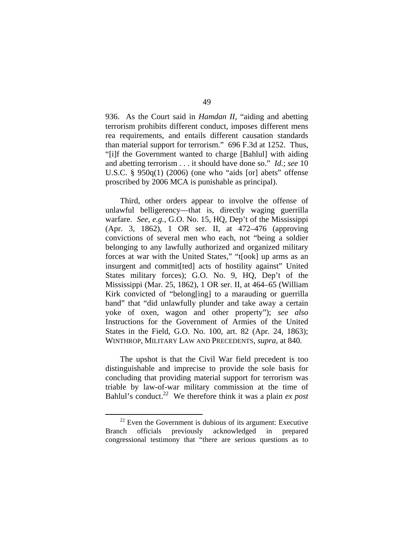936. As the Court said in *Hamdan II*, "aiding and abetting terrorism prohibits different conduct, imposes different mens rea requirements, and entails different causation standards than material support for terrorism." 696 F.3d at 1252. Thus, "[i]f the Government wanted to charge [Bahlul] with aiding and abetting terrorism . . . it should have done so." *Id.*; *see* 10 U.S.C. § 950q(1) (2006) (one who "aids [or] abets" offense proscribed by 2006 MCA is punishable as principal).

Third, other orders appear to involve the offense of unlawful belligerency—that is, directly waging guerrilla warfare. *See, e.g.*, G.O. No. 15, HQ, Dep't of the Mississippi (Apr. 3, 1862), 1 OR ser. II, at 472–476 (approving convictions of several men who each, not "being a soldier belonging to any lawfully authorized and organized military forces at war with the United States," "t[ook] up arms as an insurgent and commit[ted] acts of hostility against" United States military forces); G.O. No. 9, HQ, Dep't of the Mississippi (Mar. 25, 1862), 1 OR ser. II, at 464–65 (William Kirk convicted of "belong[ing] to a marauding or guerrilla band" that "did unlawfully plunder and take away a certain yoke of oxen, wagon and other property"); *see also*  Instructions for the Government of Armies of the United States in the Field, G.O. No. 100, art. 82 (Apr. 24, 1863); WINTHROP, MILITARY LAW AND PRECEDENTS, *supra*, at 840.

The upshot is that the Civil War field precedent is too distinguishable and imprecise to provide the sole basis for concluding that providing material support for terrorism was triable by law-of-war military commission at the time of Bahlul's conduct.<sup>22</sup> We therefore think it was a plain *ex post* 

 $22$  Even the Government is dubious of its argument: Executive Branch officials previously acknowledged in prepared congressional testimony that "there are serious questions as to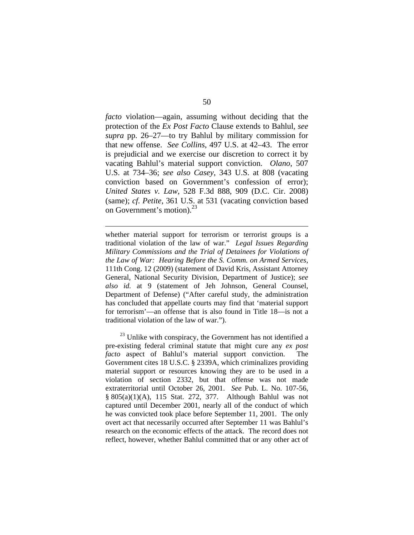*facto* violation—again, assuming without deciding that the protection of the *Ex Post Facto* Clause extends to Bahlul, *see supra* pp. 26–27—to try Bahlul by military commission for that new offense. *See Collins*, 497 U.S. at 42–43. The error is prejudicial and we exercise our discretion to correct it by vacating Bahlul's material support conviction. *Olano*, 507 U.S. at 734–36; *see also Casey*, 343 U.S. at 808 (vacating conviction based on Government's confession of error); *United States v. Law*, 528 F.3d 888, 909 (D.C. Cir. 2008) (same); *cf. Petite*, 361 U.S. at 531 (vacating conviction based on Government's motion). $^{23}$ 

whether material support for terrorism or terrorist groups is a traditional violation of the law of war." *Legal Issues Regarding Military Commissions and the Trial of Detainees for Violations of the Law of War: Hearing Before the S. Comm. on Armed Services*, 111th Cong. 12 (2009) (statement of David Kris, Assistant Attorney General, National Security Division, Department of Justice); *see also id.* at 9 (statement of Jeh Johnson, General Counsel, Department of Defense) ("After careful study, the administration has concluded that appellate courts may find that 'material support for terrorism'—an offense that is also found in Title 18—is not a traditional violation of the law of war.").

 $\overline{a}$ 

 $^{23}$  Unlike with conspiracy, the Government has not identified a pre-existing federal criminal statute that might cure any *ex post facto* aspect of Bahlul's material support conviction. The Government cites 18 U.S.C. § 2339A, which criminalizes providing material support or resources knowing they are to be used in a violation of section 2332, but that offense was not made extraterritorial until October 26, 2001. *See* Pub. L. No. 107-56, § 805(a)(1)(A), 115 Stat. 272, 377. Although Bahlul was not captured until December 2001, nearly all of the conduct of which he was convicted took place before September 11, 2001. The only overt act that necessarily occurred after September 11 was Bahlul's research on the economic effects of the attack. The record does not reflect, however, whether Bahlul committed that or any other act of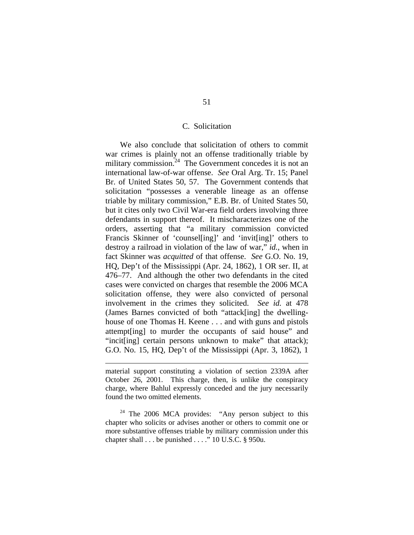## C. Solicitation

We also conclude that solicitation of others to commit war crimes is plainly not an offense traditionally triable by military commission.<sup>24</sup> The Government concedes it is not an international law-of-war offense. *See* Oral Arg. Tr. 15; Panel Br. of United States 50, 57. The Government contends that solicitation "possesses a venerable lineage as an offense triable by military commission," E.B. Br. of United States 50, but it cites only two Civil War-era field orders involving three defendants in support thereof. It mischaracterizes one of the orders, asserting that "a military commission convicted Francis Skinner of 'counsel[ing]' and 'invit[ing]' others to destroy a railroad in violation of the law of war," *id.*, when in fact Skinner was *acquitted* of that offense. *See* G.O. No. 19, HQ, Dep't of the Mississippi (Apr. 24, 1862), 1 OR ser. II, at 476–77. And although the other two defendants in the cited cases were convicted on charges that resemble the 2006 MCA solicitation offense, they were also convicted of personal involvement in the crimes they solicited. *See id.* at 478 (James Barnes convicted of both "attack[ing] the dwellinghouse of one Thomas H. Keene . . . and with guns and pistols attempt[ing] to murder the occupants of said house" and "incit[ing] certain persons unknown to make" that attack); G.O. No. 15, HQ, Dep't of the Mississippi (Apr. 3, 1862), 1

1

material support constituting a violation of section 2339A after October 26, 2001. This charge, then, is unlike the conspiracy charge, where Bahlul expressly conceded and the jury necessarily found the two omitted elements.

<sup>&</sup>lt;sup>24</sup> The 2006 MCA provides: "Any person subject to this chapter who solicits or advises another or others to commit one or more substantive offenses triable by military commission under this chapter shall  $\ldots$  be punished  $\ldots$  ." 10 U.S.C. § 950u.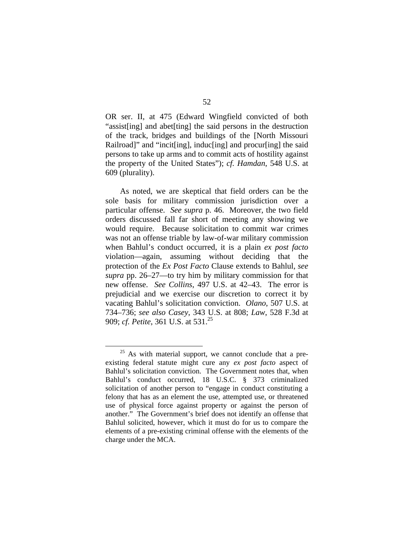OR ser. II, at 475 (Edward Wingfield convicted of both "assist[ing] and abet[ting] the said persons in the destruction of the track, bridges and buildings of the [North Missouri Railroad]" and "incit[ing], induc[ing] and procur[ing] the said persons to take up arms and to commit acts of hostility against the property of the United States"); *cf. Hamdan*, 548 U.S. at 609 (plurality).

As noted, we are skeptical that field orders can be the sole basis for military commission jurisdiction over a particular offense. *See supra* p. 46. Moreover, the two field orders discussed fall far short of meeting any showing we would require. Because solicitation to commit war crimes was not an offense triable by law-of-war military commission when Bahlul's conduct occurred, it is a plain *ex post facto*  violation—again, assuming without deciding that the protection of the *Ex Post Facto* Clause extends to Bahlul, *see supra* pp. 26–27—to try him by military commission for that new offense. *See Collins*, 497 U.S. at 42–43. The error is prejudicial and we exercise our discretion to correct it by vacating Bahlul's solicitation conviction. *Olano*, 507 U.S. at 734–736; *see also Casey*, 343 U.S. at 808; *Law*, 528 F.3d at 909; *cf. Petite*, 361 U.S. at 531.<sup>25</sup>

<sup>&</sup>lt;sup>25</sup> As with material support, we cannot conclude that a preexisting federal statute might cure any *ex post facto* aspect of Bahlul's solicitation conviction. The Government notes that, when Bahlul's conduct occurred, 18 U.S.C. § 373 criminalized solicitation of another person to "engage in conduct constituting a felony that has as an element the use, attempted use, or threatened use of physical force against property or against the person of another." The Government's brief does not identify an offense that Bahlul solicited, however, which it must do for us to compare the elements of a pre-existing criminal offense with the elements of the charge under the MCA.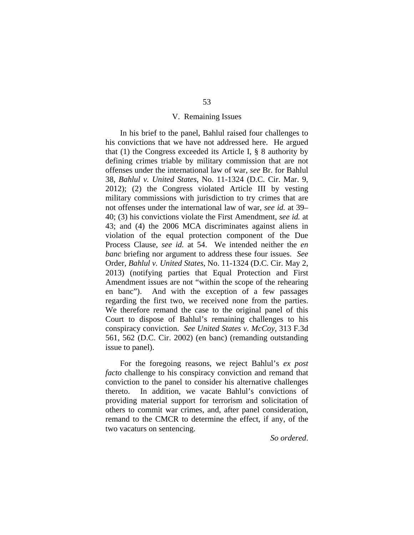## V. Remaining Issues

In his brief to the panel, Bahlul raised four challenges to his convictions that we have not addressed here. He argued that (1) the Congress exceeded its Article I, § 8 authority by defining crimes triable by military commission that are not offenses under the international law of war, *see* Br. for Bahlul 38, *Bahlul v. United States*, No. 11-1324 (D.C. Cir. Mar. 9, 2012); (2) the Congress violated Article III by vesting military commissions with jurisdiction to try crimes that are not offenses under the international law of war, *see id.* at 39– 40; (3) his convictions violate the First Amendment, *see id.* at 43; and (4) the 2006 MCA discriminates against aliens in violation of the equal protection component of the Due Process Clause, *see id.* at 54. We intended neither the *en banc* briefing nor argument to address these four issues. *See*  Order, *Bahlul v. United States*, No. 11-1324 (D.C. Cir. May 2, 2013) (notifying parties that Equal Protection and First Amendment issues are not "within the scope of the rehearing en banc"). And with the exception of a few passages regarding the first two, we received none from the parties. We therefore remand the case to the original panel of this Court to dispose of Bahlul's remaining challenges to his conspiracy conviction. *See United States v. McCoy*, 313 F.3d 561, 562 (D.C. Cir. 2002) (en banc) (remanding outstanding issue to panel).

For the foregoing reasons, we reject Bahlul's *ex post facto* challenge to his conspiracy conviction and remand that conviction to the panel to consider his alternative challenges thereto. In addition, we vacate Bahlul's convictions of providing material support for terrorism and solicitation of others to commit war crimes, and, after panel consideration, remand to the CMCR to determine the effect, if any, of the two vacaturs on sentencing.

*So ordered*.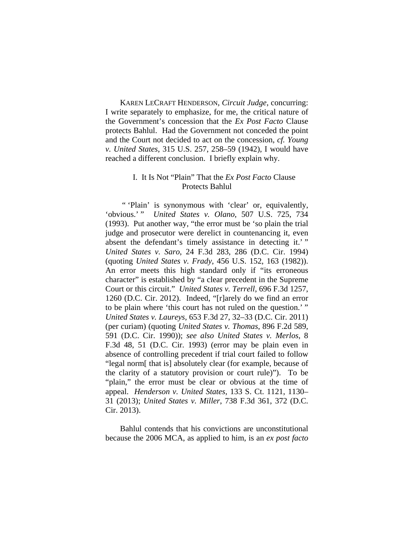KAREN LECRAFT HENDERSON, *Circuit Judge*, concurring: I write separately to emphasize, for me, the critical nature of the Government's concession that the *Ex Post Facto* Clause protects Bahlul. Had the Government not conceded the point and the Court not decided to act on the concession, *cf. Young v. United States*, 315 U.S. 257, 258–59 (1942), I would have reached a different conclusion. I briefly explain why.

# I. It Is Not "Plain" That the *Ex Post Facto* Clause Protects Bahlul

 " 'Plain' is synonymous with 'clear' or, equivalently, 'obvious.' " *United States v. Olano*, 507 U.S. 725, 734 (1993). Put another way, "the error must be 'so plain the trial judge and prosecutor were derelict in countenancing it, even absent the defendant's timely assistance in detecting it.'" *United States v. Saro*, 24 F.3d 283, 286 (D.C. Cir. 1994) (quoting *United States v. Frady*, 456 U.S. 152, 163 (1982)). An error meets this high standard only if "its erroneous character" is established by "a clear precedent in the Supreme Court or this circuit." *United States v. Terrell*, 696 F.3d 1257, 1260 (D.C. Cir. 2012). Indeed, "[r]arely do we find an error to be plain where 'this court has not ruled on the question.' " *United States v. Laureys*, 653 F.3d 27, 32–33 (D.C. Cir. 2011) (per curiam) (quoting *United States v. Thomas*, 896 F.2d 589, 591 (D.C. Cir. 1990)); *see also United States v. Merlos*, 8 F.3d 48, 51 (D.C. Cir. 1993) (error may be plain even in absence of controlling precedent if trial court failed to follow "legal norm[ that is] absolutely clear (for example, because of the clarity of a statutory provision or court rule)").To be "plain," the error must be clear or obvious at the time of appeal. *Henderson v. United States*, 133 S. Ct. 1121, 1130– 31 (2013); *United States v. Miller*, 738 F.3d 361, 372 (D.C. Cir. 2013).

Bahlul contends that his convictions are unconstitutional because the 2006 MCA, as applied to him, is an *ex post facto*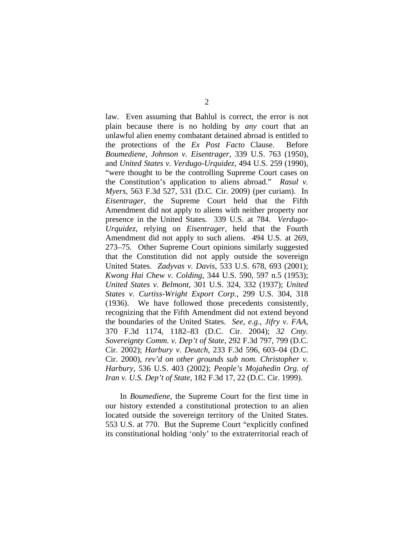law. Even assuming that Bahlul is correct, the error is not plain because there is no holding by *any* court that an unlawful alien enemy combatant detained abroad is entitled to the protections of the *Ex Post Facto* Clause. Before *Boumediene*, *Johnson v. Eisentrager*, 339 U.S. 763 (1950), and *United States v. Verdugo-Urquidez*, 494 U.S. 259 (1990), "were thought to be the controlling Supreme Court cases on the Constitution's application to aliens abroad." *Rasul v. Myers*, 563 F.3d 527, 531 (D.C. Cir. 2009) (per curiam). In *Eisentrager*, the Supreme Court held that the Fifth Amendment did not apply to aliens with neither property nor presence in the United States. 339 U.S. at 784. *Verdugo-Urquidez*, relying on *Eisentrager*, held that the Fourth Amendment did not apply to such aliens. 494 U.S. at 269, 273–75. Other Supreme Court opinions similarly suggested that the Constitution did not apply outside the sovereign United States. *Zadyvas v. Davis*, 533 U.S. 678, 693 (2001); *Kwong Hai Chew v. Colding*, 344 U.S. 590, 597 n.5 (1953); *United States v. Belmont*, 301 U.S. 324, 332 (1937); *United States v. Curtiss-Wright Export Corp.*, 299 U.S. 304, 318 (1936). We have followed those precedents consistently, recognizing that the Fifth Amendment did not extend beyond the boundaries of the United States. *See, e.g.*, *Jifry v. FAA*, 370 F.3d 1174, 1182–83 (D.C. Cir. 2004); *32 Cnty. Sovereignty Comm. v. Dep't of State*, 292 F.3d 797, 799 (D.C. Cir. 2002); *Harbury v. Deutch*, 233 F.3d 596, 603–04 (D.C. Cir. 2000), *rev'd on other grounds sub nom. Christopher v. Harbury*, 536 U.S. 403 (2002); *People's Mojahedin Org. of Iran v. U.S. Dep't of State*, 182 F.3d 17, 22 (D.C. Cir. 1999).

In *Boumediene*, the Supreme Court for the first time in our history extended a constitutional protection to an alien located outside the sovereign territory of the United States. 553 U.S. at 770. But the Supreme Court "explicitly confined its constitutional holding 'only' to the extraterritorial reach of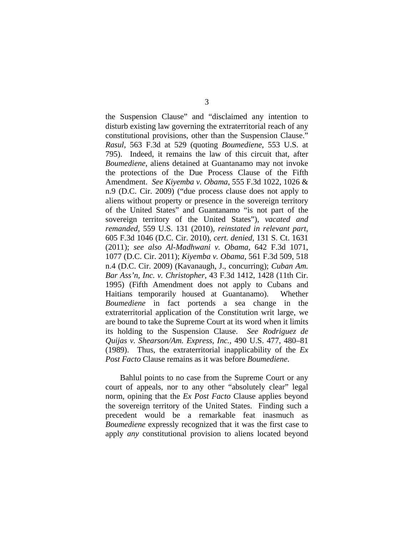the Suspension Clause" and "disclaimed any intention to disturb existing law governing the extraterritorial reach of any constitutional provisions, other than the Suspension Clause." *Rasul*, 563 F.3d at 529 (quoting *Boumediene*, 553 U.S. at 795). Indeed, it remains the law of this circuit that, after *Boumediene*, aliens detained at Guantanamo may not invoke the protections of the Due Process Clause of the Fifth Amendment. *See Kiyemba v. Obama*, 555 F.3d 1022, 1026 & n.9 (D.C. Cir. 2009) ("due process clause does not apply to aliens without property or presence in the sovereign territory of the United States" and Guantanamo "is not part of the sovereign territory of the United States"), *vacated and remanded*, 559 U.S. 131 (2010), *reinstated in relevant part*, 605 F.3d 1046 (D.C. Cir. 2010), *cert. denied*, 131 S. Ct. 1631 (2011); *see also Al-Madhwani v. Obama*, 642 F.3d 1071, 1077 (D.C. Cir. 2011); *Kiyemba v. Obama*, 561 F.3d 509, 518 n.4 (D.C. Cir. 2009) (Kavanaugh, J., concurring); *Cuban Am. Bar Ass'n, Inc. v. Christopher*, 43 F.3d 1412, 1428 (11th Cir. 1995) (Fifth Amendment does not apply to Cubans and Haitians temporarily housed at Guantanamo). Whether *Boumediene* in fact portends a sea change in the extraterritorial application of the Constitution writ large, we are bound to take the Supreme Court at its word when it limits its holding to the Suspension Clause. *See Rodriguez de Quijas v. Shearson/Am. Express, Inc.*, 490 U.S. 477, 480–81 (1989). Thus, the extraterritorial inapplicability of the *Ex Post Facto* Clause remains as it was before *Boumediene*.

Bahlul points to no case from the Supreme Court or any court of appeals, nor to any other "absolutely clear" legal norm, opining that the *Ex Post Facto* Clause applies beyond the sovereign territory of the United States. Finding such a precedent would be a remarkable feat inasmuch as *Boumediene* expressly recognized that it was the first case to apply *any* constitutional provision to aliens located beyond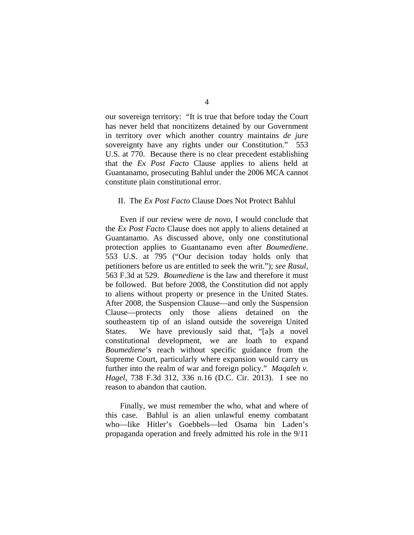our sovereign territory: "It is true that before today the Court has never held that noncitizens detained by our Government in territory over which another country maintains *de jure* sovereignty have any rights under our Constitution." 553 U.S. at 770. Because there is no clear precedent establishing that the *Ex Post Facto* Clause applies to aliens held at Guantanamo, prosecuting Bahlul under the 2006 MCA cannot constitute plain constitutional error.

#### II. The *Ex Post Facto* Clause Does Not Protect Bahlul

 Even if our review were *de novo*, I would conclude that the *Ex Post Facto* Clause does not apply to aliens detained at Guantanamo. As discussed above, only one constitutional protection applies to Guantanamo even after *Boumediene*. 553 U.S. at 795 ("Our decision today holds only that petitioners before us are entitled to seek the writ."); *see Rasul*, 563 F.3d at 529. *Boumediene* is the law and therefore it must be followed. But before 2008, the Constitution did not apply to aliens without property or presence in the United States. After 2008, the Suspension Clause—and only the Suspension Clause—protects only those aliens detained on the southeastern tip of an island outside the sovereign United States. We have previously said that, "[a]s a novel constitutional development, we are loath to expand *Boumediene*'s reach without specific guidance from the Supreme Court, particularly where expansion would carry us further into the realm of war and foreign policy." *Maqaleh v. Hagel*, 738 F.3d 312, 336 n.16 (D.C. Cir. 2013). I see no reason to abandon that caution.

Finally, we must remember the who, what and where of this case. Bahlul is an alien unlawful enemy combatant who—like Hitler's Goebbels—led Osama bin Laden's propaganda operation and freely admitted his role in the 9/11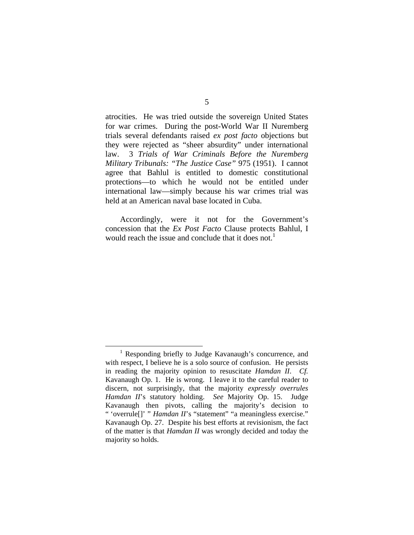atrocities. He was tried outside the sovereign United States for war crimes. During the post-World War II Nuremberg trials several defendants raised *ex post facto* objections but they were rejected as "sheer absurdity" under international law. 3 *Trials of War Criminals Before the Nuremberg Military Tribunals: "The Justice Case"* 975 (1951). I cannot agree that Bahlul is entitled to domestic constitutional protections—to which he would not be entitled under international law—simply because his war crimes trial was held at an American naval base located in Cuba.

 Accordingly, were it not for the Government's concession that the *Ex Post Facto* Clause protects Bahlul, I would reach the issue and conclude that it does not.<sup>1</sup>

 <sup>1</sup> <sup>1</sup> Responding briefly to Judge Kavanaugh's concurrence, and with respect, I believe he is a solo source of confusion. He persists in reading the majority opinion to resuscitate *Hamdan II*. *Cf.*  Kavanaugh Op. 1. He is wrong. I leave it to the careful reader to discern, not surprisingly, that the majority *expressly overrules Hamdan II*'s statutory holding. *See* Majority Op. 15. Judge Kavanaugh then pivots, calling the majority's decision to " 'overrule<sup>[]</sup>' " *Hamdan II*'s "statement" "a meaningless exercise." Kavanaugh Op. 27. Despite his best efforts at revisionism, the fact of the matter is that *Hamdan II* was wrongly decided and today the majority so holds.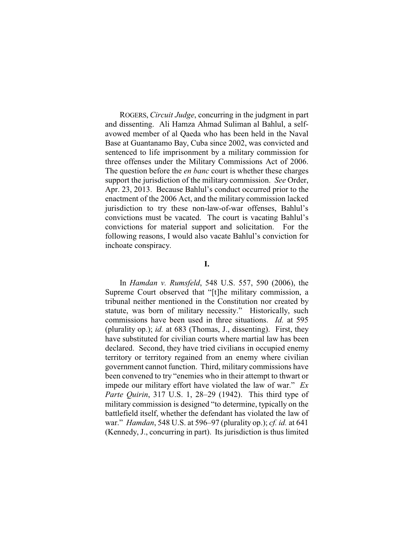ROGERS, *Circuit Judge*, concurring in the judgment in part and dissenting. Ali Hamza Ahmad Suliman al Bahlul, a selfavowed member of al Qaeda who has been held in the Naval Base at Guantanamo Bay, Cuba since 2002, was convicted and sentenced to life imprisonment by a military commission for three offenses under the Military Commissions Act of 2006. The question before the *en banc* court is whether these charges support the jurisdiction of the military commission. *See* Order, Apr. 23, 2013. Because Bahlul's conduct occurred prior to the enactment of the 2006 Act, and the military commission lacked jurisdiction to try these non-law-of-war offenses, Bahlul's convictions must be vacated. The court is vacating Bahlul's convictions for material support and solicitation. For the following reasons, I would also vacate Bahlul's conviction for inchoate conspiracy.

## **I.**

In *Hamdan v. Rumsfeld*, 548 U.S. 557, 590 (2006), the Supreme Court observed that "[t]he military commission, a tribunal neither mentioned in the Constitution nor created by statute, was born of military necessity." Historically, such commissions have been used in three situations. *Id.* at 595 (plurality op.); *id.* at 683 (Thomas, J., dissenting). First, they have substituted for civilian courts where martial law has been declared. Second, they have tried civilians in occupied enemy territory or territory regained from an enemy where civilian government cannot function. Third, military commissions have been convened to try "enemies who in their attempt to thwart or impede our military effort have violated the law of war." *Ex Parte Quirin*, 317 U.S. 1, 28–29 (1942). This third type of military commission is designed "to determine, typically on the battlefield itself, whether the defendant has violated the law of war." *Hamdan*, 548 U.S. at 596–97 (plurality op.); *cf. id.* at 641 (Kennedy, J., concurring in part). Its jurisdiction is thus limited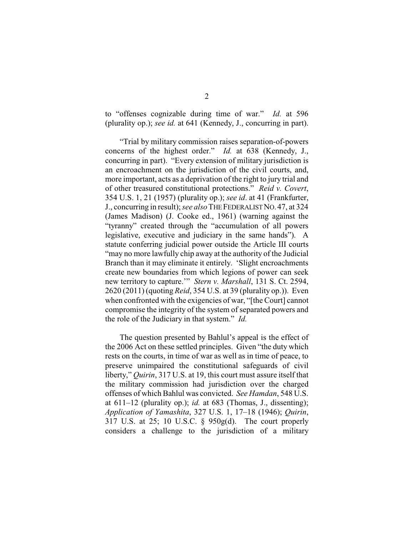to "offenses cognizable during time of war." *Id.* at 596 (plurality op.); *see id.* at 641 (Kennedy, J., concurring in part).

"Trial by military commission raises separation-of-powers concerns of the highest order." *Id.* at 638 (Kennedy, J., concurring in part). "Every extension of military jurisdiction is an encroachment on the jurisdiction of the civil courts, and, more important, acts as a deprivation of the right to jury trial and of other treasured constitutional protections." *Reid v. Covert*, 354 U.S. 1, 21 (1957) (plurality op.); *see id*. at 41 (Frankfurter, J., concurring in result); *see also*THEFEDERALIST NO. 47, at 324 (James Madison) (J. Cooke ed., 1961) (warning against the "tyranny" created through the "accumulation of all powers legislative, executive and judiciary in the same hands"). A statute conferring judicial power outside the Article III courts "may no more lawfully chip away at the authority of the Judicial Branch than it may eliminate it entirely. 'Slight encroachments create new boundaries from which legions of power can seek new territory to capture.'" *Stern v. Marshall*, 131 S. Ct. 2594, 2620 (2011) (quoting *Reid*, 354 U.S. at 39 (plurality op.)). Even when confronted with the exigencies of war, "[the Court] cannot compromise the integrity of the system of separated powers and the role of the Judiciary in that system." *Id.*

The question presented by Bahlul's appeal is the effect of the 2006 Act on these settled principles. Given "the duty which rests on the courts, in time of war as well as in time of peace, to preserve unimpaired the constitutional safeguards of civil liberty," *Quirin*, 317 U.S. at 19, this court must assure itself that the military commission had jurisdiction over the charged offenses of which Bahlul was convicted. *See Hamdan*, 548 U.S. at  $611-12$  (plurality op.); *id.* at  $683$  (Thomas, J., dissenting); *Application of Yamashita*, 327 U.S. 1, 17–18 (1946); *Quirin*, 317 U.S. at 25; 10 U.S.C. § 950g(d). The court properly considers a challenge to the jurisdiction of a military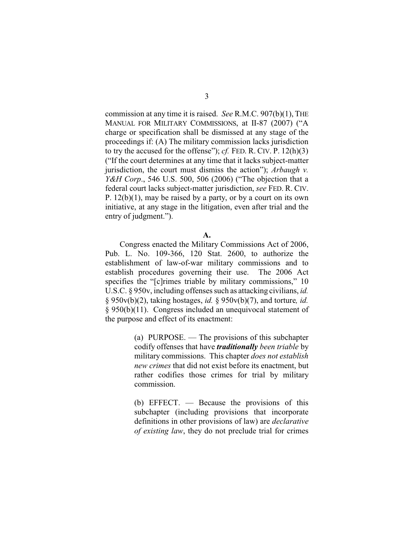commission at any time it is raised. *See* R.M.C. 907(b)(1), THE MANUAL FOR MILITARY COMMISSIONS, at II-87 (2007) ("A charge or specification shall be dismissed at any stage of the proceedings if: (A) The military commission lacks jurisdiction to try the accused for the offense"); *cf.* FED. R. CIV. P. 12(h)(3) ("If the court determines at any time that it lacks subject-matter jurisdiction, the court must dismiss the action"); *Arbaugh v. Y&H Corp.*, 546 U.S. 500, 506 (2006) ("The objection that a federal court lacks subject-matter jurisdiction, *see* FED. R. CIV. P.  $12(b)(1)$ , may be raised by a party, or by a court on its own initiative, at any stage in the litigation, even after trial and the entry of judgment.").

Congress enacted the Military Commissions Act of 2006, Pub. L. No. 109-366, 120 Stat. 2600, to authorize the establishment of law-of-war military commissions and to establish procedures governing their use. The 2006 Act specifies the "[c]rimes triable by military commissions," 10 U.S.C. § 950v, including offenses such as attacking civilians, *id.* § 950v(b)(2), taking hostages, *id.* § 950v(b)(7), and torture*, id.* § 950(b)(11). Congress included an unequivocal statement of the purpose and effect of its enactment:

> (a) PURPOSE. — The provisions of this subchapter codify offenses that have *traditionally been triable* by military commissions. This chapter *does not establish new crimes* that did not exist before its enactment, but rather codifies those crimes for trial by military commission.

> (b) EFFECT. — Because the provisions of this subchapter (including provisions that incorporate definitions in other provisions of law) are *declarative of existing law*, they do not preclude trial for crimes

**A.**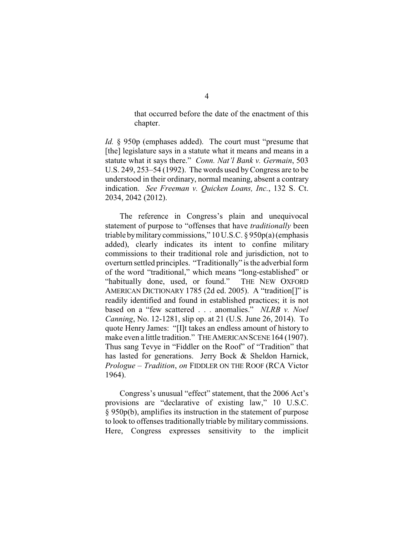that occurred before the date of the enactment of this chapter.

*Id.* § 950p (emphases added). The court must "presume that [the] legislature says in a statute what it means and means in a statute what it says there." *Conn. Nat'l Bank v. Germain*, 503 U.S. 249, 253–54 (1992). The words used byCongress are to be understood in their ordinary, normal meaning, absent a contrary indication. *See Freeman v. Quicken Loans, Inc.*, 132 S. Ct. 2034, 2042 (2012).

The reference in Congress's plain and unequivocal statement of purpose to "offenses that have *traditionally* been triable bymilitarycommissions," 10 U.S.C. § 950p(a)(emphasis added), clearly indicates its intent to confine military commissions to their traditional role and jurisdiction, not to overturn settled principles. "Traditionally" is the adverbial form of the word "traditional," which means "long-established" or "habitually done, used, or found." THE NEW OXFORD AMERICAN DICTIONARY 1785 (2d ed. 2005). A "tradition[]" is readily identified and found in established practices; it is not based on a "few scattered . . . anomalies." *NLRB v. Noel Canning*, No. 12-1281, slip op. at 21 (U.S. June 26, 2014). To quote Henry James: "[I]t takes an endless amount of history to make even a little tradition." THE AMERICAN SCENE 164 (1907). Thus sang Tevye in "Fiddler on the Roof" of "Tradition" that has lasted for generations. Jerry Bock & Sheldon Harnick, *Prologue* – *Tradition*, *on* FIDDLER ON THE ROOF (RCA Victor 1964).

Congress's unusual "effect" statement, that the 2006 Act's provisions are "declarative of existing law," 10 U.S.C. § 950p(b), amplifies its instruction in the statement of purpose to look to offenses traditionally triable bymilitary commissions. Here, Congress expresses sensitivity to the implicit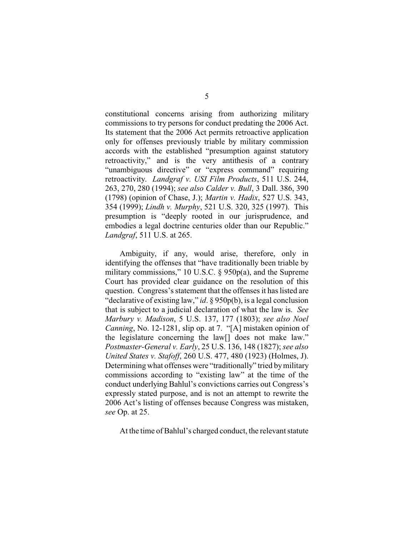constitutional concerns arising from authorizing military commissions to try persons for conduct predating the 2006 Act. Its statement that the 2006 Act permits retroactive application only for offenses previously triable by military commission accords with the established "presumption against statutory retroactivity," and is the very antithesis of a contrary "unambiguous directive" or "express command" requiring retroactivity. *Landgraf v. USI Film Products*, 511 U.S. 244, 263, 270, 280 (1994); *see also Calder v. Bull*, 3 Dall. 386, 390 (1798) (opinion of Chase, J.); *Martin v. Hadix*, 527 U.S. 343, 354 (1999); *Lindh v. Murphy*, 521 U.S. 320, 325 (1997). This presumption is "deeply rooted in our jurisprudence, and embodies a legal doctrine centuries older than our Republic." *Landgraf*, 511 U.S. at 265.

Ambiguity, if any, would arise, therefore, only in identifying the offenses that "have traditionally been triable by military commissions," 10 U.S.C. § 950p(a), and the Supreme Court has provided clear guidance on the resolution of this question. Congress's statement that the offenses it has listed are "declarative of existing law," *id*. § 950p(b), is a legal conclusion that is subject to a judicial declaration of what the law is. *See Marbury v. Madison*, 5 U.S. 137, 177 (1803); *see also Noel Canning*, No. 12-1281, slip op. at 7. "[A] mistaken opinion of the legislature concerning the law[] does not make law." *Postmaster-General v. Early*, 25 U.S. 136, 148 (1827); *see also United States v. Stafoff*, 260 U.S. 477, 480 (1923) (Holmes, J). Determining what offenses were "traditionally" tried bymilitary commissions according to "existing law" at the time of the conduct underlying Bahlul's convictions carries out Congress's expressly stated purpose, and is not an attempt to rewrite the 2006 Act's listing of offenses because Congress was mistaken, *see* Op. at 25.

At the time of Bahlul's charged conduct, the relevant statute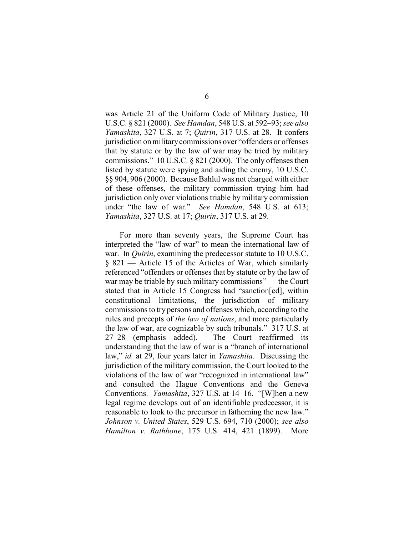was Article 21 of the Uniform Code of Military Justice, 10 U.S.C. § 821 (2000). *See Hamdan*, 548 U.S. at 592–93; *see also Yamashita*, 327 U.S. at 7; *Quirin*, 317 U.S. at 28. It confers jurisdiction on militarycommissions over "offenders or offenses that by statute or by the law of war may be tried by military commissions." 10 U.S.C. § 821 (2000). The only offenses then listed by statute were spying and aiding the enemy, 10 U.S.C. §§ 904, 906 (2000). Because Bahlul was not charged with either of these offenses, the military commission trying him had jurisdiction only over violations triable by military commission under "the law of war." *See Hamdan*, 548 U.S. at 613; *Yamashita*, 327 U.S. at 17; *Quirin*, 317 U.S. at 29.

For more than seventy years, the Supreme Court has interpreted the "law of war" to mean the international law of war. In *Quirin*, examining the predecessor statute to 10 U.S.C. § 821 — Article 15 of the Articles of War, which similarly referenced "offenders or offenses that by statute or by the law of war may be triable by such military commissions" — the Court stated that in Article 15 Congress had "sanction[ed], within constitutional limitations, the jurisdiction of military commissions to try persons and offenses which, according to the rules and precepts of *the law of nations*, and more particularly the law of war, are cognizable by such tribunals." 317 U.S. at 27–28 (emphasis added). The Court reaffirmed its understanding that the law of war is a "branch of international law," *id.* at 29, four years later in *Yamashita.* Discussing the jurisdiction of the military commission, the Court looked to the violations of the law of war "recognized in international law" and consulted the Hague Conventions and the Geneva Conventions. *Yamashita*, 327 U.S. at 14–16. "[W]hen a new legal regime develops out of an identifiable predecessor, it is reasonable to look to the precursor in fathoming the new law." *Johnson v. United States*, 529 U.S. 694, 710 (2000); *see also Hamilton v. Rathbone*, 175 U.S. 414, 421 (1899). More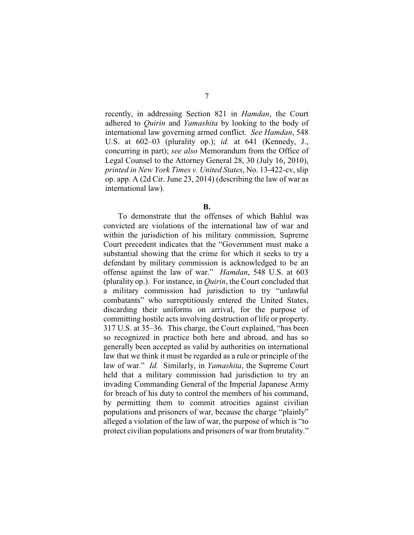recently, in addressing Section 821 in *Hamdan*, the Court adhered to *Quirin* and *Yamashita* by looking to the body of international law governing armed conflict. *See Hamdan*, 548 U.S. at 602–03 (plurality op.); *id.* at 641 (Kennedy, J., concurring in part); *see also* Memorandum from the Office of Legal Counsel to the Attorney General 28, 30 (July 16, 2010), *printed in New York Times v. United States*, No. 13-422-cv, slip op. app. A (2d Cir. June 23, 2014) (describing the law of war as international law).

**B.**

To demonstrate that the offenses of which Bahlul was convicted are violations of the international law of war and within the jurisdiction of his military commission, Supreme Court precedent indicates that the "Government must make a substantial showing that the crime for which it seeks to try a defendant by military commission is acknowledged to be an offense against the law of war." *Hamdan*, 548 U.S. at 603 (plurality op.). For instance, in *Quirin*, the Court concluded that a military commission had jurisdiction to try "unlawful combatants" who surreptitiously entered the United States, discarding their uniforms on arrival, for the purpose of committing hostile acts involving destruction of life or property. 317 U.S. at 35–36. This charge, the Court explained, "has been so recognized in practice both here and abroad, and has so generally been accepted as valid by authorities on international law that we think it must be regarded as a rule or principle of the law of war." *Id.* Similarly, in *Yamashita*, the Supreme Court held that a military commission had jurisdiction to try an invading Commanding General of the Imperial Japanese Army for breach of his duty to control the members of his command, by permitting them to commit atrocities against civilian populations and prisoners of war, because the charge "plainly" alleged a violation of the law of war, the purpose of which is "to protect civilian populations and prisoners of war from brutality."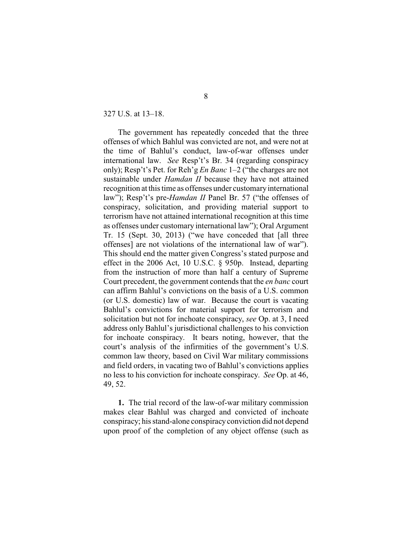#### 327 U.S. at 13–18.

The government has repeatedly conceded that the three offenses of which Bahlul was convicted are not, and were not at the time of Bahlul's conduct, law-of-war offenses under international law. *See* Resp't's Br. 34 (regarding conspiracy only); Resp't's Pet. for Reh'g *En Banc* 1–2 ("the charges are not sustainable under *Hamdan II* because they have not attained recognition at this time as offenses under customary international law"); Resp't's pre-*Hamdan II* Panel Br. 57 ("the offenses of conspiracy, solicitation, and providing material support to terrorism have not attained international recognition at this time as offenses under customary international law"); Oral Argument Tr. 15 (Sept. 30, 2013) ("we have conceded that [all three offenses] are not violations of the international law of war"). This should end the matter given Congress's stated purpose and effect in the 2006 Act, 10 U.S.C. § 950p. Instead, departing from the instruction of more than half a century of Supreme Court precedent, the government contends that the *en banc* court can affirm Bahlul's convictions on the basis of a U.S. common (or U.S. domestic) law of war. Because the court is vacating Bahlul's convictions for material support for terrorism and solicitation but not for inchoate conspiracy, *see* Op. at 3, I need address only Bahlul's jurisdictional challenges to his conviction for inchoate conspiracy. It bears noting, however, that the court's analysis of the infirmities of the government's U.S. common law theory, based on Civil War military commissions and field orders, in vacating two of Bahlul's convictions applies no less to his conviction for inchoate conspiracy. *See* Op. at 46, 49, 52.

**1.** The trial record of the law-of-war military commission makes clear Bahlul was charged and convicted of inchoate conspiracy; his stand-alone conspiracyconviction did not depend upon proof of the completion of any object offense (such as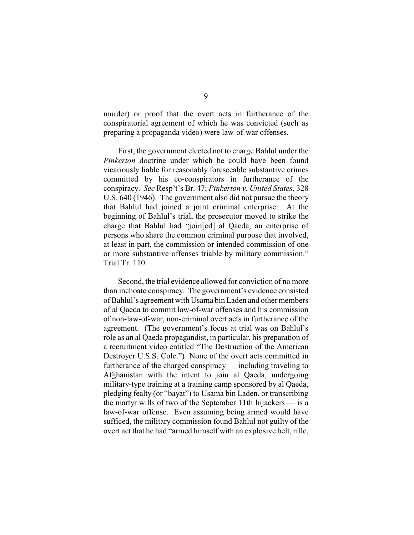murder) or proof that the overt acts in furtherance of the conspiratorial agreement of which he was convicted (such as preparing a propaganda video) were law-of-war offenses.

First, the government elected not to charge Bahlul under the *Pinkerton* doctrine under which he could have been found vicariously liable for reasonably foreseeable substantive crimes committed by his co-conspirators in furtherance of the conspiracy. *See* Resp't's Br. 47; *Pinkerton v. United States*, 328 U.S. 640 (1946). The government also did not pursue the theory that Bahlul had joined a joint criminal enterprise. At the beginning of Bahlul's trial, the prosecutor moved to strike the charge that Bahlul had "join[ed] al Qaeda, an enterprise of persons who share the common criminal purpose that involved, at least in part, the commission or intended commission of one or more substantive offenses triable by military commission." Trial Tr. 110.

Second, the trial evidence allowed for conviction of no more than inchoate conspiracy. The government's evidence consisted of Bahlul's agreement with Usama bin Laden and other members of al Qaeda to commit law-of-war offenses and his commission of non-law-of-war, non-criminal overt acts in furtherance of the agreement. (The government's focus at trial was on Bahlul's role as an al Qaeda propagandist, in particular, his preparation of a recruitment video entitled "The Destruction of the American Destroyer U.S.S. Cole.") None of the overt acts committed in furtherance of the charged conspiracy — including traveling to Afghanistan with the intent to join al Qaeda, undergoing military-type training at a training camp sponsored by al Qaeda, pledging fealty (or "bayat") to Usama bin Laden, or transcribing the martyr wills of two of the September 11th hijackers — is a law-of-war offense. Even assuming being armed would have sufficed, the military commission found Bahlul not guilty of the overt act that he had "armed himself with an explosive belt, rifle,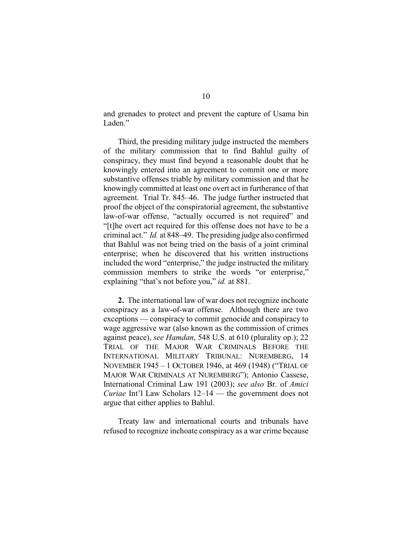and grenades to protect and prevent the capture of Usama bin Laden."

Third, the presiding military judge instructed the members of the military commission that to find Bahlul guilty of conspiracy, they must find beyond a reasonable doubt that he knowingly entered into an agreement to commit one or more substantive offenses triable by military commission and that he knowingly committed at least one overt act in furtherance of that agreement. Trial Tr. 845–46. The judge further instructed that proof the object of the conspiratorial agreement, the substantive law-of-war offense, "actually occurred is not required" and "[t]he overt act required for this offense does not have to be a criminal act." *Id.* at 848–49. The presiding judge also confirmed that Bahlul was not being tried on the basis of a joint criminal enterprise; when he discovered that his written instructions included the word "enterprise," the judge instructed the military commission members to strike the words "or enterprise," explaining "that's not before you," *id.* at 881.

**2.** The international law of war does not recognize inchoate conspiracy as a law-of-war offense. Although there are two exceptions — conspiracy to commit genocide and conspiracy to wage aggressive war (also known as the commission of crimes against peace), *see Hamdan*, 548 U.S. at 610 (plurality op.); 22 TRIAL OF THE MAJOR WAR CRIMINALS BEFORE THE INTERNATIONAL MILITARY TRIBUNAL: NUREMBERG, 14 NOVEMBER 1945 – 1 OCTOBER 1946, at 469 (1948) ("TRIAL OF MAJOR WAR CRIMINALS AT NUREMBERG"); Antonio Cassese, International Criminal Law 191 (2003); *see also* Br. of *Amici Curiae* Int'l Law Scholars 12–14 — the government does not argue that either applies to Bahlul.

Treaty law and international courts and tribunals have refused to recognize inchoate conspiracy as a war crime because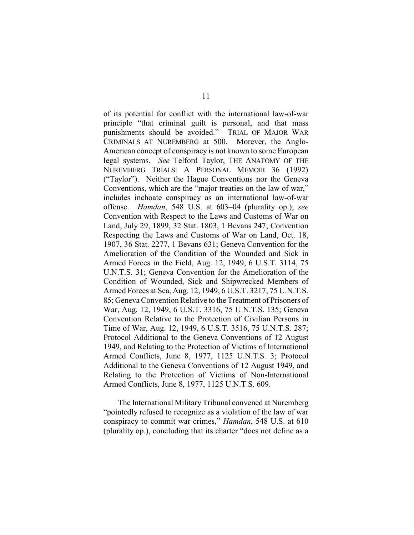of its potential for conflict with the international law-of-war principle "that criminal guilt is personal, and that mass punishments should be avoided." TRIAL OF MAJOR WAR CRIMINALS AT NUREMBERG at 500. Morever, the Anglo-American concept of conspiracy is not known to some European legal systems. *See* Telford Taylor, THE ANATOMY OF THE NUREMBERG TRIALS: A PERSONAL MEMOIR 36 (1992) ("Taylor"). Neither the Hague Conventions nor the Geneva Conventions, which are the "major treaties on the law of war," includes inchoate conspiracy as an international law-of-war offense. *Hamdan*, 548 U.S. at 603–04 (plurality op.); *see* Convention with Respect to the Laws and Customs of War on Land, July 29, 1899, 32 Stat. 1803, 1 Bevans 247; Convention Respecting the Laws and Customs of War on Land, Oct. 18, 1907, 36 Stat. 2277, 1 Bevans 631; Geneva Convention for the Amelioration of the Condition of the Wounded and Sick in Armed Forces in the Field, Aug. 12, 1949, 6 U.S.T. 3114, 75 U.N.T.S. 31; Geneva Convention for the Amelioration of the Condition of Wounded, Sick and Shipwrecked Members of Armed Forces at Sea, Aug. 12, 1949, 6 U.S.T. 3217, 75 U.N.T.S. 85; Geneva Convention Relative to the Treatment of Prisoners of War, Aug. 12, 1949, 6 U.S.T. 3316, 75 U.N.T.S. 135; Geneva Convention Relative to the Protection of Civilian Persons in Time of War, Aug. 12, 1949, 6 U.S.T. 3516, 75 U.N.T.S. 287; Protocol Additional to the Geneva Conventions of 12 August 1949, and Relating to the Protection of Victims of International Armed Conflicts, June 8, 1977, 1125 U.N.T.S. 3; Protocol Additional to the Geneva Conventions of 12 August 1949, and Relating to the Protection of Victims of Non-International Armed Conflicts, June 8, 1977, 1125 U.N.T.S. 609.

The International Military Tribunal convened at Nuremberg "pointedly refused to recognize as a violation of the law of war conspiracy to commit war crimes," *Hamdan*, 548 U.S. at 610 (plurality op.), concluding that its charter "does not define as a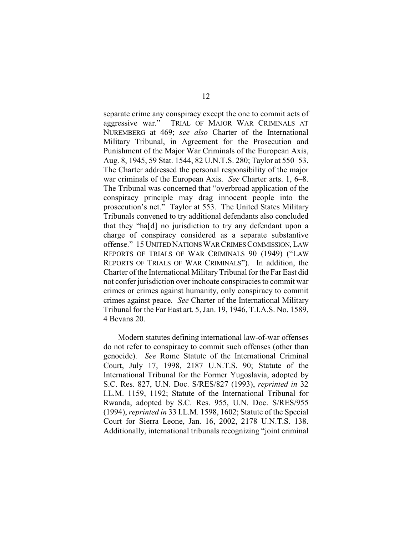separate crime any conspiracy except the one to commit acts of aggressive war." TRIAL OF MAJOR WAR CRIMINALS AT NUREMBERG at 469; *see also* Charter of the International Military Tribunal, in Agreement for the Prosecution and Punishment of the Major War Criminals of the European Axis, Aug. 8, 1945, 59 Stat. 1544, 82 U.N.T.S. 280; Taylor at 550–53. The Charter addressed the personal responsibility of the major war criminals of the European Axis. *See* Charter arts. 1, 6–8. The Tribunal was concerned that "overbroad application of the conspiracy principle may drag innocent people into the prosecution's net." Taylor at 553. The United States Military Tribunals convened to try additional defendants also concluded that they "ha[d] no jurisdiction to try any defendant upon a charge of conspiracy considered as a separate substantive offense." 15 UNITED NATIONS WAR CRIMES COMMISSION, LAW REPORTS OF TRIALS OF WAR CRIMINALS 90 (1949) ("LAW REPORTS OF TRIALS OF WAR CRIMINALS"). In addition, the Charter of the International MilitaryTribunal for the Far East did not confer jurisdiction over inchoate conspiracies to commit war crimes or crimes against humanity, only conspiracy to commit crimes against peace. *See* Charter of the International Military Tribunal for the Far East art. 5, Jan. 19, 1946, T.I.A.S. No. 1589, 4 Bevans 20.

Modern statutes defining international law-of-war offenses do not refer to conspiracy to commit such offenses (other than genocide). *See* Rome Statute of the International Criminal Court, July 17, 1998, 2187 U.N.T.S. 90; Statute of the International Tribunal for the Former Yugoslavia, adopted by S.C. Res. 827, U.N. Doc. S/RES/827 (1993), *reprinted in* 32 I.L.M. 1159, 1192; Statute of the International Tribunal for Rwanda, adopted by S.C. Res. 955, U.N. Doc. S/RES/955 (1994), *reprinted in* 33 I.L.M. 1598, 1602; Statute of the Special Court for Sierra Leone, Jan. 16, 2002, 2178 U.N.T.S. 138. Additionally, international tribunals recognizing "joint criminal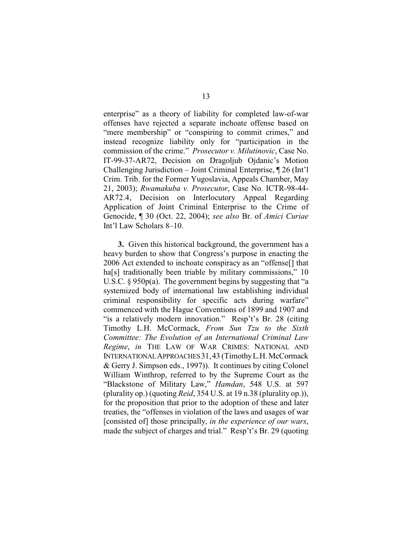enterprise" as a theory of liability for completed law-of-war offenses have rejected a separate inchoate offense based on "mere membership" or "conspiring to commit crimes," and instead recognize liability only for "participation in the commission of the crime." *Prosecutor v. Milutinovic*, Case No. IT-99-37-AR72, Decision on Dragoljub Ojdanic's Motion Challenging Jurisdiction – Joint Criminal Enterprise, ¶ 26 (Int'l Crim. Trib. for the Former Yugoslavia, Appeals Chamber, May 21, 2003); *Rwamakuba v. Prosecutor*, Case No. ICTR-98-44- AR72.4, Decision on Interlocutory Appeal Regarding Application of Joint Criminal Enterprise to the Crime of Genocide, ¶ 30 (Oct. 22, 2004); *see also* Br. of *Amici Curiae* Int'l Law Scholars 8–10.

**3.** Given this historical background, the government has a heavy burden to show that Congress's purpose in enacting the 2006 Act extended to inchoate conspiracy as an "offense[] that ha[s] traditionally been triable by military commissions," 10 U.S.C. § 950p(a). The government begins by suggesting that "a systemized body of international law establishing individual criminal responsibility for specific acts during warfare" commenced with the Hague Conventions of 1899 and 1907 and "is a relatively modern innovation." Resp't's Br. 28 (citing Timothy L.H. McCormack, *From Sun Tzu to the Sixth Committee: The Evolution of an International Criminal Law Regime*, *in* THE LAW OF WAR CRIMES: NATIONAL AND INTERNATIONALAPPROACHES31,43 (TimothyL.H. McCormack & Gerry J. Simpson eds., 1997)). It continues by citing Colonel William Winthrop, referred to by the Supreme Court as the "Blackstone of Military Law," *Hamdan*, 548 U.S. at 597 (plurality op.) (quoting *Reid*, 354 U.S. at 19 n.38 (plurality op.)), for the proposition that prior to the adoption of these and later treaties, the "offenses in violation of the laws and usages of war [consisted of] those principally, *in the experience of our wars*, made the subject of charges and trial." Resp't's Br. 29 (quoting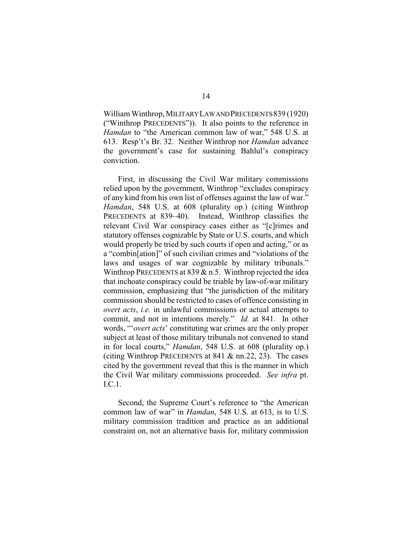William Winthrop, MILITARYLAWANDPRECEDENTS839 (1920) ("Winthrop PRECEDENTS")). It also points to the reference in *Hamdan* to "the American common law of war," 548 U.S. at 613. Resp't's Br. 32. Neither Winthrop nor *Hamdan* advance the government's case for sustaining Bahlul's conspiracy conviction.

First, in discussing the Civil War military commissions relied upon by the government, Winthrop "excludes conspiracy of any kind from his own list of offenses against the law of war." *Hamdan*, 548 U.S. at 608 (plurality op.) (citing Winthrop PRECEDENTS at 839–40). Instead, Winthrop classifies the relevant Civil War conspiracy cases either as "[c]rimes and statutory offenses cognizable by State or U.S. courts, and which would properly be tried by such courts if open and acting," or as a "combin[ation]" of such civilian crimes and "violations of the laws and usages of war cognizable by military tribunals." Winthrop PRECEDENTS at  $839 \& n.5$ . Winthrop rejected the idea that inchoate conspiracy could be triable by law-of-war military commission, emphasizing that "the jurisdiction of the military commission should be restricted to cases of offence consisting in *overt acts*, *i.e.* in unlawful commissions or actual attempts to commit, and not in intentions merely." *Id.* at 841. In other words, "'*overt acts*' constituting war crimes are the only proper subject at least of those military tribunals not convened to stand in for local courts," *Hamdan*, 548 U.S. at 608 (plurality op.) (citing Winthrop PRECEDENTS at  $841 \& \text{nn.22, 23}$ ). The cases cited by the government reveal that this is the manner in which the Civil War military commissions proceeded. *See infra* pt. I.C.1.

Second, the Supreme Court's reference to "the American common law of war" in *Hamdan*, 548 U.S. at 613, is to U.S. military commission tradition and practice as an additional constraint on, not an alternative basis for, military commission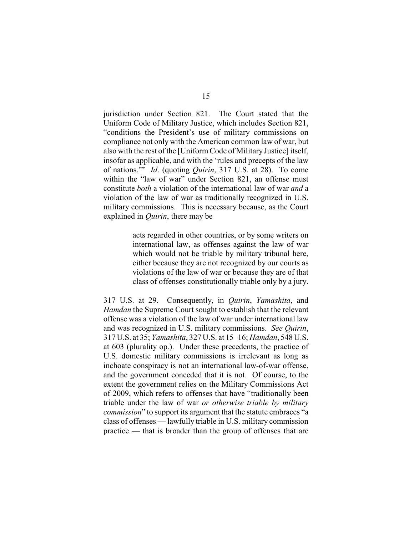jurisdiction under Section 821. The Court stated that the Uniform Code of Military Justice, which includes Section 821, "conditions the President's use of military commissions on compliance not only with the American common law of war, but also with the rest of the [Uniform Code of Military Justice] itself, insofar as applicable, and with the 'rules and precepts of the law of nations.'" *Id*. (quoting *Quirin*, 317 U.S. at 28). To come within the "law of war" under Section 821, an offense must constitute *both* a violation of the international law of war *and* a violation of the law of war as traditionally recognized in U.S. military commissions. This is necessary because, as the Court explained in *Quirin*, there may be

> acts regarded in other countries, or by some writers on international law, as offenses against the law of war which would not be triable by military tribunal here, either because they are not recognized by our courts as violations of the law of war or because they are of that class of offenses constitutionally triable only by a jury.

317 U.S. at 29. Consequently, in *Quirin*, *Yamashita*, and *Hamdan* the Supreme Court sought to establish that the relevant offense was a violation of the law of war under international law and was recognized in U.S. military commissions. *See Quirin*, 317 U.S. at 35; *Yamashita*, 327 U.S. at 15–16; *Hamdan*, 548 U.S. at 603 (plurality op.). Under these precedents, the practice of U.S. domestic military commissions is irrelevant as long as inchoate conspiracy is not an international law-of-war offense, and the government conceded that it is not. Of course, to the extent the government relies on the Military Commissions Act of 2009, which refers to offenses that have "traditionally been triable under the law of war *or otherwise triable by military commission*" to support its argument that the statute embraces "a class of offenses — lawfully triable in U.S. military commission practice — that is broader than the group of offenses that are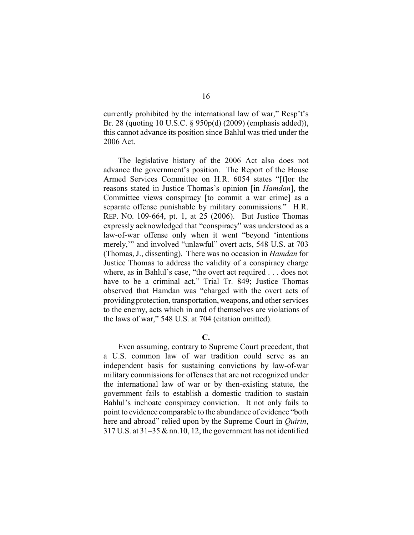currently prohibited by the international law of war," Resp't's Br. 28 (quoting 10 U.S.C. § 950p(d) (2009) (emphasis added)), this cannot advance its position since Bahlul was tried under the 2006 Act.

The legislative history of the 2006 Act also does not advance the government's position. The Report of the House Armed Services Committee on H.R. 6054 states "[f]or the reasons stated in Justice Thomas's opinion [in *Hamdan*], the Committee views conspiracy [to commit a war crime] as a separate offense punishable by military commissions." H.R. REP. NO. 109-664, pt. 1, at 25 (2006). But Justice Thomas expressly acknowledged that "conspiracy" was understood as a law-of-war offense only when it went "beyond 'intentions merely,'" and involved "unlawful" overt acts, 548 U.S. at 703 (Thomas, J., dissenting). There was no occasion in *Hamdan* for Justice Thomas to address the validity of a conspiracy charge where, as in Bahlul's case, "the overt act required . . . does not have to be a criminal act," Trial Tr. 849; Justice Thomas observed that Hamdan was "charged with the overt acts of providing protection, transportation, weapons, and other services to the enemy, acts which in and of themselves are violations of the laws of war," 548 U.S. at 704 (citation omitted).

### **C.**

Even assuming, contrary to Supreme Court precedent, that a U.S. common law of war tradition could serve as an independent basis for sustaining convictions by law-of-war military commissions for offenses that are not recognized under the international law of war or by then-existing statute, the government fails to establish a domestic tradition to sustain Bahlul's inchoate conspiracy conviction. It not only fails to point to evidence comparable to the abundance of evidence "both here and abroad" relied upon by the Supreme Court in *Quirin*,  $317$  U.S. at  $31-35$  & nn.10, 12, the government has not identified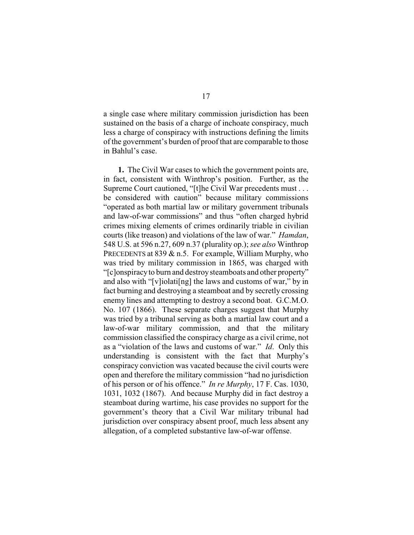a single case where military commission jurisdiction has been sustained on the basis of a charge of inchoate conspiracy, much less a charge of conspiracy with instructions defining the limits of the government's burden of proof that are comparable to those in Bahlul's case.

**1.** The Civil War cases to which the government points are, in fact, consistent with Winthrop's position. Further, as the Supreme Court cautioned, "[t]he Civil War precedents must . . . be considered with caution" because military commissions "operated as both martial law or military government tribunals and law-of-war commissions" and thus "often charged hybrid crimes mixing elements of crimes ordinarily triable in civilian courts (like treason) and violations of the law of war." *Hamdan*, 548 U.S. at 596 n.27, 609 n.37 (plurality op.); *see also* Winthrop PRECEDENTS at 839  $&$  n.5. For example, William Murphy, who was tried by military commission in 1865, was charged with "[c]onspiracyto burn and destroysteamboats and other property" and also with "[v]iolati[ng] the laws and customs of war," by in fact burning and destroying a steamboat and by secretly crossing enemy lines and attempting to destroy a second boat. G.C.M.O. No. 107 (1866). These separate charges suggest that Murphy was tried by a tribunal serving as both a martial law court and a law-of-war military commission, and that the military commission classified the conspiracy charge as a civil crime, not as a "violation of the laws and customs of war." *Id*. Only this understanding is consistent with the fact that Murphy's conspiracy conviction was vacated because the civil courts were open and therefore the military commission "had no jurisdiction of his person or of his offence." *In re Murphy*, 17 F. Cas. 1030, 1031, 1032 (1867). And because Murphy did in fact destroy a steamboat during wartime, his case provides no support for the government's theory that a Civil War military tribunal had jurisdiction over conspiracy absent proof, much less absent any allegation, of a completed substantive law-of-war offense.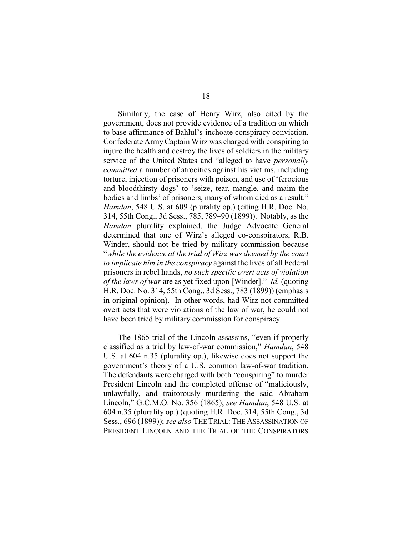Similarly, the case of Henry Wirz, also cited by the government, does not provide evidence of a tradition on which to base affirmance of Bahlul's inchoate conspiracy conviction. Confederate ArmyCaptain Wirz was charged with conspiring to injure the health and destroy the lives of soldiers in the military service of the United States and "alleged to have *personally committed* a number of atrocities against his victims, including torture, injection of prisoners with poison, and use of 'ferocious and bloodthirsty dogs' to 'seize, tear, mangle, and maim the bodies and limbs' of prisoners, many of whom died as a result." *Hamdan*, 548 U.S. at 609 (plurality op.) (citing H.R. Doc. No. 314, 55th Cong., 3d Sess., 785, 789–90 (1899)). Notably, as the *Hamdan* plurality explained, the Judge Advocate General determined that one of Wirz's alleged co-conspirators, R.B. Winder, should not be tried by military commission because "*while the evidence at the trial of Wirz was deemed by the court to implicate him in the conspiracy* against the lives of all Federal prisoners in rebel hands, *no such specific overt acts of violation of the laws of war* are as yet fixed upon [Winder]." *Id.* (quoting H.R. Doc. No. 314, 55th Cong., 3d Sess., 783 (1899)) (emphasis in original opinion). In other words, had Wirz not committed overt acts that were violations of the law of war, he could not have been tried by military commission for conspiracy.

The 1865 trial of the Lincoln assassins, "even if properly classified as a trial by law-of-war commission," *Hamdan*, 548 U.S. at 604 n.35 (plurality op.), likewise does not support the government's theory of a U.S. common law-of-war tradition. The defendants were charged with both "conspiring" to murder President Lincoln and the completed offense of "maliciously, unlawfully, and traitorously murdering the said Abraham Lincoln," G.C.M.O. No. 356 (1865); *see Hamdan*, 548 U.S. at 604 n.35 (plurality op.) (quoting H.R. Doc. 314, 55th Cong., 3d Sess., 696 (1899)); *see also* THE TRIAL: THE ASSASSINATION OF PRESIDENT LINCOLN AND THE TRIAL OF THE CONSPIRATORS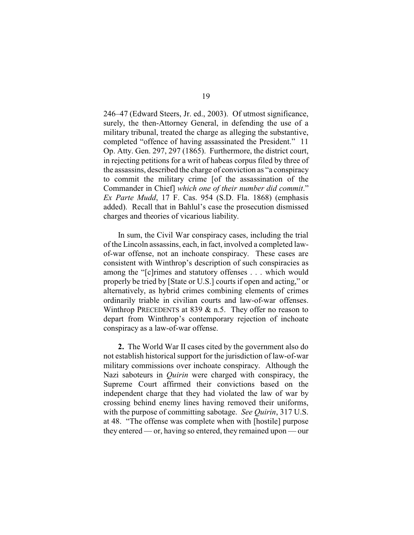246–47 (Edward Steers, Jr. ed., 2003). Of utmost significance, surely, the then-Attorney General, in defending the use of a military tribunal, treated the charge as alleging the substantive, completed "offence of having assassinated the President." 11 Op. Atty. Gen. 297, 297 (1865). Furthermore, the district court, in rejecting petitions for a writ of habeas corpus filed by three of the assassins, described the charge of conviction as "a conspiracy to commit the military crime [of the assassination of the Commander in Chief] *which one of their number did commit*." *Ex Parte Mudd*, 17 F. Cas. 954 (S.D. Fla. 1868) (emphasis added). Recall that in Bahlul's case the prosecution dismissed charges and theories of vicarious liability.

In sum, the Civil War conspiracy cases, including the trial of the Lincoln assassins, each, in fact, involved a completed lawof-war offense, not an inchoate conspiracy. These cases are consistent with Winthrop's description of such conspiracies as among the "[c]rimes and statutory offenses . . . which would properly be tried by [State or U.S.] courts if open and acting," or alternatively, as hybrid crimes combining elements of crimes ordinarily triable in civilian courts and law-of-war offenses. Winthrop PRECEDENTS at 839  $&$  n.5. They offer no reason to depart from Winthrop's contemporary rejection of inchoate conspiracy as a law-of-war offense.

**2.** The World War II cases cited by the government also do not establish historical support for the jurisdiction of law-of-war military commissions over inchoate conspiracy. Although the Nazi saboteurs in *Quirin* were charged with conspiracy, the Supreme Court affirmed their convictions based on the independent charge that they had violated the law of war by crossing behind enemy lines having removed their uniforms, with the purpose of committing sabotage. *See Quirin*, 317 U.S. at 48. "The offense was complete when with [hostile] purpose they entered — or, having so entered, they remained upon — our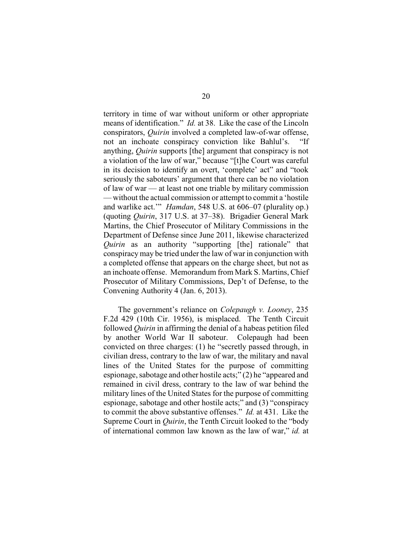territory in time of war without uniform or other appropriate means of identification." *Id.* at 38. Like the case of the Lincoln conspirators, *Quirin* involved a completed law-of-war offense, not an inchoate conspiracy conviction like Bahlul's. "If anything, *Quirin* supports [the] argument that conspiracy is not a violation of the law of war," because "[t]he Court was careful in its decision to identify an overt, 'complete' act" and "took seriously the saboteurs' argument that there can be no violation of law of war — at least not one triable by military commission — without the actual commission or attempt to commit a 'hostile and warlike act.'" *Hamdan*, 548 U.S. at 606–07 (plurality op.) (quoting *Quirin*, 317 U.S. at 37–38). Brigadier General Mark Martins, the Chief Prosecutor of Military Commissions in the Department of Defense since June 2011, likewise characterized *Quirin* as an authority "supporting [the] rationale" that conspiracy may be tried under the law of war in conjunction with a completed offense that appears on the charge sheet, but not as an inchoate offense. Memorandum from Mark S. Martins, Chief Prosecutor of Military Commissions, Dep't of Defense, to the Convening Authority 4 (Jan. 6, 2013).

The government's reliance on *Colepaugh v. Looney*, 235 F.2d 429 (10th Cir. 1956), is misplaced. The Tenth Circuit followed *Quirin* in affirming the denial of a habeas petition filed by another World War II saboteur. Colepaugh had been convicted on three charges: (1) he "secretly passed through, in civilian dress, contrary to the law of war, the military and naval lines of the United States for the purpose of committing espionage, sabotage and other hostile acts;" (2) he "appeared and remained in civil dress, contrary to the law of war behind the military lines of the United States for the purpose of committing espionage, sabotage and other hostile acts;" and (3) "conspiracy to commit the above substantive offenses." *Id.* at 431. Like the Supreme Court in *Quirin*, the Tenth Circuit looked to the "body of international common law known as the law of war," *id.* at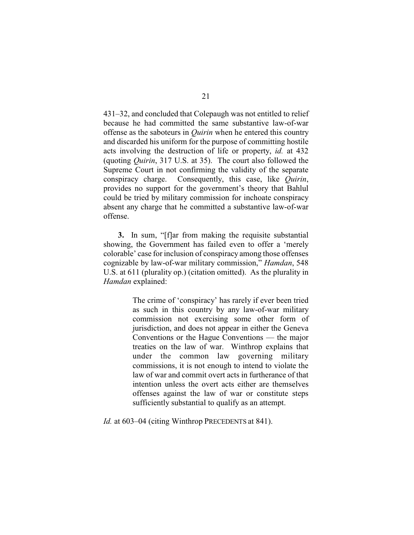431–32, and concluded that Colepaugh was not entitled to relief because he had committed the same substantive law-of-war offense as the saboteurs in *Quirin* when he entered this country and discarded his uniform for the purpose of committing hostile acts involving the destruction of life or property, *id.* at 432 (quoting *Quirin*, 317 U.S. at 35). The court also followed the Supreme Court in not confirming the validity of the separate conspiracy charge. Consequently, this case, like *Quirin*, provides no support for the government's theory that Bahlul could be tried by military commission for inchoate conspiracy absent any charge that he committed a substantive law-of-war offense.

**3.** In sum, "[f]ar from making the requisite substantial showing, the Government has failed even to offer a 'merely colorable' case for inclusion of conspiracy among those offenses cognizable by law-of-war military commission," *Hamdan*, 548 U.S. at 611 (plurality op.) (citation omitted). As the plurality in *Hamdan* explained:

> The crime of 'conspiracy' has rarely if ever been tried as such in this country by any law-of-war military commission not exercising some other form of jurisdiction, and does not appear in either the Geneva Conventions or the Hague Conventions — the major treaties on the law of war. Winthrop explains that under the common law governing military commissions, it is not enough to intend to violate the law of war and commit overt acts in furtherance of that intention unless the overt acts either are themselves offenses against the law of war or constitute steps sufficiently substantial to qualify as an attempt.

*Id.* at 603–04 (citing Winthrop PRECEDENTS at 841).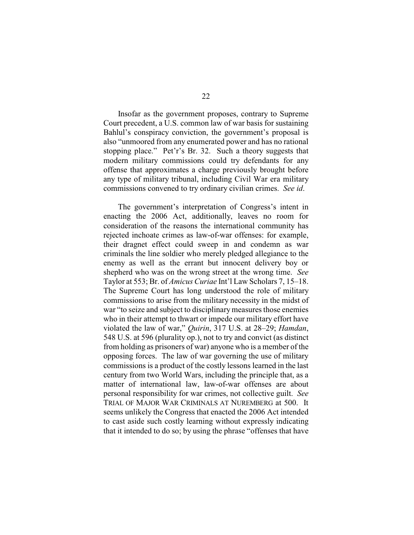Insofar as the government proposes, contrary to Supreme Court precedent, a U.S. common law of war basis for sustaining Bahlul's conspiracy conviction, the government's proposal is also "unmoored from any enumerated power and has no rational stopping place." Pet'r's Br. 32. Such a theory suggests that modern military commissions could try defendants for any offense that approximates a charge previously brought before any type of military tribunal, including Civil War era military commissions convened to try ordinary civilian crimes. *See id*.

The government's interpretation of Congress's intent in enacting the 2006 Act, additionally, leaves no room for consideration of the reasons the international community has rejected inchoate crimes as law-of-war offenses: for example, their dragnet effect could sweep in and condemn as war criminals the line soldier who merely pledged allegiance to the enemy as well as the errant but innocent delivery boy or shepherd who was on the wrong street at the wrong time. *See* Taylor at 553; Br. of *Amicus Curiae* Int'l Law Scholars 7, 15–18. The Supreme Court has long understood the role of military commissions to arise from the military necessity in the midst of war "to seize and subject to disciplinary measures those enemies who in their attempt to thwart or impede our military effort have violated the law of war," *Quirin*, 317 U.S. at 28–29; *Hamdan*, 548 U.S. at 596 (plurality op.), not to try and convict (as distinct from holding as prisoners of war) anyone who is a member of the opposing forces. The law of war governing the use of military commissions is a product of the costly lessons learned in the last century from two World Wars, including the principle that, as a matter of international law, law-of-war offenses are about personal responsibility for war crimes, not collective guilt. *See* TRIAL OF MAJOR WAR CRIMINALS AT NUREMBERG at 500. It seems unlikely the Congress that enacted the 2006 Act intended to cast aside such costly learning without expressly indicating that it intended to do so; by using the phrase "offenses that have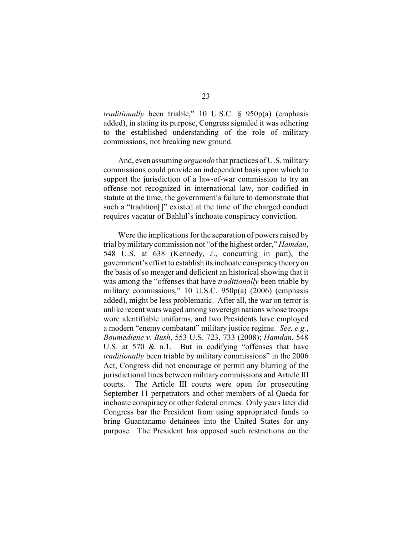*traditionally* been triable," 10 U.S.C. § 950p(a) (emphasis added), in stating its purpose, Congress signaled it was adhering to the established understanding of the role of military commissions, not breaking new ground.

And, even assuming *arguendo* that practices of U.S. military commissions could provide an independent basis upon which to support the jurisdiction of a law-of-war commission to try an offense not recognized in international law, nor codified in statute at the time, the government's failure to demonstrate that such a "tradition[]" existed at the time of the charged conduct requires vacatur of Bahlul's inchoate conspiracy conviction.

Were the implications for the separation of powers raised by trial bymilitary commission not "of the highest order," *Hamdan*, 548 U.S. at 638 (Kennedy, J., concurring in part), the government's effort to establish its inchoate conspiracytheoryon the basis of so meager and deficient an historical showing that it was among the "offenses that have *traditionally* been triable by military commissions," 10 U.S.C. 950p(a) (2006) (emphasis added), might be less problematic. After all, the war on terror is unlike recent wars waged among sovereign nations whose troops wore identifiable uniforms, and two Presidents have employed a modern "enemy combatant" military justice regime. *See, e.g.*, *Boumediene v. Bush*, 553 U.S. 723, 733 (2008); *Hamdan*, 548 U.S. at 570 & n.1. But in codifying "offenses that have *traditionally* been triable by military commissions" in the 2006 Act, Congress did not encourage or permit any blurring of the jurisdictional lines between military commissions and Article III courts. The Article III courts were open for prosecuting September 11 perpetrators and other members of al Qaeda for inchoate conspiracy or other federal crimes. Only years later did Congress bar the President from using appropriated funds to bring Guantanamo detainees into the United States for any purpose. The President has opposed such restrictions on the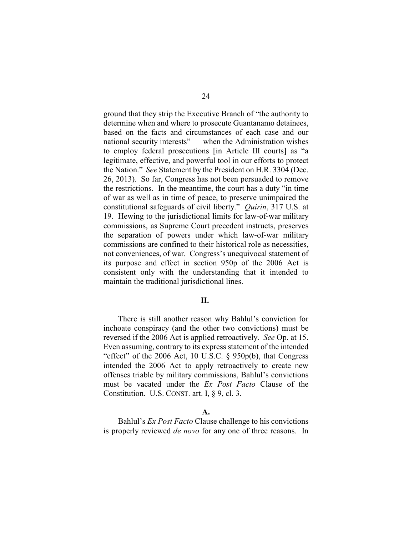ground that they strip the Executive Branch of "the authority to determine when and where to prosecute Guantanamo detainees, based on the facts and circumstances of each case and our national security interests" — when the Administration wishes to employ federal prosecutions [in Article III courts] as "a legitimate, effective, and powerful tool in our efforts to protect the Nation." *See* Statement by the President on H.R. 3304 (Dec. 26, 2013). So far, Congress has not been persuaded to remove the restrictions. In the meantime, the court has a duty "in time of war as well as in time of peace, to preserve unimpaired the constitutional safeguards of civil liberty." *Quirin*, 317 U.S. at 19. Hewing to the jurisdictional limits for law-of-war military commissions, as Supreme Court precedent instructs, preserves the separation of powers under which law-of-war military commissions are confined to their historical role as necessities, not conveniences, of war. Congress's unequivocal statement of its purpose and effect in section 950p of the 2006 Act is consistent only with the understanding that it intended to maintain the traditional jurisdictional lines.

## **II.**

There is still another reason why Bahlul's conviction for inchoate conspiracy (and the other two convictions) must be reversed if the 2006 Act is applied retroactively. *See* Op. at 15. Even assuming, contrary to its express statement of the intended "effect" of the 2006 Act, 10 U.S.C.  $\S$  950p(b), that Congress intended the 2006 Act to apply retroactively to create new offenses triable by military commissions, Bahlul's convictions must be vacated under the *Ex Post Facto* Clause of the Constitution. U.S. CONST. art. I, § 9, cl. 3.

#### **A.**

Bahlul's *Ex Post Facto* Clause challenge to his convictions is properly reviewed *de novo* for any one of three reasons. In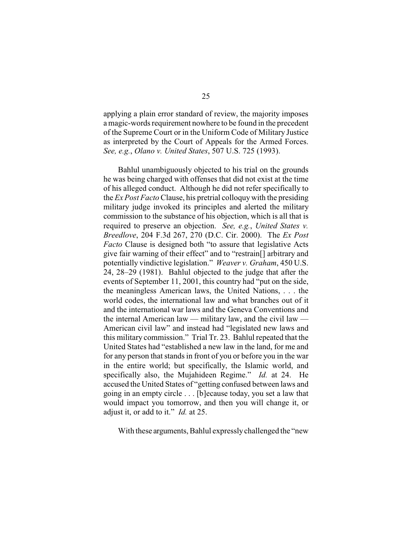applying a plain error standard of review, the majority imposes a magic-words requirement nowhere to be found in the precedent of the Supreme Court or in the Uniform Code of Military Justice as interpreted by the Court of Appeals for the Armed Forces. *See, e.g.*, *Olano v. United States*, 507 U.S. 725 (1993).

Bahlul unambiguously objected to his trial on the grounds he was being charged with offenses that did not exist at the time of his alleged conduct. Although he did not refer specifically to the *Ex Post Facto* Clause, his pretrial colloquywith the presiding military judge invoked its principles and alerted the military commission to the substance of his objection, which is all that is required to preserve an objection. *See, e.g.*, *United States v. Breedlove*, 204 F.3d 267, 270 (D.C. Cir. 2000). The *Ex Post Facto* Clause is designed both "to assure that legislative Acts give fair warning of their effect" and to "restrain[] arbitrary and potentially vindictive legislation." *Weaver v. Graham*, 450 U.S. 24, 28–29 (1981). Bahlul objected to the judge that after the events of September 11, 2001, this country had "put on the side, the meaningless American laws, the United Nations, . . . the world codes, the international law and what branches out of it and the international war laws and the Geneva Conventions and the internal American law — military law, and the civil law — American civil law" and instead had "legislated new laws and this military commission." Trial Tr. 23. Bahlul repeated that the United States had "established a new law in the land, for me and for any person that stands in front of you or before you in the war in the entire world; but specifically, the Islamic world, and specifically also, the Mujahideen Regime." *Id.* at 24. He accused the United States of "getting confused between laws and going in an empty circle . . . [b]ecause today, you set a law that would impact you tomorrow, and then you will change it, or adjust it, or add to it." *Id.* at 25.

With these arguments, Bahlul expresslychallenged the "new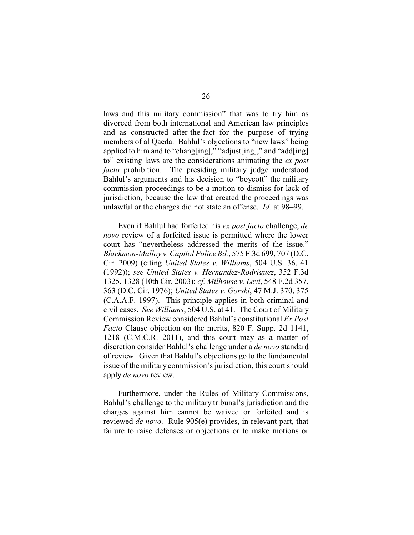laws and this military commission" that was to try him as divorced from both international and American law principles and as constructed after-the-fact for the purpose of trying members of al Qaeda. Bahlul's objections to "new laws" being applied to him and to "chang[ing]," "adjust[ing]," and "add[ing] to" existing laws are the considerations animating the *ex post facto* prohibition. The presiding military judge understood Bahlul's arguments and his decision to "boycott" the military commission proceedings to be a motion to dismiss for lack of jurisdiction, because the law that created the proceedings was unlawful or the charges did not state an offense. *Id.* at 98–99.

Even if Bahlul had forfeited his *ex post facto* challenge, *de novo* review of a forfeited issue is permitted where the lower court has "nevertheless addressed the merits of the issue." *Blackmon-Malloy v. Capitol Police Bd.*, 575 F.3d 699, 707 (D.C. Cir. 2009) (citing *United States v. Williams*, 504 U.S. 36, 41 (1992)); *see United States v. Hernandez-Rodriguez*, 352 F.3d 1325, 1328 (10th Cir. 2003); *cf. Milhouse v. Levi*, 548 F.2d 357, 363 (D.C. Cir. 1976); *United States v. Gorski*, 47 M.J. 370, 375 (C.A.A.F. 1997). This principle applies in both criminal and civil cases. *See Williams*, 504 U.S. at 41. The Court of Military Commission Review considered Bahlul's constitutional *Ex Post Facto* Clause objection on the merits, 820 F. Supp. 2d 1141, 1218 (C.M.C.R. 2011), and this court may as a matter of discretion consider Bahlul's challenge under a *de novo* standard of review. Given that Bahlul's objections go to the fundamental issue of the military commission's jurisdiction, this court should apply *de novo* review.

Furthermore, under the Rules of Military Commissions, Bahlul's challenge to the military tribunal's jurisdiction and the charges against him cannot be waived or forfeited and is reviewed *de novo*. Rule 905(e) provides, in relevant part, that failure to raise defenses or objections or to make motions or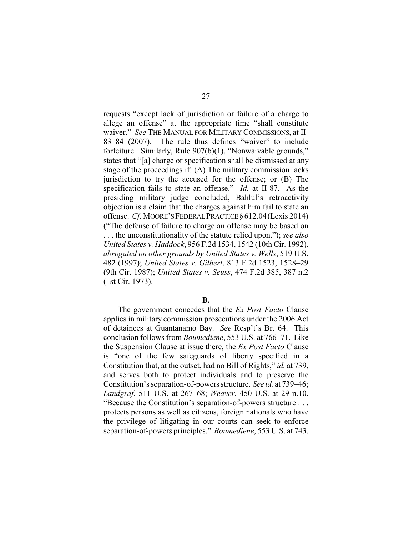requests "except lack of jurisdiction or failure of a charge to allege an offense" at the appropriate time "shall constitute waiver." *See* THE MANUAL FOR MILITARY COMMISSIONS, at II-83–84 (2007). The rule thus defines "waiver" to include forfeiture. Similarly, Rule 907(b)(1), "Nonwaivable grounds," states that "[a] charge or specification shall be dismissed at any stage of the proceedings if: (A) The military commission lacks jurisdiction to try the accused for the offense; or (B) The specification fails to state an offense." *Id.* at II-87. As the presiding military judge concluded, Bahlul's retroactivity objection is a claim that the charges against him fail to state an offense. *Cf.* MOORE'SFEDERALPRACTICE§612.04(Lexis 2014) ("The defense of failure to charge an offense may be based on . . . the unconstitutionality of the statute relied upon."); *see also United States v. Haddock*, 956 F.2d 1534, 1542 (10th Cir. 1992), *abrogated on other grounds by United States v. Wells*, 519 U.S. 482 (1997); *United States v. Gilbert*, 813 F.2d 1523, 1528–29 (9th Cir. 1987); *United States v. Seuss*, 474 F.2d 385, 387 n.2 (1st Cir. 1973).

#### **B.**

The government concedes that the *Ex Post Facto* Clause applies in military commission prosecutions under the 2006 Act of detainees at Guantanamo Bay. *See* Resp't's Br. 64. This conclusion follows from *Boumediene*, 553 U.S. at 766–71. Like the Suspension Clause at issue there, the *Ex Post Facto* Clause is "one of the few safeguards of liberty specified in a Constitution that, at the outset, had no Bill of Rights," *id.* at 739, and serves both to protect individuals and to preserve the Constitution's separation-of-powers structure. *See id.* at 739–46; *Landgraf*, 511 U.S. at 267–68; *Weaver*, 450 U.S. at 29 n.10. "Because the Constitution's separation-of-powers structure . . . protects persons as well as citizens, foreign nationals who have the privilege of litigating in our courts can seek to enforce separation-of-powers principles." *Boumediene*, 553 U.S. at 743.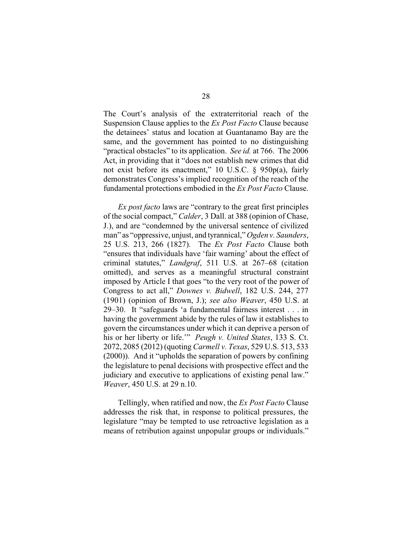The Court's analysis of the extraterritorial reach of the Suspension Clause applies to the *Ex Post Facto* Clause because the detainees' status and location at Guantanamo Bay are the same, and the government has pointed to no distinguishing "practical obstacles" to its application. *See id.* at 766. The 2006 Act, in providing that it "does not establish new crimes that did not exist before its enactment," 10 U.S.C. § 950p(a), fairly demonstrates Congress's implied recognition of the reach of the fundamental protections embodied in the *Ex Post Facto* Clause.

*Ex post facto* laws are "contrary to the great first principles of the social compact," *Calder*, 3 Dall. at 388 (opinion of Chase, J.), and are "condemned by the universal sentence of civilized man" as "oppressive, unjust, and tyrannical," *Ogden v. Saunders*, 25 U.S. 213, 266 (1827). The *Ex Post Facto* Clause both "ensures that individuals have 'fair warning' about the effect of criminal statutes," *Landgraf*, 511 U.S. at 267–68 (citation omitted), and serves as a meaningful structural constraint imposed by Article I that goes "to the very root of the power of Congress to act all," *Downes v. Bidwell*, 182 U.S. 244, 277 (1901) (opinion of Brown, J.); *see also Weaver*, 450 U.S. at 29–30. It "safeguards 'a fundamental fairness interest . . . in having the government abide by the rules of law it establishes to govern the circumstances under which it can deprive a person of his or her liberty or life.'" *Peugh v. United States*, 133 S. Ct. 2072, 2085 (2012) (quoting *Carmell v. Texas*, 529 U.S. 513, 533 (2000)). And it "upholds the separation of powers by confining the legislature to penal decisions with prospective effect and the judiciary and executive to applications of existing penal law." *Weaver*, 450 U.S. at 29 n.10.

Tellingly, when ratified and now, the *Ex Post Facto* Clause addresses the risk that, in response to political pressures, the legislature "may be tempted to use retroactive legislation as a means of retribution against unpopular groups or individuals."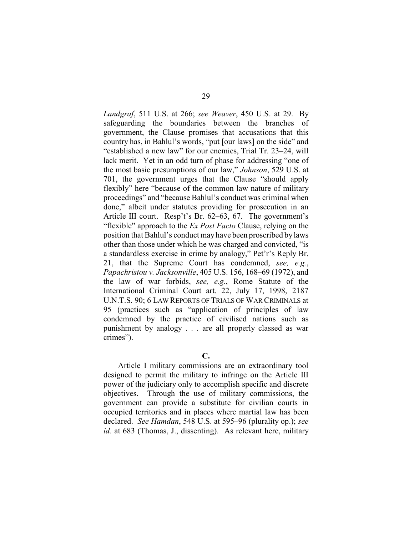*Landgraf*, 511 U.S. at 266; *see Weaver*, 450 U.S. at 29. By safeguarding the boundaries between the branches of government, the Clause promises that accusations that this country has, in Bahlul's words, "put [our laws] on the side" and "established a new law" for our enemies, Trial Tr. 23–24, will lack merit. Yet in an odd turn of phase for addressing "one of the most basic presumptions of our law," *Johnson*, 529 U.S. at 701, the government urges that the Clause "should apply flexibly" here "because of the common law nature of military proceedings" and "because Bahlul's conduct was criminal when done," albeit under statutes providing for prosecution in an Article III court. Resp't's Br. 62–63, 67. The government's "flexible" approach to the *Ex Post Facto* Clause, relying on the position that Bahlul's conduct may have been proscribed by laws other than those under which he was charged and convicted, "is a standardless exercise in crime by analogy," Pet'r's Reply Br. 21, that the Supreme Court has condemned, *see, e.g.*, *Papachristou v. Jacksonville*, 405 U.S. 156, 168–69 (1972), and the law of war forbids, *see, e.g.*, Rome Statute of the International Criminal Court art. 22, July 17, 1998, 2187 U.N.T.S. 90; 6 LAW REPORTS OF TRIALS OF WAR CRIMINALS at 95 (practices such as "application of principles of law condemned by the practice of civilised nations such as punishment by analogy . . . are all properly classed as war crimes").

**C.**

Article I military commissions are an extraordinary tool designed to permit the military to infringe on the Article III power of the judiciary only to accomplish specific and discrete objectives. Through the use of military commissions, the government can provide a substitute for civilian courts in occupied territories and in places where martial law has been declared. *See Hamdan*, 548 U.S. at 595–96 (plurality op.); *see id.* at 683 (Thomas, J., dissenting). As relevant here, military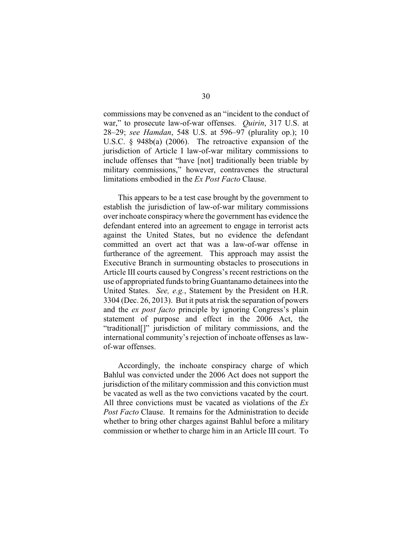commissions may be convened as an "incident to the conduct of war," to prosecute law-of-war offenses. *Quirin*, 317 U.S. at 28–29; *see Hamdan*, 548 U.S. at 596–97 (plurality op.); 10 U.S.C. § 948b(a) (2006). The retroactive expansion of the jurisdiction of Article I law-of-war military commissions to include offenses that "have [not] traditionally been triable by military commissions," however, contravenes the structural limitations embodied in the *Ex Post Facto* Clause.

This appears to be a test case brought by the government to establish the jurisdiction of law-of-war military commissions over inchoate conspiracywhere the government has evidence the defendant entered into an agreement to engage in terrorist acts against the United States, but no evidence the defendant committed an overt act that was a law-of-war offense in furtherance of the agreement. This approach may assist the Executive Branch in surmounting obstacles to prosecutions in Article III courts caused by Congress's recent restrictions on the use of appropriated funds to bringGuantanamo detainees into the United States. *See, e.g.*, Statement by the President on H.R. 3304 (Dec. 26, 2013). But it puts at risk the separation of powers and the *ex post facto* principle by ignoring Congress's plain statement of purpose and effect in the 2006 Act, the "traditional[]" jurisdiction of military commissions, and the international community's rejection of inchoate offenses as lawof-war offenses.

Accordingly, the inchoate conspiracy charge of which Bahlul was convicted under the 2006 Act does not support the jurisdiction of the military commission and this conviction must be vacated as well as the two convictions vacated by the court. All three convictions must be vacated as violations of the *Ex Post Facto* Clause. It remains for the Administration to decide whether to bring other charges against Bahlul before a military commission or whether to charge him in an Article III court. To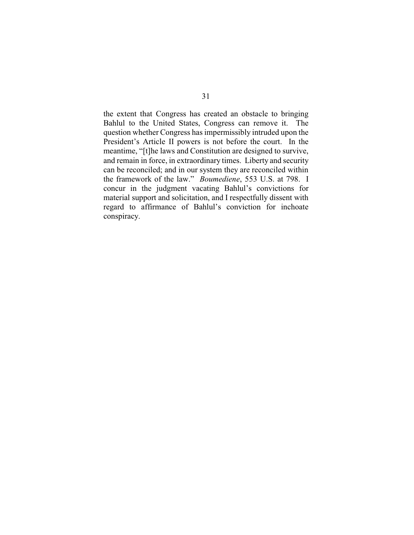the extent that Congress has created an obstacle to bringing Bahlul to the United States, Congress can remove it. The question whether Congress has impermissibly intruded upon the President's Article II powers is not before the court. In the meantime, "[t]he laws and Constitution are designed to survive, and remain in force, in extraordinary times. Liberty and security can be reconciled; and in our system they are reconciled within the framework of the law." *Boumediene*, 553 U.S. at 798. I concur in the judgment vacating Bahlul's convictions for material support and solicitation, and I respectfully dissent with regard to affirmance of Bahlul's conviction for inchoate conspiracy.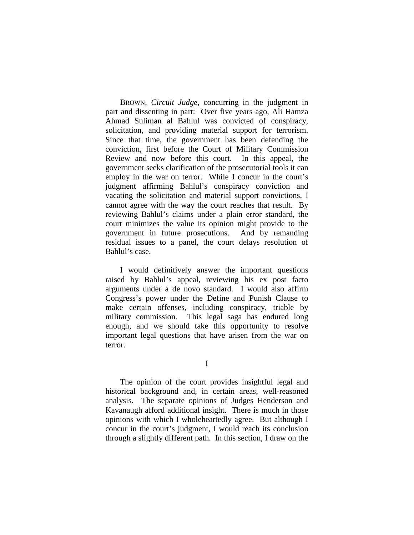BROWN, *Circuit Judge*, concurring in the judgment in part and dissenting in part: Over five years ago, Ali Hamza Ahmad Suliman al Bahlul was convicted of conspiracy, solicitation, and providing material support for terrorism. Since that time, the government has been defending the conviction, first before the Court of Military Commission Review and now before this court. In this appeal, the government seeks clarification of the prosecutorial tools it can employ in the war on terror. While I concur in the court's judgment affirming Bahlul's conspiracy conviction and vacating the solicitation and material support convictions, I cannot agree with the way the court reaches that result. By reviewing Bahlul's claims under a plain error standard, the court minimizes the value its opinion might provide to the government in future prosecutions. And by remanding residual issues to a panel, the court delays resolution of Bahlul's case.

I would definitively answer the important questions raised by Bahlul's appeal, reviewing his ex post facto arguments under a de novo standard. I would also affirm Congress's power under the Define and Punish Clause to make certain offenses, including conspiracy, triable by military commission. This legal saga has endured long enough, and we should take this opportunity to resolve important legal questions that have arisen from the war on terror.

I

The opinion of the court provides insightful legal and historical background and, in certain areas, well-reasoned analysis. The separate opinions of Judges Henderson and Kavanaugh afford additional insight. There is much in those opinions with which I wholeheartedly agree. But although I concur in the court's judgment, I would reach its conclusion through a slightly different path. In this section, I draw on the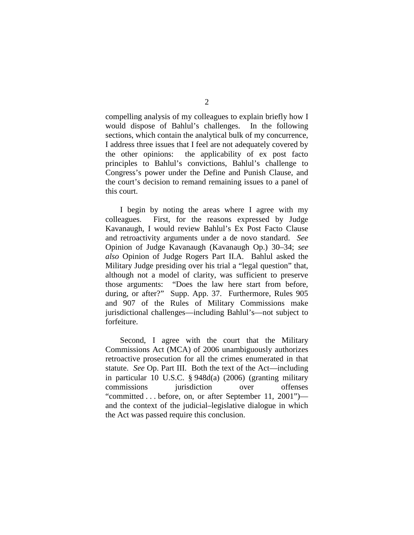compelling analysis of my colleagues to explain briefly how I would dispose of Bahlul's challenges. In the following sections, which contain the analytical bulk of my concurrence, I address three issues that I feel are not adequately covered by the other opinions: the applicability of ex post facto principles to Bahlul's convictions, Bahlul's challenge to Congress's power under the Define and Punish Clause, and the court's decision to remand remaining issues to a panel of this court.

I begin by noting the areas where I agree with my colleagues. First, for the reasons expressed by Judge Kavanaugh, I would review Bahlul's Ex Post Facto Clause and retroactivity arguments under a de novo standard. *See*  Opinion of Judge Kavanaugh (Kavanaugh Op.) 30–34; *see also* Opinion of Judge Rogers Part II.A. Bahlul asked the Military Judge presiding over his trial a "legal question" that, although not a model of clarity, was sufficient to preserve those arguments: "Does the law here start from before, during, or after?" Supp. App. 37. Furthermore, Rules 905 and 907 of the Rules of Military Commissions make jurisdictional challenges—including Bahlul's—not subject to forfeiture.

Second, I agree with the court that the Military Commissions Act (MCA) of 2006 unambiguously authorizes retroactive prosecution for all the crimes enumerated in that statute. *See* Op. Part III. Both the text of the Act—including in particular 10 U.S.C. § 948d(a) (2006) (granting military commissions jurisdiction over offenses "committed . . . before, on, or after September 11, 2001") and the context of the judicial–legislative dialogue in which the Act was passed require this conclusion.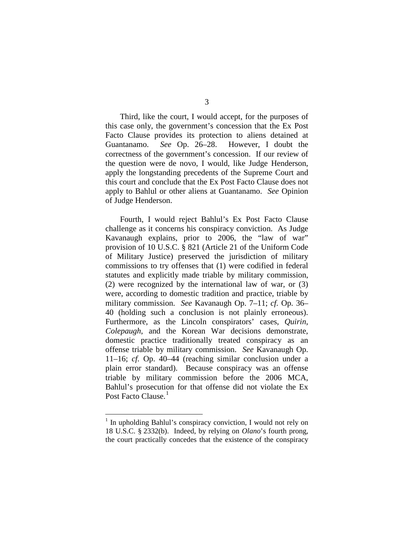Third, like the court, I would accept, for the purposes of this case only, the government's concession that the Ex Post Facto Clause provides its protection to aliens detained at Guantanamo. *See* Op. 26–28. However, I doubt the correctness of the government's concession. If our review of the question were de novo, I would, like Judge Henderson, apply the longstanding precedents of the Supreme Court and this court and conclude that the Ex Post Facto Clause does not apply to Bahlul or other aliens at Guantanamo. *See* Opinion of Judge Henderson.

Fourth, I would reject Bahlul's Ex Post Facto Clause challenge as it concerns his conspiracy conviction. As Judge Kavanaugh explains, prior to 2006, the "law of war" provision of 10 U.S.C. § 821 (Article 21 of the Uniform Code of Military Justice) preserved the jurisdiction of military commissions to try offenses that (1) were codified in federal statutes and explicitly made triable by military commission, (2) were recognized by the international law of war, or (3) were, according to domestic tradition and practice, triable by military commission. *See* Kavanaugh Op. 7–11; *cf.* Op. 36– 40 (holding such a conclusion is not plainly erroneous). Furthermore, as the Lincoln conspirators' cases, *Quirin*, *Colepaugh*, and the Korean War decisions demonstrate, domestic practice traditionally treated conspiracy as an offense triable by military commission. *See* Kavanaugh Op. 11–16; *cf.* Op. 40–44 (reaching similar conclusion under a plain error standard). Because conspiracy was an offense triable by military commission before the 2006 MCA, Bahlul's prosecution for that offense did not violate the Ex Post Facto Clause.<sup>[1](#page-91-0)</sup>

<span id="page-91-0"></span><sup>&</sup>lt;sup>1</sup> In upholding Bahlul's conspiracy conviction, I would not rely on 18 U.S.C. § 2332(b). Indeed, by relying on *Olano*'s fourth prong, the court practically concedes that the existence of the conspiracy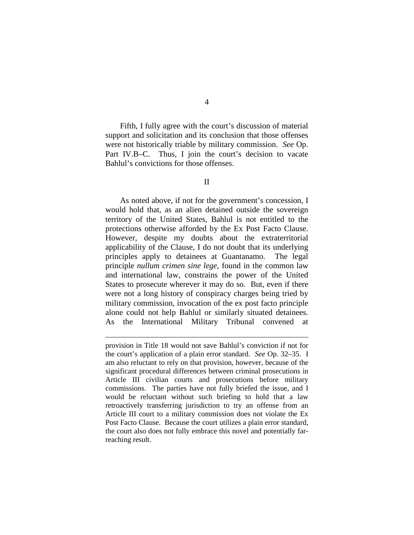Fifth, I fully agree with the court's discussion of material support and solicitation and its conclusion that those offenses were not historically triable by military commission. *See* Op. Part IV.B–C. Thus, I join the court's decision to vacate Bahlul's convictions for those offenses.

### II

As noted above, if not for the government's concession, I would hold that, as an alien detained outside the sovereign territory of the United States, Bahlul is not entitled to the protections otherwise afforded by the Ex Post Facto Clause. However, despite my doubts about the extraterritorial applicability of the Clause, I do not doubt that its underlying principles apply to detainees at Guantanamo. The legal principle *nullum crimen sine lege*, found in the common law and international law, constrains the power of the United States to prosecute wherever it may do so. But, even if there were not a long history of conspiracy charges being tried by military commission, invocation of the ex post facto principle alone could not help Bahlul or similarly situated detainees. As the International Military Tribunal convened at

 $\overline{a}$ 

provision in Title 18 would not save Bahlul's conviction if not for the court's application of a plain error standard. *See* Op. 32–35. I am also reluctant to rely on that provision, however, because of the significant procedural differences between criminal prosecutions in Article III civilian courts and prosecutions before military commissions. The parties have not fully briefed the issue, and I would be reluctant without such briefing to hold that a law retroactively transferring jurisdiction to try an offense from an Article III court to a military commission does not violate the Ex Post Facto Clause. Because the court utilizes a plain error standard, the court also does not fully embrace this novel and potentially farreaching result.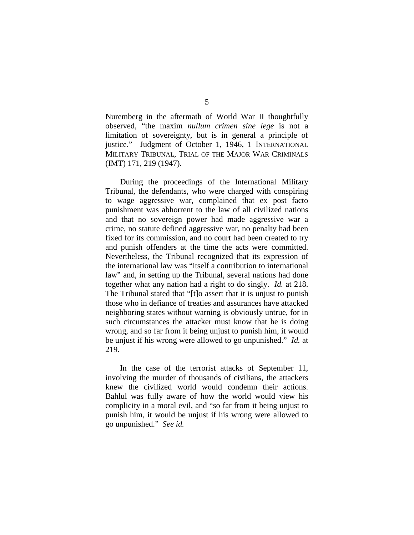Nuremberg in the aftermath of World War II thoughtfully observed, "the maxim *nullum crimen sine lege* is not a limitation of sovereignty, but is in general a principle of justice." Judgment of October 1, 1946, 1 INTERNATIONAL MILITARY TRIBUNAL, TRIAL OF THE MAJOR WAR CRIMINALS (IMT) 171, 219 (1947).

During the proceedings of the International Military Tribunal, the defendants, who were charged with conspiring to wage aggressive war, complained that ex post facto punishment was abhorrent to the law of all civilized nations and that no sovereign power had made aggressive war a crime, no statute defined aggressive war, no penalty had been fixed for its commission, and no court had been created to try and punish offenders at the time the acts were committed. Nevertheless, the Tribunal recognized that its expression of the international law was "itself a contribution to international law" and, in setting up the Tribunal, several nations had done together what any nation had a right to do singly. *Id.* at 218. The Tribunal stated that "[t]o assert that it is unjust to punish those who in defiance of treaties and assurances have attacked neighboring states without warning is obviously untrue, for in such circumstances the attacker must know that he is doing wrong, and so far from it being unjust to punish him, it would be unjust if his wrong were allowed to go unpunished." *Id.* at 219.

In the case of the terrorist attacks of September 11, involving the murder of thousands of civilians, the attackers knew the civilized world would condemn their actions. Bahlul was fully aware of how the world would view his complicity in a moral evil, and "so far from it being unjust to punish him, it would be unjust if his wrong were allowed to go unpunished." *See id.*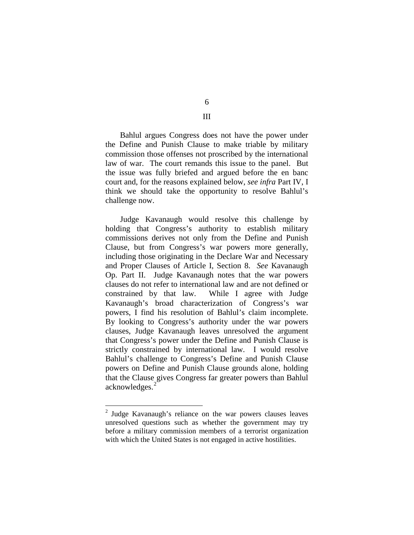6 III

Bahlul argues Congress does not have the power under the Define and Punish Clause to make triable by military commission those offenses not proscribed by the international law of war. The court remands this issue to the panel. But the issue was fully briefed and argued before the en banc court and, for the reasons explained below, *see infra* Part IV, I think we should take the opportunity to resolve Bahlul's challenge now.

Judge Kavanaugh would resolve this challenge by holding that Congress's authority to establish military commissions derives not only from the Define and Punish Clause, but from Congress's war powers more generally, including those originating in the Declare War and Necessary and Proper Clauses of Article I, Section 8. *See* Kavanaugh Op. Part II. Judge Kavanaugh notes that the war powers clauses do not refer to international law and are not defined or constrained by that law. While I agree with Judge Kavanaugh's broad characterization of Congress's war powers, I find his resolution of Bahlul's claim incomplete. By looking to Congress's authority under the war powers clauses, Judge Kavanaugh leaves unresolved the argument that Congress's power under the Define and Punish Clause is strictly constrained by international law. I would resolve Bahlul's challenge to Congress's Define and Punish Clause powers on Define and Punish Clause grounds alone, holding that the Clause gives Congress far greater powers than Bahlul acknowledges.[2](#page-94-0)

<span id="page-94-0"></span> <sup>2</sup> Judge Kavanaugh's reliance on the war powers clauses leaves unresolved questions such as whether the government may try before a military commission members of a terrorist organization with which the United States is not engaged in active hostilities.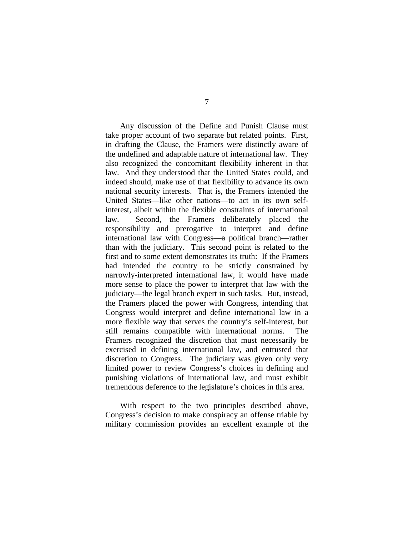Any discussion of the Define and Punish Clause must take proper account of two separate but related points. First, in drafting the Clause, the Framers were distinctly aware of the undefined and adaptable nature of international law. They also recognized the concomitant flexibility inherent in that law. And they understood that the United States could, and indeed should, make use of that flexibility to advance its own national security interests. That is, the Framers intended the United States—like other nations—to act in its own selfinterest, albeit within the flexible constraints of international law. Second, the Framers deliberately placed the responsibility and prerogative to interpret and define international law with Congress—a political branch—rather than with the judiciary. This second point is related to the first and to some extent demonstrates its truth: If the Framers had intended the country to be strictly constrained by narrowly-interpreted international law, it would have made more sense to place the power to interpret that law with the judiciary—the legal branch expert in such tasks. But, instead, the Framers placed the power with Congress, intending that Congress would interpret and define international law in a more flexible way that serves the country's self-interest, but still remains compatible with international norms. The Framers recognized the discretion that must necessarily be exercised in defining international law, and entrusted that discretion to Congress. The judiciary was given only very limited power to review Congress's choices in defining and punishing violations of international law, and must exhibit tremendous deference to the legislature's choices in this area.

With respect to the two principles described above, Congress's decision to make conspiracy an offense triable by military commission provides an excellent example of the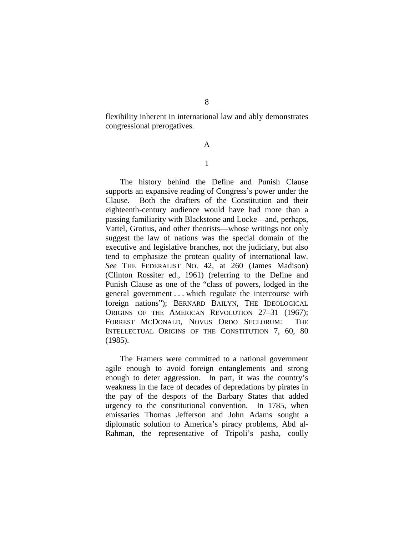flexibility inherent in international law and ably demonstrates congressional prerogatives.

# A

# 1

The history behind the Define and Punish Clause supports an expansive reading of Congress's power under the Clause. Both the drafters of the Constitution and their eighteenth-century audience would have had more than a passing familiarity with Blackstone and Locke—and, perhaps, Vattel, Grotius, and other theorists—whose writings not only suggest the law of nations was the special domain of the executive and legislative branches, not the judiciary, but also tend to emphasize the protean quality of international law. *See* THE FEDERALIST NO. 42, at 260 (James Madison) (Clinton Rossiter ed., 1961) (referring to the Define and Punish Clause as one of the "class of powers, lodged in the general government . . . which regulate the intercourse with foreign nations"); BERNARD BAILYN, THE IDEOLOGICAL ORIGINS OF THE AMERICAN REVOLUTION 27-31 (1967); FORREST MCDONALD, NOVUS ORDO SECLORUM: THE INTELLECTUAL ORIGINS OF THE CONSTITUTION 7, 60, 80 (1985).

The Framers were committed to a national government agile enough to avoid foreign entanglements and strong enough to deter aggression. In part, it was the country's weakness in the face of decades of depredations by pirates in the pay of the despots of the Barbary States that added urgency to the constitutional convention. In 1785, when emissaries Thomas Jefferson and John Adams sought a diplomatic solution to America's piracy problems, Abd al-Rahman, the representative of Tripoli's pasha, coolly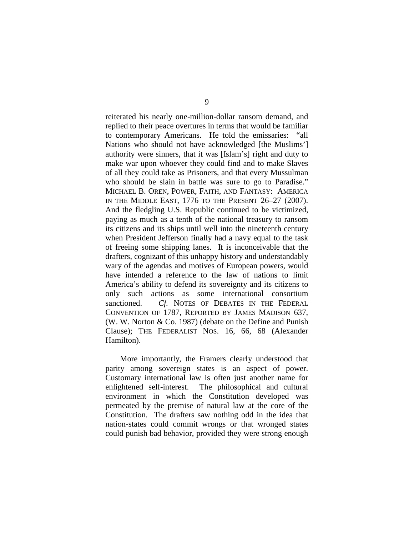reiterated his nearly one-million-dollar ransom demand, and replied to their peace overtures in terms that would be familiar to contemporary Americans. He told the emissaries: "all Nations who should not have acknowledged [the Muslims'] authority were sinners, that it was [Islam's] right and duty to make war upon whoever they could find and to make Slaves of all they could take as Prisoners, and that every Mussulman who should be slain in battle was sure to go to Paradise." MICHAEL B. OREN, POWER, FAITH, AND FANTASY: AMERICA IN THE MIDDLE EAST, 1776 TO THE PRESENT 26–27 (2007). And the fledgling U.S. Republic continued to be victimized, paying as much as a tenth of the national treasury to ransom its citizens and its ships until well into the nineteenth century when President Jefferson finally had a navy equal to the task of freeing some shipping lanes. It is inconceivable that the drafters, cognizant of this unhappy history and understandably wary of the agendas and motives of European powers, would have intended a reference to the law of nations to limit America's ability to defend its sovereignty and its citizens to only such actions as some international consortium sanctioned. *Cf.* NOTES OF DEBATES IN THE FEDERAL CONVENTION OF 1787, REPORTED BY JAMES MADISON 637, (W. W. Norton & Co. 1987) (debate on the Define and Punish Clause); THE FEDERALIST NOS. 16, 66, 68 (Alexander Hamilton).

More importantly, the Framers clearly understood that parity among sovereign states is an aspect of power. Customary international law is often just another name for enlightened self-interest. The philosophical and cultural environment in which the Constitution developed was permeated by the premise of natural law at the core of the Constitution. The drafters saw nothing odd in the idea that nation-states could commit wrongs or that wronged states could punish bad behavior, provided they were strong enough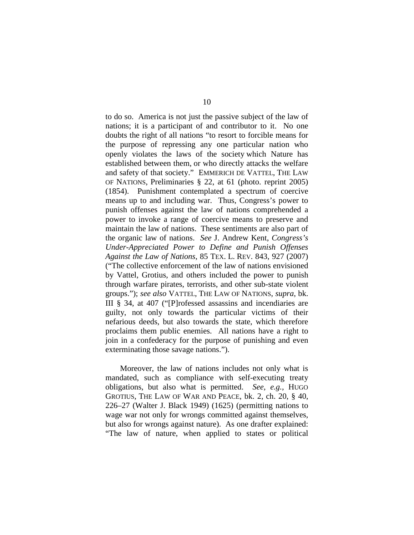to do so. America is not just the passive subject of the law of nations; it is a participant of and contributor to it. No one doubts the right of all nations "to resort to forcible means for the purpose of repressing any one particular nation who openly violates the laws of the society which Nature has established between them, or who directly attacks the welfare and safety of that society." EMMERICH DE VATTEL, THE LAW OF NATIONS, Preliminaries § 22, at 61 (photo. reprint 2005) (1854). Punishment contemplated a spectrum of coercive means up to and including war. Thus, Congress's power to punish offenses against the law of nations comprehended a power to invoke a range of coercive means to preserve and maintain the law of nations. These sentiments are also part of the organic law of nations. *See* J. Andrew Kent, *Congress's Under-Appreciated Power to Define and Punish Offenses Against the Law of Nations*, 85 TEX. L. REV. 843, 927 (2007) ("The collective enforcement of the law of nations envisioned by Vattel, Grotius, and others included the power to punish through warfare pirates, terrorists, and other sub-state violent groups."); *see also* VATTEL, THE LAW OF NATIONS, *supra*, bk. III § 34, at 407 ("[P]rofessed assassins and incendiaries are guilty, not only towards the particular victims of their nefarious deeds, but also towards the state, which therefore proclaims them public enemies. All nations have a right to join in a confederacy for the purpose of punishing and even exterminating those savage nations.").

Moreover, the law of nations includes not only what is mandated, such as compliance with self-executing treaty obligations, but also what is permitted. *See, e.g.*, HUGO GROTIUS, THE LAW OF WAR AND PEACE, bk. 2, ch. 20, § 40, 226–27 (Walter J. Black 1949) (1625) (permitting nations to wage war not only for wrongs committed against themselves, but also for wrongs against nature). As one drafter explained: "The law of nature, when applied to states or political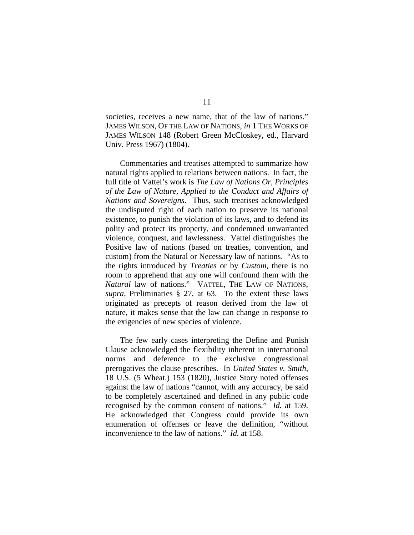societies, receives a new name, that of the law of nations." JAMES WILSON, OF THE LAW OF NATIONS, *in* 1 THE WORKS OF JAMES WILSON 148 (Robert Green McCloskey, ed., Harvard Univ. Press 1967) (1804).

Commentaries and treatises attempted to summarize how natural rights applied to relations between nations. In fact, the full title of Vattel's work is *The Law of Nations Or, Principles of the Law of Nature, Applied to the Conduct and Affairs of Nations and Sovereigns*. Thus, such treatises acknowledged the undisputed right of each nation to preserve its national existence, to punish the violation of its laws, and to defend its polity and protect its property, and condemned unwarranted violence, conquest, and lawlessness. Vattel distinguishes the Positive law of nations (based on treaties, convention, and custom) from the Natural or Necessary law of nations. "As to the rights introduced by *Treaties* or by *Custom*, there is no room to apprehend that any one will confound them with the *Natural* law of nations." VATTEL, THE LAW OF NATIONS, *supra*, Preliminaries § 27, at 63. To the extent these laws originated as precepts of reason derived from the law of nature, it makes sense that the law can change in response to the exigencies of new species of violence.

The few early cases interpreting the Define and Punish Clause acknowledged the flexibility inherent in international norms and deference to the exclusive congressional prerogatives the clause prescribes. In *United States v. Smith*, 18 U.S. (5 Wheat.) 153 (1820), Justice Story noted offenses against the law of nations "cannot, with any accuracy, be said to be completely ascertained and defined in any public code recognised by the common consent of nations." *Id.* at 159. He acknowledged that Congress could provide its own enumeration of offenses or leave the definition, "without inconvenience to the law of nations." *Id.* at 158.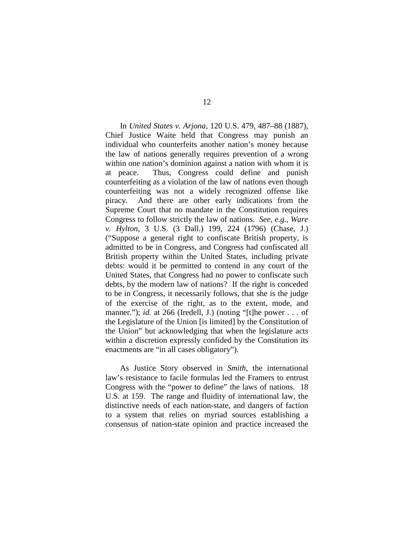In *United States v. Arjona*, 120 U.S. 479, 487–88 (1887), Chief Justice Waite held that Congress may punish an individual who counterfeits another nation's money because the law of nations generally requires prevention of a wrong within one nation's dominion against a nation with whom it is at peace. Thus, Congress could define and punish counterfeiting as a violation of the law of nations even though counterfeiting was not a widely recognized offense like piracy. And there are other early indications from the Supreme Court that no mandate in the Constitution requires Congress to follow strictly the law of nations. *See, e.g.*, *Ware v. Hylton*, 3 U.S. (3 Dall.) 199, 224 (1796) (Chase, J.) ("Suppose a general right to confiscate British property, is admitted to be in Congress, and Congress had confiscated all British property within the United States, including private debts: would it be permitted to contend in any court of the United States, that Congress had no power to confiscate such debts, by the modern law of nations? If the right is conceded to be in Congress, it necessarily follows, that she is the judge of the exercise of the right, as to the extent, mode, and manner."); *id.* at 266 (Iredell, J.) (noting "[t]he power . . . of the Legislature of the Union [is limited] by the Constitution of the Union" but acknowledging that when the legislature acts within a discretion expressly confided by the Constitution its enactments are "in all cases obligatory").

As Justice Story observed in *Smith*, the international law's resistance to facile formulas led the Framers to entrust Congress with the "power to define" the laws of nations. 18 U.S. at 159. The range and fluidity of international law, the distinctive needs of each nation-state, and dangers of faction to a system that relies on myriad sources establishing a consensus of nation-state opinion and practice increased the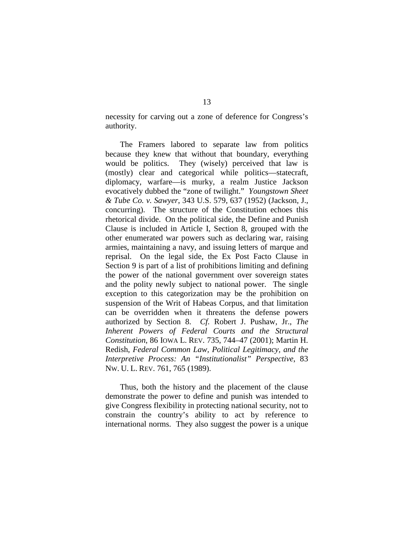necessity for carving out a zone of deference for Congress's authority.

The Framers labored to separate law from politics because they knew that without that boundary, everything would be politics. They (wisely) perceived that law is (mostly) clear and categorical while politics—statecraft, diplomacy, warfare—is murky, a realm Justice Jackson evocatively dubbed the "zone of twilight." *Youngstown Sheet & Tube Co. v. Sawyer*, 343 U.S. 579, 637 (1952) (Jackson, J., concurring). The structure of the Constitution echoes this rhetorical divide. On the political side, the Define and Punish Clause is included in Article I, Section 8, grouped with the other enumerated war powers such as declaring war, raising armies, maintaining a navy, and issuing letters of marque and reprisal. On the legal side, the Ex Post Facto Clause in Section 9 is part of a list of prohibitions limiting and defining the power of the national government over sovereign states and the polity newly subject to national power. The single exception to this categorization may be the prohibition on suspension of the Writ of Habeas Corpus, and that limitation can be overridden when it threatens the defense powers authorized by Section 8. *Cf.* Robert J. Pushaw, Jr., *The Inherent Powers of Federal Courts and the Structural Constitution*, 86 IOWA L. REV. 735, 744–47 (2001); Martin H. Redish, *Federal Common Law, Political Legitimacy, and the Interpretive Process: An "Institutionalist" Perspective*, 83 NW. U. L. REV. 761, 765 (1989).

Thus, both the history and the placement of the clause demonstrate the power to define and punish was intended to give Congress flexibility in protecting national security, not to constrain the country's ability to act by reference to international norms. They also suggest the power is a unique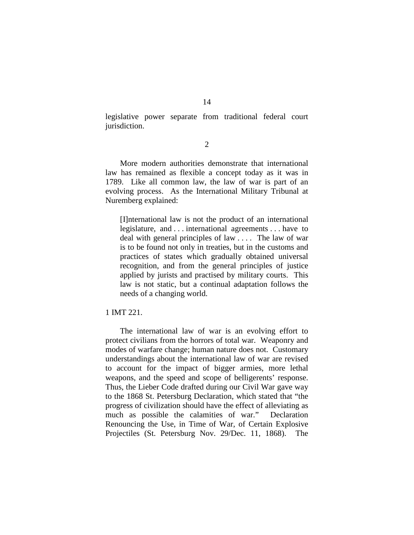legislative power separate from traditional federal court jurisdiction.

2

More modern authorities demonstrate that international law has remained as flexible a concept today as it was in 1789. Like all common law, the law of war is part of an evolving process. As the International Military Tribunal at Nuremberg explained:

[I]nternational law is not the product of an international legislature, and . . . international agreements . . . have to deal with general principles of law . . . . The law of war is to be found not only in treaties, but in the customs and practices of states which gradually obtained universal recognition, and from the general principles of justice applied by jurists and practised by military courts. This law is not static, but a continual adaptation follows the needs of a changing world.

### 1 IMT 221.

The international law of war is an evolving effort to protect civilians from the horrors of total war. Weaponry and modes of warfare change; human nature does not. Customary understandings about the international law of war are revised to account for the impact of bigger armies, more lethal weapons, and the speed and scope of belligerents' response. Thus, the Lieber Code drafted during our Civil War gave way to the 1868 St. Petersburg Declaration, which stated that "the progress of civilization should have the effect of alleviating as much as possible the calamities of war." Declaration Renouncing the Use, in Time of War, of Certain Explosive Projectiles (St. Petersburg Nov. 29/Dec. 11, 1868). The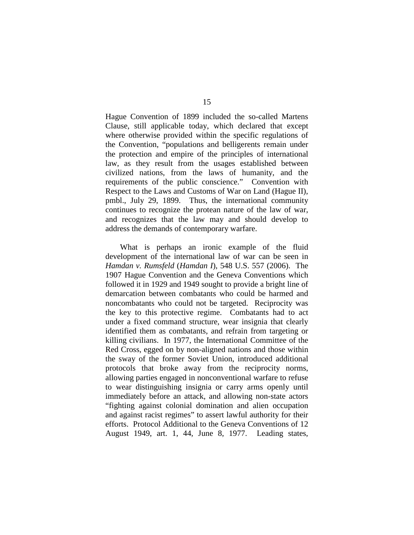Hague Convention of 1899 included the so-called Martens Clause, still applicable today, which declared that except where otherwise provided within the specific regulations of the Convention, "populations and belligerents remain under the protection and empire of the principles of international law, as they result from the usages established between civilized nations, from the laws of humanity, and the requirements of the public conscience." Convention with Respect to the Laws and Customs of War on Land (Hague II), pmbl., July 29, 1899. Thus, the international community continues to recognize the protean nature of the law of war, and recognizes that the law may and should develop to address the demands of contemporary warfare.

What is perhaps an ironic example of the fluid development of the international law of war can be seen in *Hamdan v. Rumsfeld* (*Hamdan I*), 548 U.S. 557 (2006). The 1907 Hague Convention and the Geneva Conventions which followed it in 1929 and 1949 sought to provide a bright line of demarcation between combatants who could be harmed and noncombatants who could not be targeted. Reciprocity was the key to this protective regime. Combatants had to act under a fixed command structure, wear insignia that clearly identified them as combatants, and refrain from targeting or killing civilians. In 1977, the International Committee of the Red Cross, egged on by non-aligned nations and those within the sway of the former Soviet Union, introduced additional protocols that broke away from the reciprocity norms, allowing parties engaged in nonconventional warfare to refuse to wear distinguishing insignia or carry arms openly until immediately before an attack, and allowing non-state actors "fighting against colonial domination and alien occupation and against racist regimes" to assert lawful authority for their efforts. Protocol Additional to the Geneva Conventions of 12 August 1949, art. 1, 44, June 8, 1977. Leading states,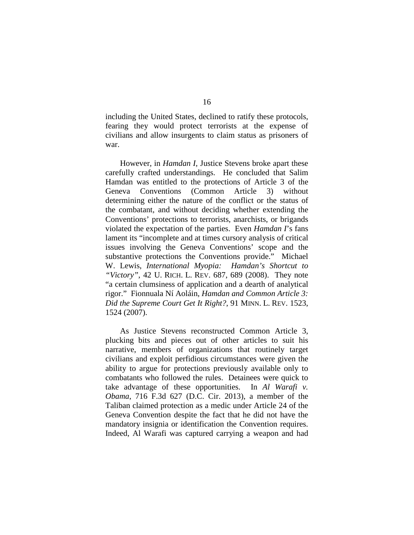including the United States, declined to ratify these protocols, fearing they would protect terrorists at the expense of civilians and allow insurgents to claim status as prisoners of war.

However, in *Hamdan I*, Justice Stevens broke apart these carefully crafted understandings. He concluded that Salim Hamdan was entitled to the protections of Article 3 of the Geneva Conventions (Common Article 3) without determining either the nature of the conflict or the status of the combatant, and without deciding whether extending the Conventions' protections to terrorists, anarchists, or brigands violated the expectation of the parties. Even *Hamdan I*'s fans lament its "incomplete and at times cursory analysis of critical issues involving the Geneva Conventions' scope and the substantive protections the Conventions provide." Michael W. Lewis, *International Myopia: Hamdan's Shortcut to "Victory"*, 42 U. RICH. L. REV. 687, 689 (2008). They note "a certain clumsiness of application and a dearth of analytical rigor." Fionnuala Ní Aoláin, *Hamdan and Common Article 3: Did the Supreme Court Get It Right?*, 91 MINN. L. REV. 1523, 1524 (2007).

As Justice Stevens reconstructed Common Article 3, plucking bits and pieces out of other articles to suit his narrative, members of organizations that routinely target civilians and exploit perfidious circumstances were given the ability to argue for protections previously available only to combatants who followed the rules. Detainees were quick to take advantage of these opportunities. In *Al Warafi v. Obama*, 716 F.3d 627 (D.C. Cir. 2013), a member of the Taliban claimed protection as a medic under Article 24 of the Geneva Convention despite the fact that he did not have the mandatory insignia or identification the Convention requires. Indeed, Al Warafi was captured carrying a weapon and had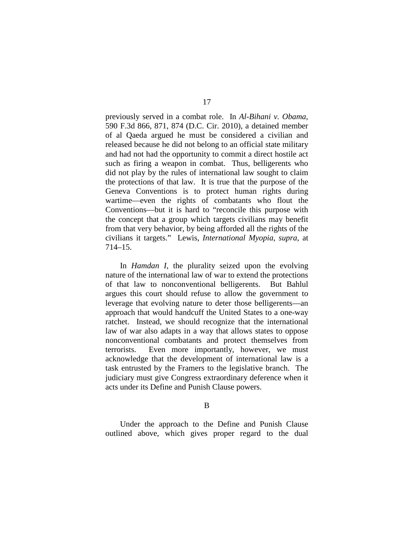previously served in a combat role. In *Al-Bihani v. Obama*, 590 F.3d 866, 871, 874 (D.C. Cir. 2010), a detained member of al Qaeda argued he must be considered a civilian and released because he did not belong to an official state military and had not had the opportunity to commit a direct hostile act such as firing a weapon in combat. Thus, belligerents who did not play by the rules of international law sought to claim the protections of that law. It is true that the purpose of the Geneva Conventions is to protect human rights during wartime—even the rights of combatants who flout the Conventions—but it is hard to "reconcile this purpose with the concept that a group which targets civilians may benefit from that very behavior, by being afforded all the rights of the civilians it targets." Lewis, *International Myopia*, *supra*, at 714–15.

In *Hamdan I*, the plurality seized upon the evolving nature of the international law of war to extend the protections of that law to nonconventional belligerents. But Bahlul argues this court should refuse to allow the government to leverage that evolving nature to deter those belligerents—an approach that would handcuff the United States to a one-way ratchet. Instead, we should recognize that the international law of war also adapts in a way that allows states to oppose nonconventional combatants and protect themselves from terrorists. Even more importantly, however, we must acknowledge that the development of international law is a task entrusted by the Framers to the legislative branch. The judiciary must give Congress extraordinary deference when it acts under its Define and Punish Clause powers.

B

Under the approach to the Define and Punish Clause outlined above, which gives proper regard to the dual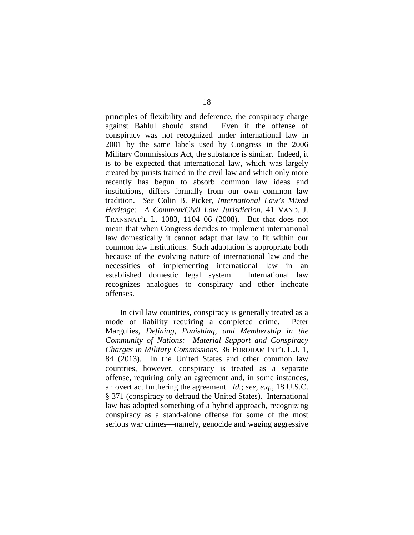principles of flexibility and deference, the conspiracy charge against Bahlul should stand. Even if the offense of conspiracy was not recognized under international law in 2001 by the same labels used by Congress in the 2006 Military Commissions Act, the substance is similar. Indeed, it is to be expected that international law, which was largely created by jurists trained in the civil law and which only more recently has begun to absorb common law ideas and institutions, differs formally from our own common law tradition. *See* Colin B. Picker, *International Law's Mixed Heritage: A Common/Civil Law Jurisdiction*, 41 VAND. J. TRANSNAT'L L. 1083, 1104–06 (2008). But that does not mean that when Congress decides to implement international law domestically it cannot adapt that law to fit within our common law institutions. Such adaptation is appropriate both because of the evolving nature of international law and the necessities of implementing international law in an established domestic legal system. International law recognizes analogues to conspiracy and other inchoate offenses.

In civil law countries, conspiracy is generally treated as a mode of liability requiring a completed crime. Peter Margulies, *Defining, Punishing, and Membership in the Community of Nations: Material Support and Conspiracy Charges in Military Commissions*, 36 FORDHAM INT'L L.J. 1, 84 (2013). In the United States and other common law countries, however, conspiracy is treated as a separate offense, requiring only an agreement and, in some instances, an overt act furthering the agreement. *Id.*; *see, e.g.*, 18 U.S.C. § 371 (conspiracy to defraud the United States). International law has adopted something of a hybrid approach, recognizing conspiracy as a stand-alone offense for some of the most serious war crimes—namely, genocide and waging aggressive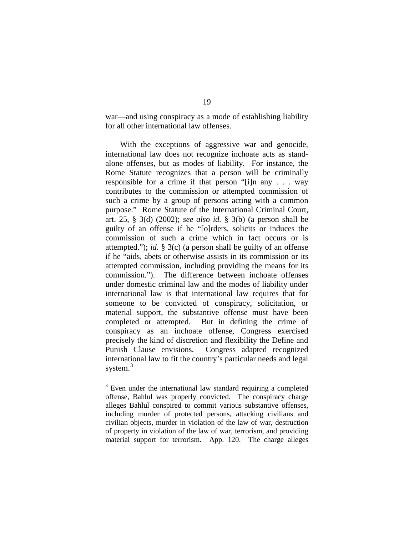war—and using conspiracy as a mode of establishing liability for all other international law offenses.

With the exceptions of aggressive war and genocide, international law does not recognize inchoate acts as standalone offenses, but as modes of liability. For instance, the Rome Statute recognizes that a person will be criminally responsible for a crime if that person "[i]n any . . . way contributes to the commission or attempted commission of such a crime by a group of persons acting with a common purpose." Rome Statute of the International Criminal Court, art. 25, § 3(d) (2002); *see also id.* § 3(b) (a person shall be guilty of an offense if he "[o]rders, solicits or induces the commission of such a crime which in fact occurs or is attempted."); *id.* § 3(c) (a person shall be guilty of an offense if he "aids, abets or otherwise assists in its commission or its attempted commission, including providing the means for its commission."). The difference between inchoate offenses under domestic criminal law and the modes of liability under international law is that international law requires that for someone to be convicted of conspiracy, solicitation, or material support, the substantive offense must have been completed or attempted. But in defining the crime of conspiracy as an inchoate offense, Congress exercised precisely the kind of discretion and flexibility the Define and Punish Clause envisions. Congress adapted recognized international law to fit the country's particular needs and legal system.<sup>[3](#page-107-0)</sup>

<span id="page-107-0"></span><sup>&</sup>lt;sup>3</sup> Even under the international law standard requiring a completed offense, Bahlul was properly convicted. The conspiracy charge alleges Bahlul conspired to commit various substantive offenses, including murder of protected persons, attacking civilians and civilian objects, murder in violation of the law of war, destruction of property in violation of the law of war, terrorism, and providing material support for terrorism. App. 120. The charge alleges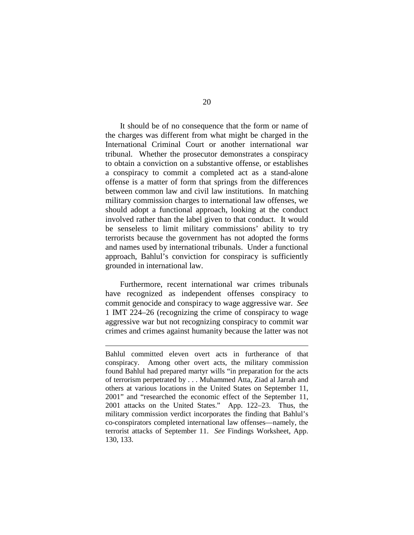It should be of no consequence that the form or name of the charges was different from what might be charged in the International Criminal Court or another international war tribunal. Whether the prosecutor demonstrates a conspiracy to obtain a conviction on a substantive offense, or establishes a conspiracy to commit a completed act as a stand-alone offense is a matter of form that springs from the differences between common law and civil law institutions. In matching military commission charges to international law offenses, we should adopt a functional approach, looking at the conduct involved rather than the label given to that conduct. It would be senseless to limit military commissions' ability to try terrorists because the government has not adopted the forms and names used by international tribunals. Under a functional approach, Bahlul's conviction for conspiracy is sufficiently grounded in international law.

Furthermore, recent international war crimes tribunals have recognized as independent offenses conspiracy to commit genocide and conspiracy to wage aggressive war. *See*  1 IMT 224–26 (recognizing the crime of conspiracy to wage aggressive war but not recognizing conspiracy to commit war crimes and crimes against humanity because the latter was not

 $\overline{a}$ 

Bahlul committed eleven overt acts in furtherance of that conspiracy. Among other overt acts, the military commission found Bahlul had prepared martyr wills "in preparation for the acts of terrorism perpetrated by . . . Muhammed Atta, Ziad al Jarrah and others at various locations in the United States on September 11, 2001" and "researched the economic effect of the September 11, 2001 attacks on the United States." App. 122–23. Thus, the military commission verdict incorporates the finding that Bahlul's co-conspirators completed international law offenses—namely, the terrorist attacks of September 11. *See* Findings Worksheet, App. 130, 133.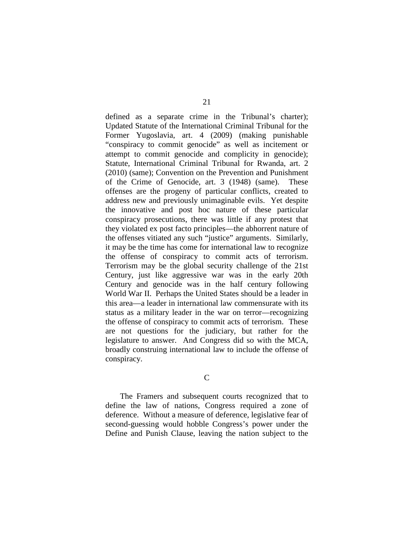defined as a separate crime in the Tribunal's charter); Updated Statute of the International Criminal Tribunal for the Former Yugoslavia, art. 4 (2009) (making punishable "conspiracy to commit genocide" as well as incitement or attempt to commit genocide and complicity in genocide); Statute, International Criminal Tribunal for Rwanda, art. 2 (2010) (same); Convention on the Prevention and Punishment of the Crime of Genocide, art. 3 (1948) (same). These offenses are the progeny of particular conflicts, created to address new and previously unimaginable evils. Yet despite the innovative and post hoc nature of these particular conspiracy prosecutions, there was little if any protest that they violated ex post facto principles—the abhorrent nature of the offenses vitiated any such "justice" arguments. Similarly, it may be the time has come for international law to recognize the offense of conspiracy to commit acts of terrorism. Terrorism may be the global security challenge of the 21st Century, just like aggressive war was in the early 20th Century and genocide was in the half century following World War II. Perhaps the United States should be a leader in this area—a leader in international law commensurate with its status as a military leader in the war on terror—recognizing the offense of conspiracy to commit acts of terrorism. These are not questions for the judiciary, but rather for the legislature to answer. And Congress did so with the MCA, broadly construing international law to include the offense of conspiracy.

C

The Framers and subsequent courts recognized that to define the law of nations, Congress required a zone of deference. Without a measure of deference, legislative fear of second-guessing would hobble Congress's power under the Define and Punish Clause, leaving the nation subject to the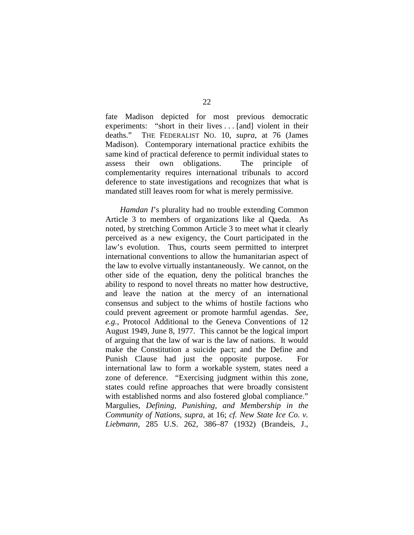fate Madison depicted for most previous democratic experiments: "short in their lives . . . [and] violent in their deaths." THE FEDERALIST NO. 10, *supra*, at 76 (James Madison). Contemporary international practice exhibits the same kind of practical deference to permit individual states to assess their own obligations. The principle of complementarity requires international tribunals to accord deference to state investigations and recognizes that what is mandated still leaves room for what is merely permissive.

*Hamdan I*'s plurality had no trouble extending Common Article 3 to members of organizations like al Qaeda. As noted, by stretching Common Article 3 to meet what it clearly perceived as a new exigency, the Court participated in the law's evolution. Thus, courts seem permitted to interpret international conventions to allow the humanitarian aspect of the law to evolve virtually instantaneously. We cannot, on the other side of the equation, deny the political branches the ability to respond to novel threats no matter how destructive, and leave the nation at the mercy of an international consensus and subject to the whims of hostile factions who could prevent agreement or promote harmful agendas. *See, e.g.*, Protocol Additional to the Geneva Conventions of 12 August 1949, June 8, 1977. This cannot be the logical import of arguing that the law of war is the law of nations. It would make the Constitution a suicide pact; and the Define and Punish Clause had just the opposite purpose. For international law to form a workable system, states need a zone of deference. "Exercising judgment within this zone, states could refine approaches that were broadly consistent with established norms and also fostered global compliance." Margulies, *Defining, Punishing, and Membership in the Community of Nations*, *supra*, at 16; *cf. New State Ice Co. v. Liebmann*, 285 U.S. 262, 386–87 (1932) (Brandeis, J.,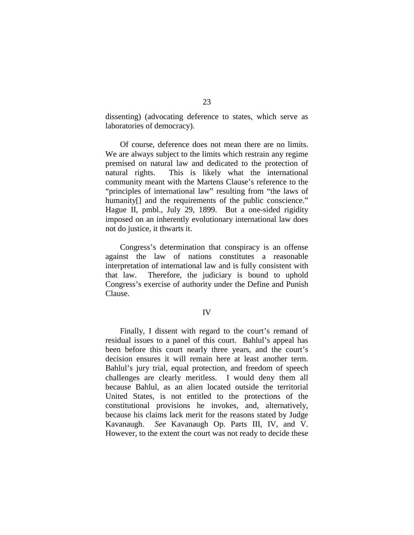dissenting) (advocating deference to states, which serve as laboratories of democracy).

Of course, deference does not mean there are no limits. We are always subject to the limits which restrain any regime premised on natural law and dedicated to the protection of natural rights. This is likely what the international community meant with the Martens Clause's reference to the "principles of international law" resulting from "the laws of humanity<sup>[]</sup> and the requirements of the public conscience." Hague II, pmbl., July 29, 1899. But a one-sided rigidity imposed on an inherently evolutionary international law does not do justice, it thwarts it.

Congress's determination that conspiracy is an offense against the law of nations constitutes a reasonable interpretation of international law and is fully consistent with that law. Therefore, the judiciary is bound to uphold Congress's exercise of authority under the Define and Punish Clause.

## IV

Finally, I dissent with regard to the court's remand of residual issues to a panel of this court. Bahlul's appeal has been before this court nearly three years, and the court's decision ensures it will remain here at least another term. Bahlul's jury trial, equal protection, and freedom of speech challenges are clearly meritless. I would deny them all because Bahlul, as an alien located outside the territorial United States, is not entitled to the protections of the constitutional provisions he invokes, and, alternatively, because his claims lack merit for the reasons stated by Judge Kavanaugh. *See* Kavanaugh Op. Parts III, IV, and V. However, to the extent the court was not ready to decide these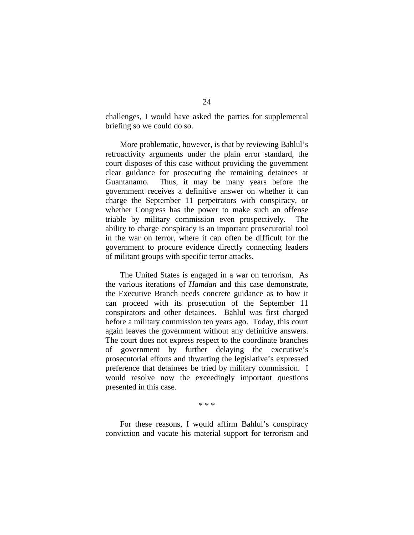challenges, I would have asked the parties for supplemental briefing so we could do so.

More problematic, however, is that by reviewing Bahlul's retroactivity arguments under the plain error standard, the court disposes of this case without providing the government clear guidance for prosecuting the remaining detainees at Guantanamo. Thus, it may be many years before the government receives a definitive answer on whether it can charge the September 11 perpetrators with conspiracy, or whether Congress has the power to make such an offense triable by military commission even prospectively. The ability to charge conspiracy is an important prosecutorial tool in the war on terror, where it can often be difficult for the government to procure evidence directly connecting leaders of militant groups with specific terror attacks.

The United States is engaged in a war on terrorism. As the various iterations of *Hamdan* and this case demonstrate, the Executive Branch needs concrete guidance as to how it can proceed with its prosecution of the September 11 conspirators and other detainees. Bahlul was first charged before a military commission ten years ago. Today, this court again leaves the government without any definitive answers. The court does not express respect to the coordinate branches of government by further delaying the executive's prosecutorial efforts and thwarting the legislative's expressed preference that detainees be tried by military commission. I would resolve now the exceedingly important questions presented in this case.

\* \* \*

For these reasons, I would affirm Bahlul's conspiracy conviction and vacate his material support for terrorism and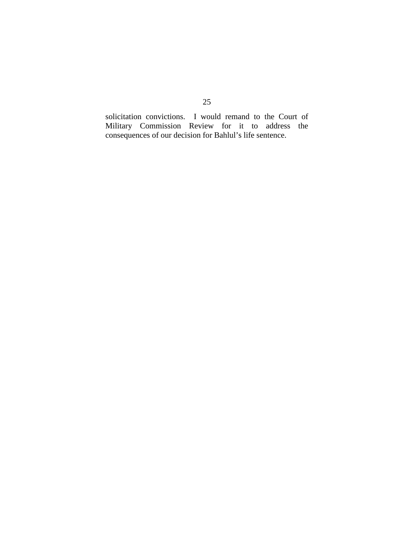solicitation convictions. I would remand to the Court of Military Commission Review for it to address the consequences of our decision for Bahlul's life sentence.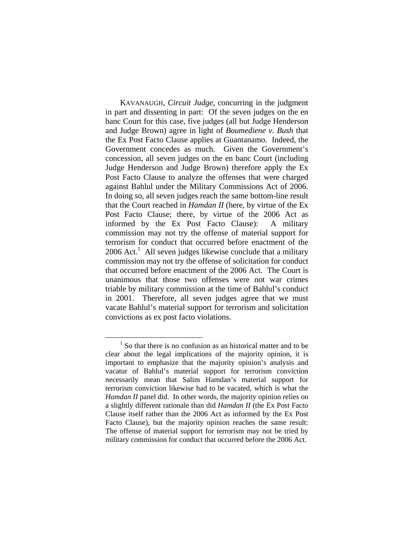KAVANAUGH, *Circuit Judge*, concurring in the judgment in part and dissenting in part: Of the seven judges on the en banc Court for this case, five judges (all but Judge Henderson and Judge Brown) agree in light of *Boumediene v. Bush* that the Ex Post Facto Clause applies at Guantanamo. Indeed, the Government concedes as much. Given the Government's concession, all seven judges on the en banc Court (including Judge Henderson and Judge Brown) therefore apply the Ex Post Facto Clause to analyze the offenses that were charged against Bahlul under the Military Commissions Act of 2006. In doing so, all seven judges reach the same bottom-line result that the Court reached in *Hamdan II* (here, by virtue of the Ex Post Facto Clause; there, by virtue of the 2006 Act as informed by the Ex Post Facto Clause): A military commission may not try the offense of material support for terrorism for conduct that occurred before enactment of the  $2006$  Act.<sup>1</sup> All seven judges likewise conclude that a military commission may not try the offense of solicitation for conduct that occurred before enactment of the 2006 Act. The Court is unanimous that those two offenses were not war crimes triable by military commission at the time of Bahlul's conduct in 2001. Therefore, all seven judges agree that we must vacate Bahlul's material support for terrorism and solicitation convictions as ex post facto violations.

 <sup>1</sup>  $<sup>1</sup>$  So that there is no confusion as an historical matter and to be</sup> clear about the legal implications of the majority opinion, it is important to emphasize that the majority opinion's analysis and vacatur of Bahlul's material support for terrorism conviction necessarily mean that Salim Hamdan's material support for terrorism conviction likewise had to be vacated, which is what the *Hamdan II* panel did. In other words, the majority opinion relies on a slightly different rationale than did *Hamdan II* (the Ex Post Facto Clause itself rather than the 2006 Act as informed by the Ex Post Facto Clause), but the majority opinion reaches the same result: The offense of material support for terrorism may not be tried by military commission for conduct that occurred before the 2006 Act.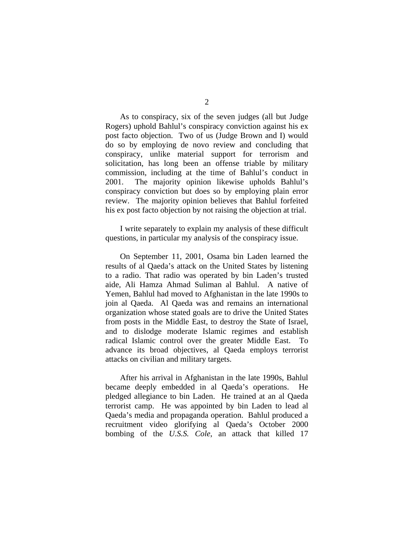As to conspiracy, six of the seven judges (all but Judge Rogers) uphold Bahlul's conspiracy conviction against his ex post facto objection. Two of us (Judge Brown and I) would do so by employing de novo review and concluding that conspiracy, unlike material support for terrorism and solicitation, has long been an offense triable by military commission, including at the time of Bahlul's conduct in 2001. The majority opinion likewise upholds Bahlul's conspiracy conviction but does so by employing plain error review. The majority opinion believes that Bahlul forfeited

 I write separately to explain my analysis of these difficult questions, in particular my analysis of the conspiracy issue.

his ex post facto objection by not raising the objection at trial.

 On September 11, 2001, Osama bin Laden learned the results of al Qaeda's attack on the United States by listening to a radio. That radio was operated by bin Laden's trusted aide, Ali Hamza Ahmad Suliman al Bahlul. A native of Yemen, Bahlul had moved to Afghanistan in the late 1990s to join al Qaeda. Al Qaeda was and remains an international organization whose stated goals are to drive the United States from posts in the Middle East, to destroy the State of Israel, and to dislodge moderate Islamic regimes and establish radical Islamic control over the greater Middle East. To advance its broad objectives, al Qaeda employs terrorist attacks on civilian and military targets.

 After his arrival in Afghanistan in the late 1990s, Bahlul became deeply embedded in al Qaeda's operations. He pledged allegiance to bin Laden. He trained at an al Qaeda terrorist camp. He was appointed by bin Laden to lead al Qaeda's media and propaganda operation. Bahlul produced a recruitment video glorifying al Qaeda's October 2000 bombing of the *U.S.S. Cole*, an attack that killed 17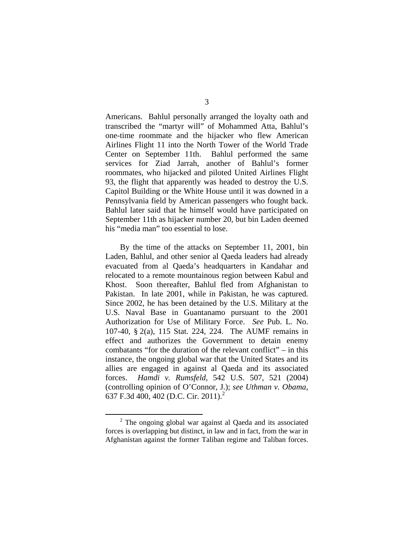Americans. Bahlul personally arranged the loyalty oath and transcribed the "martyr will" of Mohammed Atta, Bahlul's one-time roommate and the hijacker who flew American Airlines Flight 11 into the North Tower of the World Trade Center on September 11th. Bahlul performed the same services for Ziad Jarrah, another of Bahlul's former roommates, who hijacked and piloted United Airlines Flight 93, the flight that apparently was headed to destroy the U.S. Capitol Building or the White House until it was downed in a Pennsylvania field by American passengers who fought back. Bahlul later said that he himself would have participated on September 11th as hijacker number 20, but bin Laden deemed his "media man" too essential to lose.

 By the time of the attacks on September 11, 2001, bin Laden, Bahlul, and other senior al Qaeda leaders had already evacuated from al Qaeda's headquarters in Kandahar and relocated to a remote mountainous region between Kabul and Khost. Soon thereafter, Bahlul fled from Afghanistan to Pakistan. In late 2001, while in Pakistan, he was captured. Since 2002, he has been detained by the U.S. Military at the U.S. Naval Base in Guantanamo pursuant to the 2001 Authorization for Use of Military Force. *See* Pub. L. No. 107-40, § 2(a), 115 Stat. 224, 224. The AUMF remains in effect and authorizes the Government to detain enemy combatants "for the duration of the relevant conflict" – in this instance, the ongoing global war that the United States and its allies are engaged in against al Qaeda and its associated forces. *Hamdi v. Rumsfeld*, 542 U.S. 507, 521 (2004) (controlling opinion of O'Connor, J.); *see Uthman v. Obama*, 637 F.3d 400, 402 (D.C. Cir. 2011).<sup>2</sup>

 <sup>2</sup>  $2$  The ongoing global war against al Qaeda and its associated forces is overlapping but distinct, in law and in fact, from the war in Afghanistan against the former Taliban regime and Taliban forces.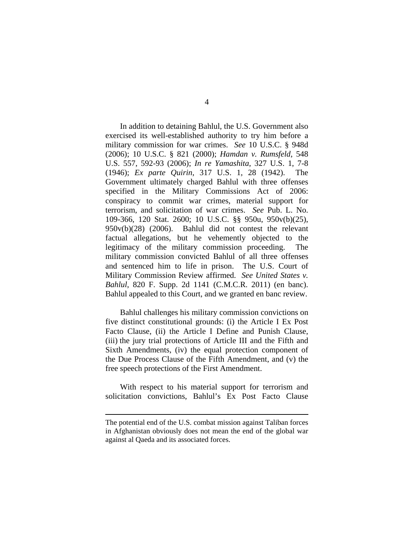In addition to detaining Bahlul, the U.S. Government also exercised its well-established authority to try him before a military commission for war crimes. *See* 10 U.S.C. § 948d (2006); 10 U.S.C. § 821 (2000); *Hamdan v. Rumsfeld*, 548 U.S. 557, 592-93 (2006); *In re Yamashita*, 327 U.S. 1, 7-8 (1946); *Ex parte Quirin*, 317 U.S. 1, 28 (1942). The Government ultimately charged Bahlul with three offenses specified in the Military Commissions Act of 2006: conspiracy to commit war crimes, material support for terrorism, and solicitation of war crimes. *See* Pub. L. No. 109-366, 120 Stat. 2600; 10 U.S.C. §§ 950u, 950v(b)(25), 950v(b)(28) (2006). Bahlul did not contest the relevant factual allegations, but he vehemently objected to the legitimacy of the military commission proceeding. The military commission convicted Bahlul of all three offenses and sentenced him to life in prison. The U.S. Court of Military Commission Review affirmed. *See United States v. Bahlul*, 820 F. Supp. 2d 1141 (C.M.C.R. 2011) (en banc). Bahlul appealed to this Court, and we granted en banc review.

Bahlul challenges his military commission convictions on five distinct constitutional grounds: (i) the Article I Ex Post Facto Clause, (ii) the Article I Define and Punish Clause, (iii) the jury trial protections of Article III and the Fifth and Sixth Amendments, (iv) the equal protection component of the Due Process Clause of the Fifth Amendment, and (v) the free speech protections of the First Amendment.

With respect to his material support for terrorism and solicitation convictions, Bahlul's Ex Post Facto Clause

 $\overline{a}$ 

The potential end of the U.S. combat mission against Taliban forces in Afghanistan obviously does not mean the end of the global war against al Qaeda and its associated forces.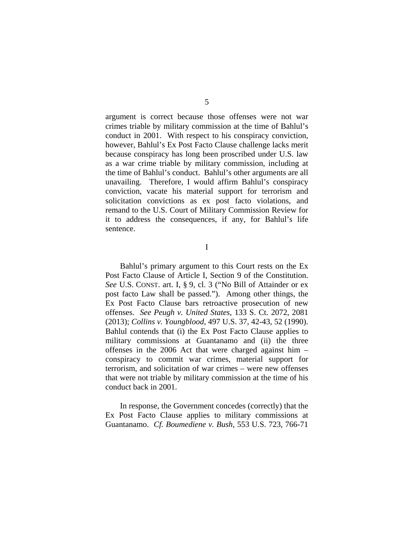argument is correct because those offenses were not war crimes triable by military commission at the time of Bahlul's conduct in 2001. With respect to his conspiracy conviction, however, Bahlul's Ex Post Facto Clause challenge lacks merit because conspiracy has long been proscribed under U.S. law as a war crime triable by military commission, including at the time of Bahlul's conduct. Bahlul's other arguments are all unavailing. Therefore, I would affirm Bahlul's conspiracy conviction, vacate his material support for terrorism and solicitation convictions as ex post facto violations, and remand to the U.S. Court of Military Commission Review for it to address the consequences, if any, for Bahlul's life sentence.

I

Bahlul's primary argument to this Court rests on the Ex Post Facto Clause of Article I, Section 9 of the Constitution. *See* U.S. CONST. art. I, § 9, cl. 3 ("No Bill of Attainder or ex post facto Law shall be passed."). Among other things, the Ex Post Facto Clause bars retroactive prosecution of new offenses. *See Peugh v. United States*, 133 S. Ct. 2072, 2081 (2013); *Collins v. Youngblood*, 497 U.S. 37, 42-43, 52 (1990). Bahlul contends that (i) the Ex Post Facto Clause applies to military commissions at Guantanamo and (ii) the three offenses in the 2006 Act that were charged against him – conspiracy to commit war crimes, material support for terrorism, and solicitation of war crimes – were new offenses that were not triable by military commission at the time of his conduct back in 2001.

In response, the Government concedes (correctly) that the Ex Post Facto Clause applies to military commissions at Guantanamo. *Cf. Boumediene v. Bush*, 553 U.S. 723, 766-71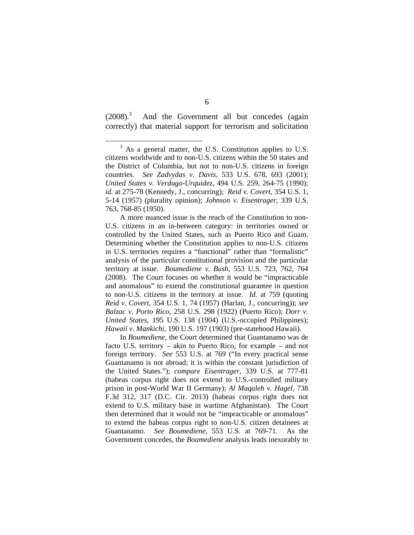$(2008)^3$  And the Government all but concedes (again correctly) that material support for terrorism and solicitation

 A more nuanced issue is the reach of the Constitution to non-U.S. citizens in an in-between category: in territories owned or controlled by the United States, such as Puerto Rico and Guam. Determining whether the Constitution applies to non-U.S. citizens in U.S. territories requires a "functional" rather than "formalistic" analysis of the particular constitutional provision and the particular territory at issue. *Boumediene v. Bush*, 553 U.S. 723, 762, 764 (2008). The Court focuses on whether it would be "impracticable and anomalous" to extend the constitutional guarantee in question to non-U.S. citizens in the territory at issue. *Id.* at 759 (quoting *Reid v. Covert*, 354 U.S. 1, 74 (1957) (Harlan, J., concurring)); *see Balzac v. Porto Rico*, 258 U.S. 298 (1922) (Puerto Rico); *Dorr v. United States*, 195 U.S. 138 (1904) (U.S.-occupied Philippines); *Hawaii v. Mankichi*, 190 U.S. 197 (1903) (pre-statehood Hawaii).

 In *Boumediene*, the Court determined that Guantanamo was de facto U.S. territory – akin to Puerto Rico, for example – and not foreign territory. *See* 553 U.S. at 769 ("In every practical sense Guantanamo is not abroad; it is within the constant jurisdiction of the United States."); *compare Eisentrager*, 339 U.S. at 777-81 (habeas corpus right does not extend to U.S.-controlled military prison in post-World War II Germany); *Al Maqaleh v. Hagel*, 738 F.3d 312, 317 (D.C. Cir. 2013) (habeas corpus right does not extend to U.S. military base in wartime Afghanistan). The Court then determined that it would not be "impracticable or anomalous" to extend the habeas corpus right to non-U.S. citizen detainees at Guantanamo. *See Boumediene*, 553 U.S. at 769-71. As the Government concedes, the *Boumediene* analysis leads inexorably to

 $\frac{1}{3}$  $3\,$  As a general matter, the U.S. Constitution applies to U.S. citizens worldwide and to non-U.S. citizens within the 50 states and the District of Columbia, but not to non-U.S. citizens in foreign countries. *See Zadvydas v. Davis*, 533 U.S. 678, 693 (2001); *United States v. Verdugo-Urquidez*, 494 U.S. 259, 264-75 (1990); *id.* at 275-78 (Kennedy, J., concurring); *Reid v. Covert*, 354 U.S. 1, 5-14 (1957) (plurality opinion); *Johnson v. Eisentrager*, 339 U.S. 763, 768-85 (1950).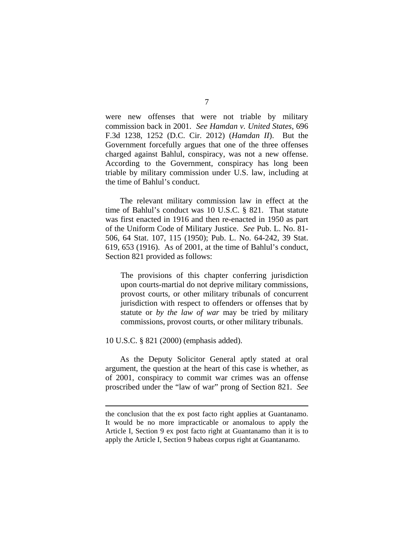were new offenses that were not triable by military commission back in 2001. *See Hamdan v. United States*, 696 F.3d 1238, 1252 (D.C. Cir. 2012) (*Hamdan II*). But the Government forcefully argues that one of the three offenses charged against Bahlul, conspiracy, was not a new offense. According to the Government, conspiracy has long been triable by military commission under U.S. law, including at the time of Bahlul's conduct.

The relevant military commission law in effect at the time of Bahlul's conduct was 10 U.S.C. § 821. That statute was first enacted in 1916 and then re-enacted in 1950 as part of the Uniform Code of Military Justice. *See* Pub. L. No. 81- 506, 64 Stat. 107, 115 (1950); Pub. L. No. 64-242, 39 Stat. 619, 653 (1916). As of 2001, at the time of Bahlul's conduct, Section 821 provided as follows:

The provisions of this chapter conferring jurisdiction upon courts-martial do not deprive military commissions, provost courts, or other military tribunals of concurrent jurisdiction with respect to offenders or offenses that by statute or *by the law of war* may be tried by military commissions, provost courts, or other military tribunals.

10 U.S.C. § 821 (2000) (emphasis added).

 $\overline{a}$ 

 As the Deputy Solicitor General aptly stated at oral argument, the question at the heart of this case is whether, as of 2001, conspiracy to commit war crimes was an offense proscribed under the "law of war" prong of Section 821. *See*

the conclusion that the ex post facto right applies at Guantanamo. It would be no more impracticable or anomalous to apply the Article I, Section 9 ex post facto right at Guantanamo than it is to apply the Article I, Section 9 habeas corpus right at Guantanamo.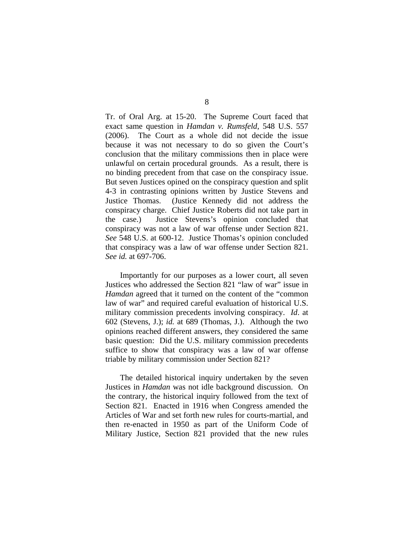Tr. of Oral Arg. at 15-20. The Supreme Court faced that exact same question in *Hamdan v. Rumsfeld*, 548 U.S. 557 (2006). The Court as a whole did not decide the issue because it was not necessary to do so given the Court's conclusion that the military commissions then in place were unlawful on certain procedural grounds. As a result, there is no binding precedent from that case on the conspiracy issue. But seven Justices opined on the conspiracy question and split 4-3 in contrasting opinions written by Justice Stevens and Justice Thomas. (Justice Kennedy did not address the conspiracy charge. Chief Justice Roberts did not take part in the case.) Justice Stevens's opinion concluded that conspiracy was not a law of war offense under Section 821. *See* 548 U.S. at 600-12. Justice Thomas's opinion concluded that conspiracy was a law of war offense under Section 821. *See id.* at 697-706.

 Importantly for our purposes as a lower court, all seven Justices who addressed the Section 821 "law of war" issue in *Hamdan* agreed that it turned on the content of the "common law of war" and required careful evaluation of historical U.S. military commission precedents involving conspiracy. *Id*. at 602 (Stevens, J.); *id.* at 689 (Thomas, J.). Although the two opinions reached different answers, they considered the same basic question: Did the U.S. military commission precedents suffice to show that conspiracy was a law of war offense triable by military commission under Section 821?

 The detailed historical inquiry undertaken by the seven Justices in *Hamdan* was not idle background discussion. On the contrary, the historical inquiry followed from the text of Section 821. Enacted in 1916 when Congress amended the Articles of War and set forth new rules for courts-martial, and then re-enacted in 1950 as part of the Uniform Code of Military Justice, Section 821 provided that the new rules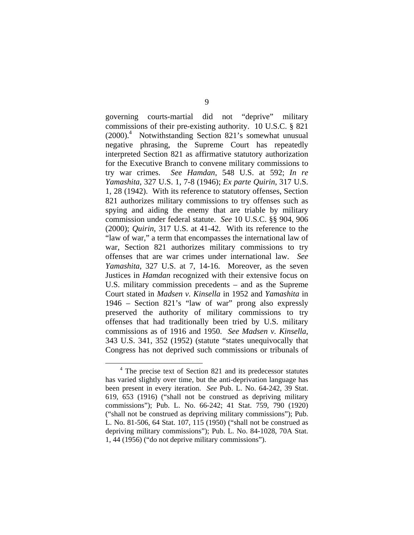governing courts-martial did not "deprive" military commissions of their pre-existing authority. 10 U.S.C. § 821 (2000).4 Notwithstanding Section 821's somewhat unusual negative phrasing, the Supreme Court has repeatedly interpreted Section 821 as affirmative statutory authorization for the Executive Branch to convene military commissions to try war crimes. *See Hamdan*, 548 U.S. at 592; *In re Yamashita*, 327 U.S. 1, 7-8 (1946); *Ex parte Quirin*, 317 U.S. 1, 28 (1942). With its reference to statutory offenses, Section 821 authorizes military commissions to try offenses such as spying and aiding the enemy that are triable by military commission under federal statute. *See* 10 U.S.C. §§ 904, 906 (2000); *Quirin*, 317 U.S. at 41-42. With its reference to the "law of war," a term that encompasses the international law of war, Section 821 authorizes military commissions to try offenses that are war crimes under international law. *See Yamashita*, 327 U.S. at 7, 14-16. Moreover, as the seven Justices in *Hamdan* recognized with their extensive focus on U.S. military commission precedents – and as the Supreme Court stated in *Madsen v. Kinsella* in 1952 and *Yamashita* in 1946 – Section 821's "law of war" prong also expressly preserved the authority of military commissions to try offenses that had traditionally been tried by U.S. military commissions as of 1916 and 1950. *See Madsen v. Kinsella*, 343 U.S. 341, 352 (1952) (statute "states unequivocally that Congress has not deprived such commissions or tribunals of

 <sup>4</sup>  $4$  The precise text of Section 821 and its predecessor statutes has varied slightly over time, but the anti-deprivation language has been present in every iteration. *See* Pub. L. No. 64-242, 39 Stat. 619, 653 (1916) ("shall not be construed as depriving military commissions"); Pub. L. No. 66-242; 41 Stat. 759, 790 (1920) ("shall not be construed as depriving military commissions"); Pub. L. No. 81-506, 64 Stat. 107, 115 (1950) ("shall not be construed as depriving military commissions"); Pub. L. No. 84-1028, 70A Stat. 1, 44 (1956) ("do not deprive military commissions").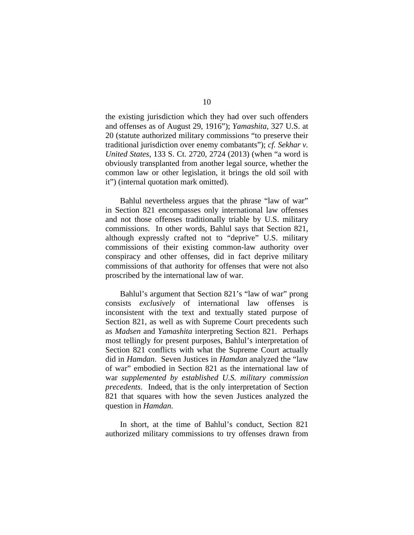the existing jurisdiction which they had over such offenders and offenses as of August 29, 1916"); *Yamashita*, 327 U.S. at 20 (statute authorized military commissions "to preserve their traditional jurisdiction over enemy combatants"); *cf. Sekhar v. United States*, 133 S. Ct. 2720, 2724 (2013) (when "a word is obviously transplanted from another legal source, whether the common law or other legislation, it brings the old soil with it") (internal quotation mark omitted).

 Bahlul nevertheless argues that the phrase "law of war" in Section 821 encompasses only international law offenses and not those offenses traditionally triable by U.S. military commissions. In other words, Bahlul says that Section 821, although expressly crafted not to "deprive" U.S. military commissions of their existing common-law authority over conspiracy and other offenses, did in fact deprive military commissions of that authority for offenses that were not also proscribed by the international law of war.

 Bahlul's argument that Section 821's "law of war" prong consists *exclusively* of international law offenses is inconsistent with the text and textually stated purpose of Section 821, as well as with Supreme Court precedents such as *Madsen* and *Yamashita* interpreting Section 821. Perhaps most tellingly for present purposes, Bahlul's interpretation of Section 821 conflicts with what the Supreme Court actually did in *Hamdan*. Seven Justices in *Hamdan* analyzed the "law of war" embodied in Section 821 as the international law of war *supplemented by established U.S. military commission precedents*. Indeed, that is the only interpretation of Section 821 that squares with how the seven Justices analyzed the question in *Hamdan*.

 In short, at the time of Bahlul's conduct, Section 821 authorized military commissions to try offenses drawn from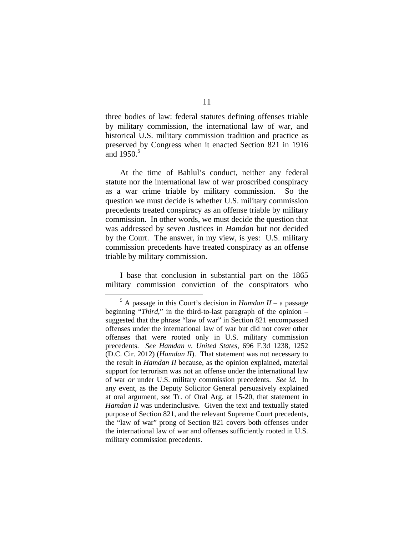three bodies of law: federal statutes defining offenses triable by military commission, the international law of war, and historical U.S. military commission tradition and practice as preserved by Congress when it enacted Section 821 in 1916 and  $1950^5$ 

 At the time of Bahlul's conduct, neither any federal statute nor the international law of war proscribed conspiracy as a war crime triable by military commission. So the question we must decide is whether U.S. military commission precedents treated conspiracy as an offense triable by military commission. In other words, we must decide the question that was addressed by seven Justices in *Hamdan* but not decided by the Court. The answer, in my view, is yes: U.S. military commission precedents have treated conspiracy as an offense triable by military commission.

I base that conclusion in substantial part on the 1865 military commission conviction of the conspirators who

 $rac{1}{5}$  $<sup>5</sup>$  A passage in this Court's decision in *Hamdan II* – a passage</sup> beginning "*Third*," in the third-to-last paragraph of the opinion – suggested that the phrase "law of war" in Section 821 encompassed offenses under the international law of war but did not cover other offenses that were rooted only in U.S. military commission precedents. *See Hamdan v. United States*, 696 F.3d 1238, 1252 (D.C. Cir. 2012) (*Hamdan II*). That statement was not necessary to the result in *Hamdan II* because, as the opinion explained, material support for terrorism was not an offense under the international law of war *or* under U.S. military commission precedents. *See id.* In any event, as the Deputy Solicitor General persuasively explained at oral argument, *see* Tr. of Oral Arg. at 15-20, that statement in *Hamdan II* was underinclusive. Given the text and textually stated purpose of Section 821, and the relevant Supreme Court precedents, the "law of war" prong of Section 821 covers both offenses under the international law of war and offenses sufficiently rooted in U.S. military commission precedents.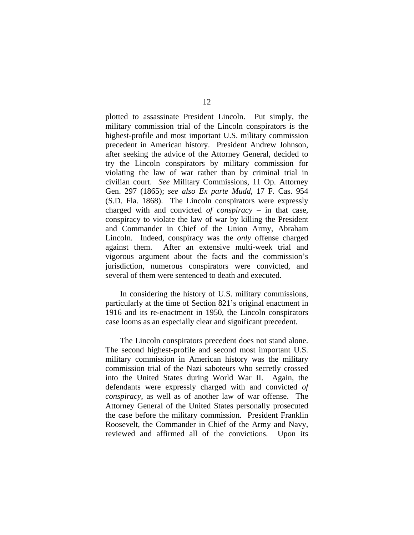plotted to assassinate President Lincoln. Put simply, the military commission trial of the Lincoln conspirators is the highest-profile and most important U.S. military commission precedent in American history. President Andrew Johnson, after seeking the advice of the Attorney General, decided to try the Lincoln conspirators by military commission for violating the law of war rather than by criminal trial in civilian court. *See* Military Commissions, 11 Op. Attorney Gen. 297 (1865); *see also Ex parte Mudd*, 17 F. Cas. 954 (S.D. Fla. 1868). The Lincoln conspirators were expressly charged with and convicted *of conspiracy* – in that case, conspiracy to violate the law of war by killing the President and Commander in Chief of the Union Army, Abraham Lincoln. Indeed, conspiracy was the *only* offense charged against them. After an extensive multi-week trial and vigorous argument about the facts and the commission's jurisdiction, numerous conspirators were convicted, and several of them were sentenced to death and executed.

In considering the history of U.S. military commissions, particularly at the time of Section 821's original enactment in 1916 and its re-enactment in 1950, the Lincoln conspirators case looms as an especially clear and significant precedent.

 The Lincoln conspirators precedent does not stand alone. The second highest-profile and second most important U.S. military commission in American history was the military commission trial of the Nazi saboteurs who secretly crossed into the United States during World War II. Again, the defendants were expressly charged with and convicted *of conspiracy*, as well as of another law of war offense. The Attorney General of the United States personally prosecuted the case before the military commission. President Franklin Roosevelt, the Commander in Chief of the Army and Navy, reviewed and affirmed all of the convictions. Upon its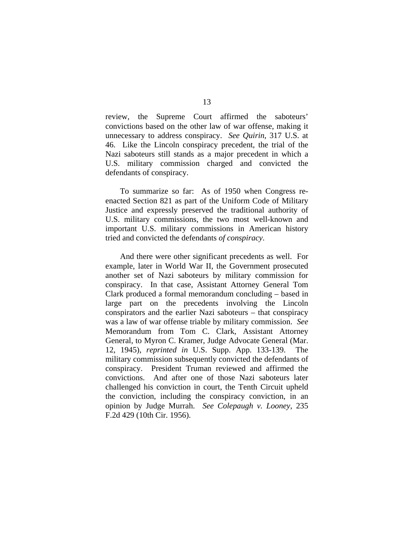review, the Supreme Court affirmed the saboteurs' convictions based on the other law of war offense, making it unnecessary to address conspiracy. *See Quirin*, 317 U.S. at 46. Like the Lincoln conspiracy precedent, the trial of the Nazi saboteurs still stands as a major precedent in which a U.S. military commission charged and convicted the defendants of conspiracy.

 To summarize so far: As of 1950 when Congress reenacted Section 821 as part of the Uniform Code of Military Justice and expressly preserved the traditional authority of U.S. military commissions, the two most well-known and important U.S. military commissions in American history tried and convicted the defendants *of conspiracy*.

 And there were other significant precedents as well. For example, later in World War II, the Government prosecuted another set of Nazi saboteurs by military commission for conspiracy. In that case, Assistant Attorney General Tom Clark produced a formal memorandum concluding – based in large part on the precedents involving the Lincoln conspirators and the earlier Nazi saboteurs – that conspiracy was a law of war offense triable by military commission. *See* Memorandum from Tom C. Clark, Assistant Attorney General, to Myron C. Kramer, Judge Advocate General (Mar. 12, 1945), *reprinted in* U.S. Supp. App. 133-139. The military commission subsequently convicted the defendants of conspiracy. President Truman reviewed and affirmed the convictions. And after one of those Nazi saboteurs later challenged his conviction in court, the Tenth Circuit upheld the conviction, including the conspiracy conviction, in an opinion by Judge Murrah. *See Colepaugh v. Looney*, 235 F.2d 429 (10th Cir. 1956).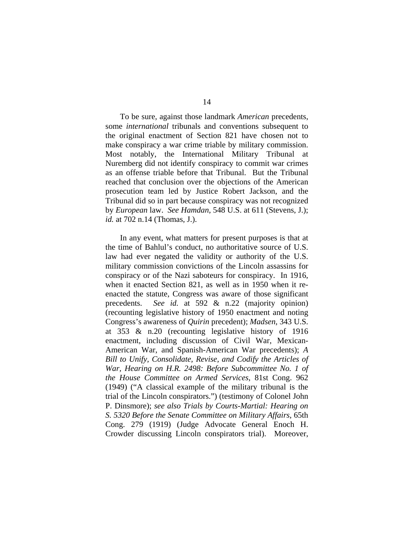To be sure, against those landmark *American* precedents, some *international* tribunals and conventions subsequent to the original enactment of Section 821 have chosen not to make conspiracy a war crime triable by military commission. Most notably, the International Military Tribunal at Nuremberg did not identify conspiracy to commit war crimes as an offense triable before that Tribunal. But the Tribunal reached that conclusion over the objections of the American prosecution team led by Justice Robert Jackson, and the Tribunal did so in part because conspiracy was not recognized by *European* law. *See Hamdan*, 548 U.S. at 611 (Stevens, J.); *id.* at 702 n.14 (Thomas, J.).

 In any event, what matters for present purposes is that at the time of Bahlul's conduct, no authoritative source of U.S. law had ever negated the validity or authority of the U.S. military commission convictions of the Lincoln assassins for conspiracy or of the Nazi saboteurs for conspiracy. In 1916, when it enacted Section 821, as well as in 1950 when it reenacted the statute, Congress was aware of those significant precedents. *See id.* at 592 & n.22 (majority opinion) (recounting legislative history of 1950 enactment and noting Congress's awareness of *Quirin* precedent); *Madsen*, 343 U.S. at 353 & n.20 (recounting legislative history of 1916 enactment, including discussion of Civil War, Mexican-American War, and Spanish-American War precedents); *A Bill to Unify, Consolidate, Revise, and Codify the Articles of War, Hearing on H.R. 2498: Before Subcommittee No. 1 of the House Committee on Armed Services*, 81st Cong. 962 (1949) ("A classical example of the military tribunal is the trial of the Lincoln conspirators.") (testimony of Colonel John P. Dinsmore); *see also Trials by Courts-Martial: Hearing on S. 5320 Before the Senate Committee on Military Affairs*, 65th Cong. 279 (1919) (Judge Advocate General Enoch H. Crowder discussing Lincoln conspirators trial). Moreover,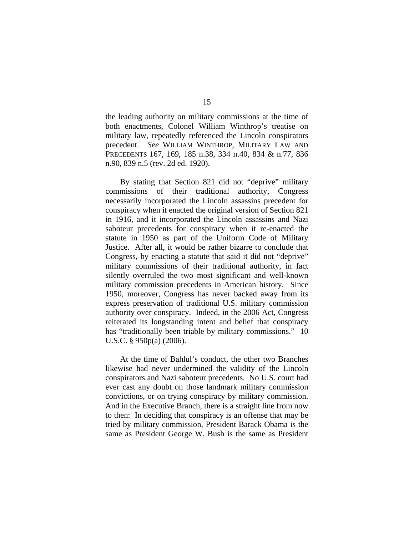the leading authority on military commissions at the time of both enactments, Colonel William Winthrop's treatise on military law, repeatedly referenced the Lincoln conspirators precedent. *See* WILLIAM WINTHROP, MILITARY LAW AND PRECEDENTS 167, 169, 185 n.38, 334 n.40, 834 & n.77, 836 n.90, 839 n.5 (rev. 2d ed. 1920).

 By stating that Section 821 did not "deprive" military commissions of their traditional authority, Congress necessarily incorporated the Lincoln assassins precedent for conspiracy when it enacted the original version of Section 821 in 1916, and it incorporated the Lincoln assassins and Nazi saboteur precedents for conspiracy when it re-enacted the statute in 1950 as part of the Uniform Code of Military Justice. After all, it would be rather bizarre to conclude that Congress, by enacting a statute that said it did not "deprive" military commissions of their traditional authority, in fact silently overruled the two most significant and well-known military commission precedents in American history. Since 1950, moreover, Congress has never backed away from its express preservation of traditional U.S. military commission authority over conspiracy. Indeed, in the 2006 Act, Congress reiterated its longstanding intent and belief that conspiracy has "traditionally been triable by military commissions." 10 U.S.C. § 950p(a) (2006).

 At the time of Bahlul's conduct, the other two Branches likewise had never undermined the validity of the Lincoln conspirators and Nazi saboteur precedents. No U.S. court had ever cast any doubt on those landmark military commission convictions, or on trying conspiracy by military commission. And in the Executive Branch, there is a straight line from now to then: In deciding that conspiracy is an offense that may be tried by military commission, President Barack Obama is the same as President George W. Bush is the same as President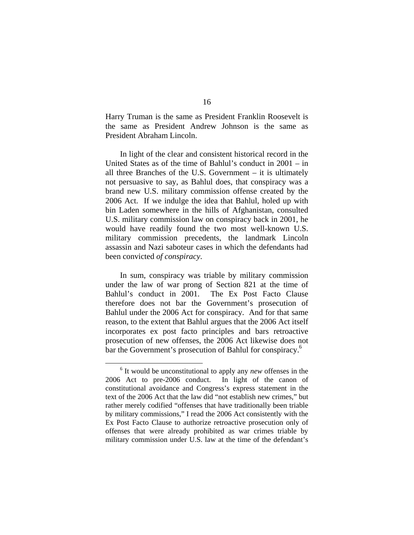Harry Truman is the same as President Franklin Roosevelt is the same as President Andrew Johnson is the same as President Abraham Lincoln.

 In light of the clear and consistent historical record in the United States as of the time of Bahlul's conduct in 2001 – in all three Branches of the U.S. Government – it is ultimately not persuasive to say, as Bahlul does, that conspiracy was a brand new U.S. military commission offense created by the 2006 Act. If we indulge the idea that Bahlul, holed up with bin Laden somewhere in the hills of Afghanistan, consulted U.S. military commission law on conspiracy back in 2001, he would have readily found the two most well-known U.S. military commission precedents, the landmark Lincoln assassin and Nazi saboteur cases in which the defendants had been convicted *of conspiracy*.

In sum, conspiracy was triable by military commission under the law of war prong of Section 821 at the time of Bahlul's conduct in 2001. The Ex Post Facto Clause therefore does not bar the Government's prosecution of Bahlul under the 2006 Act for conspiracy. And for that same reason, to the extent that Bahlul argues that the 2006 Act itself incorporates ex post facto principles and bars retroactive prosecution of new offenses, the 2006 Act likewise does not bar the Government's prosecution of Bahlul for conspiracy.<sup>6</sup>

 $\frac{1}{6}$ <sup>6</sup> It would be unconstitutional to apply any *new* offenses in the 2006 Act to pre-2006 conduct. In light of the canon of constitutional avoidance and Congress's express statement in the text of the 2006 Act that the law did "not establish new crimes," but rather merely codified "offenses that have traditionally been triable by military commissions," I read the 2006 Act consistently with the Ex Post Facto Clause to authorize retroactive prosecution only of offenses that were already prohibited as war crimes triable by military commission under U.S. law at the time of the defendant's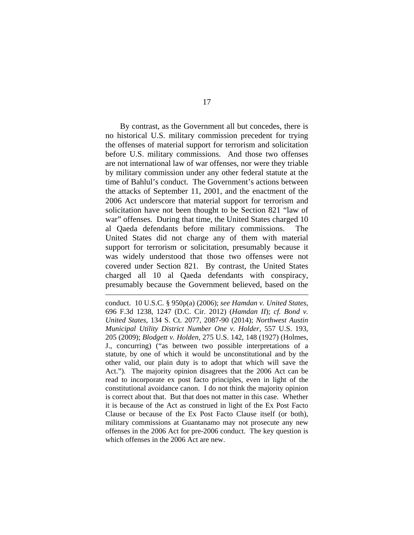By contrast, as the Government all but concedes, there is no historical U.S. military commission precedent for trying the offenses of material support for terrorism and solicitation before U.S. military commissions. And those two offenses are not international law of war offenses, nor were they triable by military commission under any other federal statute at the time of Bahlul's conduct. The Government's actions between the attacks of September 11, 2001, and the enactment of the 2006 Act underscore that material support for terrorism and solicitation have not been thought to be Section 821 "law of war" offenses. During that time, the United States charged 10 al Qaeda defendants before military commissions. The United States did not charge any of them with material support for terrorism or solicitation, presumably because it was widely understood that those two offenses were not covered under Section 821. By contrast, the United States charged all 10 al Qaeda defendants with conspiracy, presumably because the Government believed, based on the

conduct. 10 U.S.C. § 950p(a) (2006); *see Hamdan v. United States*, 696 F.3d 1238, 1247 (D.C. Cir. 2012) (*Hamdan II*); *cf. Bond v. United States*, 134 S. Ct. 2077, 2087-90 (2014); *Northwest Austin Municipal Utility District Number One v. Holder*, 557 U.S. 193, 205 (2009); *Blodgett v. Holden*, 275 U.S. 142, 148 (1927) (Holmes, J., concurring) ("as between two possible interpretations of a statute, by one of which it would be unconstitutional and by the other valid, our plain duty is to adopt that which will save the Act."). The majority opinion disagrees that the 2006 Act can be read to incorporate ex post facto principles, even in light of the constitutional avoidance canon. I do not think the majority opinion is correct about that. But that does not matter in this case. Whether it is because of the Act as construed in light of the Ex Post Facto Clause or because of the Ex Post Facto Clause itself (or both), military commissions at Guantanamo may not prosecute any new offenses in the 2006 Act for pre-2006 conduct. The key question is which offenses in the 2006 Act are new.

 $\overline{a}$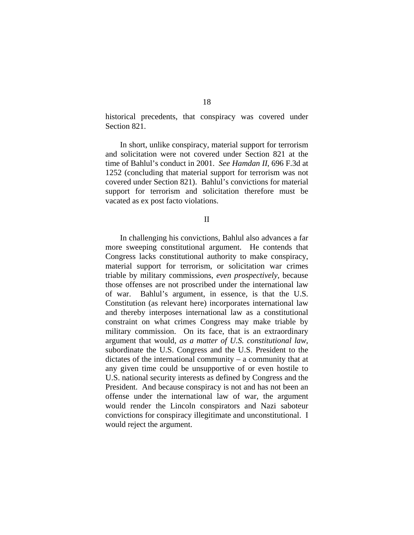historical precedents, that conspiracy was covered under Section 821.

In short, unlike conspiracy, material support for terrorism and solicitation were not covered under Section 821 at the time of Bahlul's conduct in 2001. *See Hamdan II*, 696 F.3d at 1252 (concluding that material support for terrorism was not covered under Section 821). Bahlul's convictions for material support for terrorism and solicitation therefore must be vacated as ex post facto violations.

II

 In challenging his convictions, Bahlul also advances a far more sweeping constitutional argument. He contends that Congress lacks constitutional authority to make conspiracy, material support for terrorism, or solicitation war crimes triable by military commissions, *even prospectively*, because those offenses are not proscribed under the international law of war. Bahlul's argument, in essence, is that the U.S. Constitution (as relevant here) incorporates international law and thereby interposes international law as a constitutional constraint on what crimes Congress may make triable by military commission. On its face, that is an extraordinary argument that would, *as a matter of U.S. constitutional law*, subordinate the U.S. Congress and the U.S. President to the dictates of the international community – a community that at any given time could be unsupportive of or even hostile to U.S. national security interests as defined by Congress and the President. And because conspiracy is not and has not been an offense under the international law of war, the argument would render the Lincoln conspirators and Nazi saboteur convictions for conspiracy illegitimate and unconstitutional. I would reject the argument.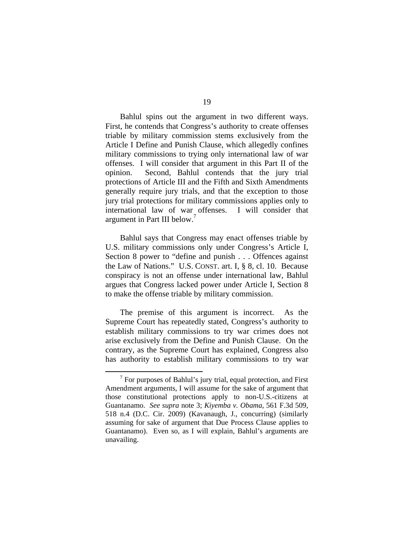Bahlul spins out the argument in two different ways. First, he contends that Congress's authority to create offenses triable by military commission stems exclusively from the Article I Define and Punish Clause, which allegedly confines military commissions to trying only international law of war offenses. I will consider that argument in this Part II of the opinion. Second, Bahlul contends that the jury trial protections of Article III and the Fifth and Sixth Amendments generally require jury trials, and that the exception to those jury trial protections for military commissions applies only to international law of war offenses. I will consider that argument in Part III below.<sup>7</sup>

 Bahlul says that Congress may enact offenses triable by U.S. military commissions only under Congress's Article I, Section 8 power to "define and punish . . . Offences against the Law of Nations." U.S. CONST. art. I, § 8, cl. 10. Because conspiracy is not an offense under international law, Bahlul argues that Congress lacked power under Article I, Section 8 to make the offense triable by military commission.

 The premise of this argument is incorrect. As the Supreme Court has repeatedly stated, Congress's authority to establish military commissions to try war crimes does not arise exclusively from the Define and Punish Clause. On the contrary, as the Supreme Court has explained, Congress also has authority to establish military commissions to try war

 <sup>7</sup>  $\frac{7}{7}$  For purposes of Bahlul's jury trial, equal protection, and First Amendment arguments, I will assume for the sake of argument that those constitutional protections apply to non-U.S.-citizens at Guantanamo. *See supra* note 3; *Kiyemba v. Obama*, 561 F.3d 509, 518 n.4 (D.C. Cir. 2009) (Kavanaugh, J., concurring) (similarly assuming for sake of argument that Due Process Clause applies to Guantanamo). Even so, as I will explain, Bahlul's arguments are unavailing.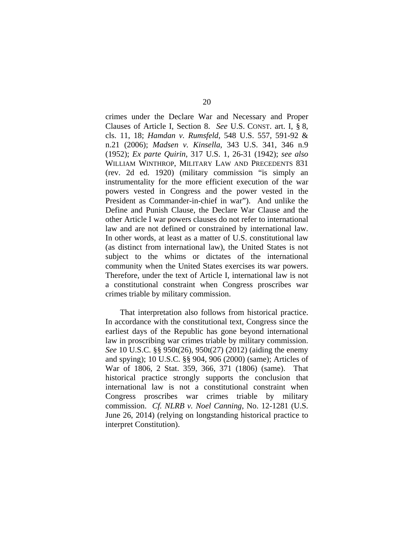crimes under the Declare War and Necessary and Proper Clauses of Article I, Section 8. *See* U.S. CONST. art. I, § 8, cls. 11, 18; *Hamdan v. Rumsfeld*, 548 U.S. 557, 591-92 & n.21 (2006); *Madsen v. Kinsella*, 343 U.S. 341, 346 n.9 (1952); *Ex parte Quirin*, 317 U.S. 1, 26-31 (1942); *see also* WILLIAM WINTHROP, MILITARY LAW AND PRECEDENTS 831 (rev. 2d ed. 1920) (military commission "is simply an instrumentality for the more efficient execution of the war powers vested in Congress and the power vested in the President as Commander-in-chief in war"). And unlike the Define and Punish Clause, the Declare War Clause and the other Article I war powers clauses do not refer to international law and are not defined or constrained by international law. In other words, at least as a matter of U.S. constitutional law (as distinct from international law), the United States is not subject to the whims or dictates of the international community when the United States exercises its war powers. Therefore, under the text of Article I, international law is not a constitutional constraint when Congress proscribes war crimes triable by military commission.

That interpretation also follows from historical practice. In accordance with the constitutional text, Congress since the earliest days of the Republic has gone beyond international law in proscribing war crimes triable by military commission. *See* 10 U.S.C. §§ 950t(26), 950t(27) (2012) (aiding the enemy and spying); 10 U.S.C. §§ 904, 906 (2000) (same); Articles of War of 1806, 2 Stat. 359, 366, 371 (1806) (same). That historical practice strongly supports the conclusion that international law is not a constitutional constraint when Congress proscribes war crimes triable by military commission. *Cf. NLRB v. Noel Canning*, No. 12-1281 (U.S. June 26, 2014) (relying on longstanding historical practice to interpret Constitution).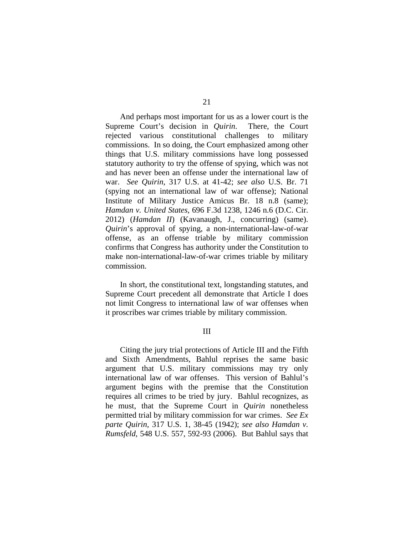And perhaps most important for us as a lower court is the Supreme Court's decision in *Quirin*. There, the Court rejected various constitutional challenges to military commissions. In so doing, the Court emphasized among other things that U.S. military commissions have long possessed statutory authority to try the offense of spying, which was not and has never been an offense under the international law of war. *See Quirin*, 317 U.S. at 41-42; *see also* U.S. Br. 71 (spying not an international law of war offense); National Institute of Military Justice Amicus Br. 18 n.8 (same); *Hamdan v. United States*, 696 F.3d 1238, 1246 n.6 (D.C. Cir. 2012) (*Hamdan II*) (Kavanaugh, J., concurring) (same). *Quirin*'s approval of spying, a non-international-law-of-war offense, as an offense triable by military commission confirms that Congress has authority under the Constitution to make non-international-law-of-war crimes triable by military commission.

In short, the constitutional text, longstanding statutes, and Supreme Court precedent all demonstrate that Article I does not limit Congress to international law of war offenses when it proscribes war crimes triable by military commission.

## III

 Citing the jury trial protections of Article III and the Fifth and Sixth Amendments, Bahlul reprises the same basic argument that U.S. military commissions may try only international law of war offenses. This version of Bahlul's argument begins with the premise that the Constitution requires all crimes to be tried by jury. Bahlul recognizes, as he must, that the Supreme Court in *Quirin* nonetheless permitted trial by military commission for war crimes. *See Ex parte Quirin*, 317 U.S. 1, 38-45 (1942); *see also Hamdan v. Rumsfeld*, 548 U.S. 557, 592-93 (2006). But Bahlul says that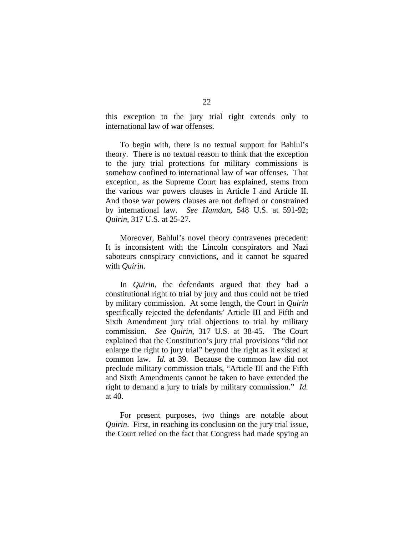this exception to the jury trial right extends only to international law of war offenses.

 To begin with, there is no textual support for Bahlul's theory. There is no textual reason to think that the exception to the jury trial protections for military commissions is somehow confined to international law of war offenses. That exception, as the Supreme Court has explained, stems from the various war powers clauses in Article I and Article II. And those war powers clauses are not defined or constrained by international law. *See Hamdan*, 548 U.S. at 591-92; *Quirin*, 317 U.S. at 25-27.

 Moreover, Bahlul's novel theory contravenes precedent: It is inconsistent with the Lincoln conspirators and Nazi saboteurs conspiracy convictions, and it cannot be squared with *Quirin*.

 In *Quirin*, the defendants argued that they had a constitutional right to trial by jury and thus could not be tried by military commission. At some length, the Court in *Quirin* specifically rejected the defendants' Article III and Fifth and Sixth Amendment jury trial objections to trial by military commission. *See Quirin*, 317 U.S. at 38-45. The Court explained that the Constitution's jury trial provisions "did not enlarge the right to jury trial" beyond the right as it existed at common law. *Id.* at 39. Because the common law did not preclude military commission trials, "Article III and the Fifth and Sixth Amendments cannot be taken to have extended the right to demand a jury to trials by military commission." *Id.* at 40.

For present purposes, two things are notable about *Quirin*. First, in reaching its conclusion on the jury trial issue, the Court relied on the fact that Congress had made spying an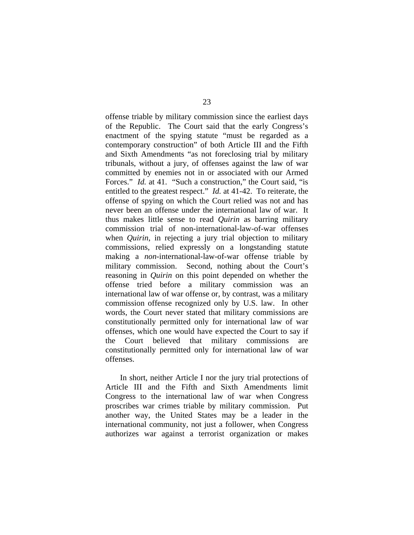offense triable by military commission since the earliest days of the Republic. The Court said that the early Congress's enactment of the spying statute "must be regarded as a contemporary construction" of both Article III and the Fifth and Sixth Amendments "as not foreclosing trial by military tribunals, without a jury, of offenses against the law of war committed by enemies not in or associated with our Armed Forces." *Id.* at 41. "Such a construction," the Court said, "is entitled to the greatest respect." *Id.* at 41-42. To reiterate, the offense of spying on which the Court relied was not and has never been an offense under the international law of war. It thus makes little sense to read *Quirin* as barring military commission trial of non-international-law-of-war offenses when *Quirin*, in rejecting a jury trial objection to military commissions, relied expressly on a longstanding statute making a *non*-international-law-of-war offense triable by military commission. Second, nothing about the Court's reasoning in *Quirin* on this point depended on whether the offense tried before a military commission was an international law of war offense or, by contrast, was a military commission offense recognized only by U.S. law. In other words, the Court never stated that military commissions are constitutionally permitted only for international law of war offenses, which one would have expected the Court to say if the Court believed that military commissions are constitutionally permitted only for international law of war offenses.

 In short, neither Article I nor the jury trial protections of Article III and the Fifth and Sixth Amendments limit Congress to the international law of war when Congress proscribes war crimes triable by military commission. Put another way, the United States may be a leader in the international community, not just a follower, when Congress authorizes war against a terrorist organization or makes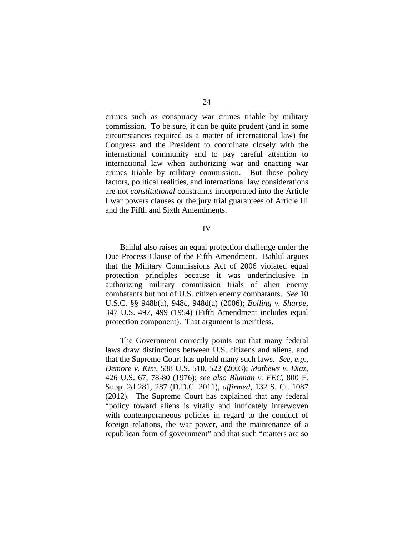crimes such as conspiracy war crimes triable by military commission. To be sure, it can be quite prudent (and in some circumstances required as a matter of international law) for Congress and the President to coordinate closely with the international community and to pay careful attention to international law when authorizing war and enacting war crimes triable by military commission. But those policy factors, political realities, and international law considerations are not *constitutional* constraints incorporated into the Article I war powers clauses or the jury trial guarantees of Article III and the Fifth and Sixth Amendments.

## IV

 Bahlul also raises an equal protection challenge under the Due Process Clause of the Fifth Amendment. Bahlul argues that the Military Commissions Act of 2006 violated equal protection principles because it was underinclusive in authorizing military commission trials of alien enemy combatants but not of U.S. citizen enemy combatants. *See* 10 U.S.C. §§ 948b(a), 948c, 948d(a) (2006); *Bolling v. Sharpe*, 347 U.S. 497, 499 (1954) (Fifth Amendment includes equal protection component). That argument is meritless.

 The Government correctly points out that many federal laws draw distinctions between U.S. citizens and aliens, and that the Supreme Court has upheld many such laws. *See, e.g.*, *Demore v. Kim*, 538 U.S. 510, 522 (2003); *Mathews v. Diaz*, 426 U.S. 67, 78-80 (1976); *see also Bluman v. FEC*, 800 F. Supp. 2d 281, 287 (D.D.C. 2011), *affirmed*, 132 S. Ct. 1087 (2012). The Supreme Court has explained that any federal "policy toward aliens is vitally and intricately interwoven with contemporaneous policies in regard to the conduct of foreign relations, the war power, and the maintenance of a republican form of government" and that such "matters are so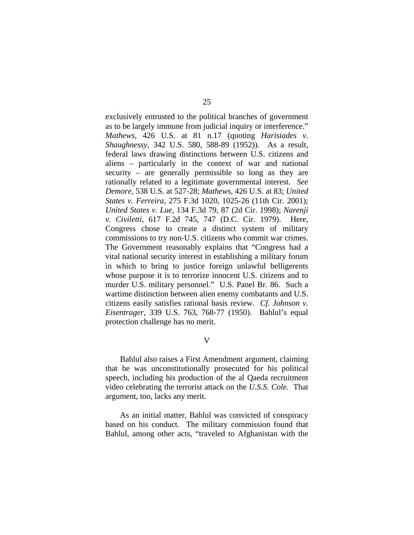exclusively entrusted to the political branches of government as to be largely immune from judicial inquiry or interference." *Mathews*, 426 U.S. at 81 n.17 (quoting *Harisiades v. Shaughnessy*, 342 U.S. 580, 588-89 (1952)). As a result, federal laws drawing distinctions between U.S. citizens and aliens – particularly in the context of war and national security – are generally permissible so long as they are rationally related to a legitimate governmental interest. *See Demore*, 538 U.S. at 527-28; *Mathews*, 426 U.S. at 83; *United States v. Ferreira*, 275 F.3d 1020, 1025-26 (11th Cir. 2001); *United States v. Lue*, 134 F.3d 79, 87 (2d Cir. 1998); *Narenji v. Civiletti*, 617 F.2d 745, 747 (D.C. Cir. 1979). Here, Congress chose to create a distinct system of military commissions to try non-U.S. citizens who commit war crimes. The Government reasonably explains that "Congress had a vital national security interest in establishing a military forum in which to bring to justice foreign unlawful belligerents whose purpose it is to terrorize innocent U.S. citizens and to murder U.S. military personnel." U.S. Panel Br. 86. Such a wartime distinction between alien enemy combatants and U.S. citizens easily satisfies rational basis review. *Cf. Johnson v. Eisentrager*, 339 U.S. 763, 768-77 (1950). Bahlul's equal protection challenge has no merit.

V

Bahlul also raises a First Amendment argument, claiming that he was unconstitutionally prosecuted for his political speech, including his production of the al Qaeda recruitment video celebrating the terrorist attack on the *U.S.S. Cole*. That argument, too, lacks any merit.

As an initial matter, Bahlul was convicted of conspiracy based on his conduct. The military commission found that Bahlul, among other acts, "traveled to Afghanistan with the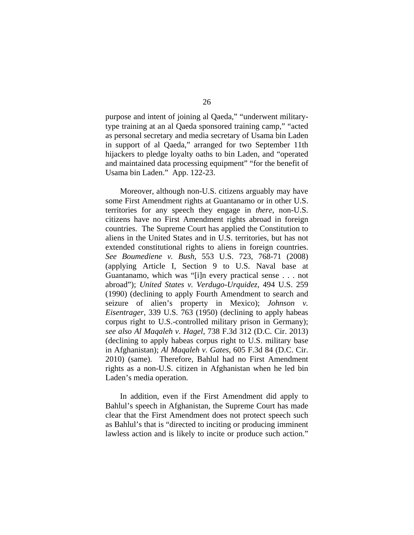purpose and intent of joining al Qaeda," "underwent militarytype training at an al Qaeda sponsored training camp," "acted as personal secretary and media secretary of Usama bin Laden in support of al Qaeda," arranged for two September 11th hijackers to pledge loyalty oaths to bin Laden, and "operated and maintained data processing equipment" "for the benefit of Usama bin Laden." App. 122-23.

Moreover, although non-U.S. citizens arguably may have some First Amendment rights at Guantanamo or in other U.S. territories for any speech they engage in *there*, non-U.S. citizens have no First Amendment rights abroad in foreign countries. The Supreme Court has applied the Constitution to aliens in the United States and in U.S. territories, but has not extended constitutional rights to aliens in foreign countries. *See Boumediene v. Bush*, 553 U.S. 723, 768-71 (2008) (applying Article I, Section 9 to U.S. Naval base at Guantanamo, which was "[i]n every practical sense . . . not abroad"); *United States v. Verdugo-Urquidez*, 494 U.S. 259 (1990) (declining to apply Fourth Amendment to search and seizure of alien's property in Mexico); *Johnson v. Eisentrager*, 339 U.S. 763 (1950) (declining to apply habeas corpus right to U.S.-controlled military prison in Germany); *see also Al Maqaleh v. Hagel*, 738 F.3d 312 (D.C. Cir. 2013) (declining to apply habeas corpus right to U.S. military base in Afghanistan); *Al Maqaleh v. Gates*, 605 F.3d 84 (D.C. Cir. 2010) (same). Therefore, Bahlul had no First Amendment rights as a non-U.S. citizen in Afghanistan when he led bin Laden's media operation.

 In addition, even if the First Amendment did apply to Bahlul's speech in Afghanistan, the Supreme Court has made clear that the First Amendment does not protect speech such as Bahlul's that is "directed to inciting or producing imminent lawless action and is likely to incite or produce such action."

26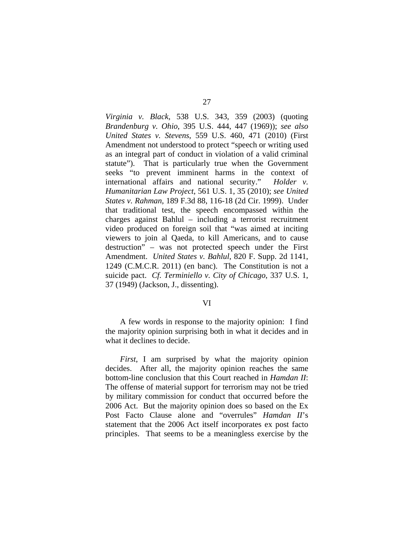*Virginia v. Black*, 538 U.S. 343, 359 (2003) (quoting *Brandenburg v. Ohio*, 395 U.S. 444, 447 (1969)); *see also United States v. Stevens*, 559 U.S. 460, 471 (2010) (First Amendment not understood to protect "speech or writing used as an integral part of conduct in violation of a valid criminal statute"). That is particularly true when the Government seeks "to prevent imminent harms in the context of international affairs and national security." *Holder v. Humanitarian Law Project*, 561 U.S. 1, 35 (2010); *see United States v. Rahman*, 189 F.3d 88, 116-18 (2d Cir. 1999). Under that traditional test, the speech encompassed within the charges against Bahlul – including a terrorist recruitment video produced on foreign soil that "was aimed at inciting viewers to join al Qaeda, to kill Americans, and to cause destruction" – was not protected speech under the First Amendment. *United States v. Bahlul*, 820 F. Supp. 2d 1141, 1249 (C.M.C.R. 2011) (en banc). The Constitution is not a suicide pact. *Cf. Terminiello v. City of Chicago*, 337 U.S. 1, 37 (1949) (Jackson, J., dissenting).

## VI

 A few words in response to the majority opinion: I find the majority opinion surprising both in what it decides and in what it declines to decide.

 *First*, I am surprised by what the majority opinion decides. After all, the majority opinion reaches the same bottom-line conclusion that this Court reached in *Hamdan II*: The offense of material support for terrorism may not be tried by military commission for conduct that occurred before the 2006 Act. But the majority opinion does so based on the Ex Post Facto Clause alone and "overrules" *Hamdan II*'s statement that the 2006 Act itself incorporates ex post facto principles. That seems to be a meaningless exercise by the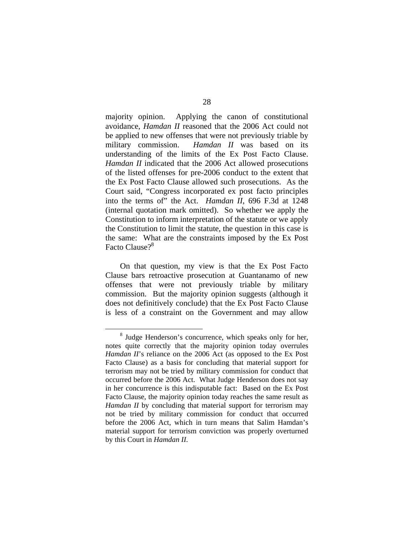majority opinion. Applying the canon of constitutional avoidance, *Hamdan II* reasoned that the 2006 Act could not be applied to new offenses that were not previously triable by military commission. *Hamdan II* was based on its understanding of the limits of the Ex Post Facto Clause. *Hamdan II* indicated that the 2006 Act allowed prosecutions of the listed offenses for pre-2006 conduct to the extent that the Ex Post Facto Clause allowed such prosecutions. As the Court said, "Congress incorporated ex post facto principles into the terms of" the Act. *Hamdan II*, 696 F.3d at 1248 (internal quotation mark omitted). So whether we apply the Constitution to inform interpretation of the statute or we apply the Constitution to limit the statute, the question in this case is the same: What are the constraints imposed by the Ex Post Facto Clause?<sup>8</sup>

On that question, my view is that the Ex Post Facto Clause bars retroactive prosecution at Guantanamo of new offenses that were not previously triable by military commission. But the majority opinion suggests (although it does not definitively conclude) that the Ex Post Facto Clause is less of a constraint on the Government and may allow

 <sup>8</sup> <sup>8</sup> Judge Henderson's concurrence, which speaks only for her, notes quite correctly that the majority opinion today overrules *Hamdan II*'s reliance on the 2006 Act (as opposed to the Ex Post Facto Clause) as a basis for concluding that material support for terrorism may not be tried by military commission for conduct that occurred before the 2006 Act. What Judge Henderson does not say in her concurrence is this indisputable fact: Based on the Ex Post Facto Clause, the majority opinion today reaches the same result as *Hamdan II* by concluding that material support for terrorism may not be tried by military commission for conduct that occurred before the 2006 Act, which in turn means that Salim Hamdan's material support for terrorism conviction was properly overturned by this Court in *Hamdan II*.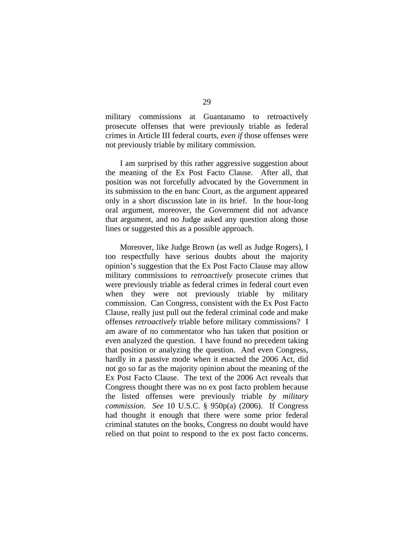military commissions at Guantanamo to retroactively prosecute offenses that were previously triable as federal crimes in Article III federal courts, *even if* those offenses were not previously triable by military commission.

I am surprised by this rather aggressive suggestion about the meaning of the Ex Post Facto Clause. After all, that position was not forcefully advocated by the Government in its submission to the en banc Court, as the argument appeared only in a short discussion late in its brief. In the hour-long oral argument, moreover, the Government did not advance that argument, and no Judge asked any question along those lines or suggested this as a possible approach.

Moreover, like Judge Brown (as well as Judge Rogers), I too respectfully have serious doubts about the majority opinion's suggestion that the Ex Post Facto Clause may allow military commissions to *retroactively* prosecute crimes that were previously triable as federal crimes in federal court even when they were not previously triable by military commission. Can Congress, consistent with the Ex Post Facto Clause, really just pull out the federal criminal code and make offenses *retroactively* triable before military commissions? I am aware of no commentator who has taken that position or even analyzed the question. I have found no precedent taking that position or analyzing the question. And even Congress, hardly in a passive mode when it enacted the 2006 Act, did not go so far as the majority opinion about the meaning of the Ex Post Facto Clause. The text of the 2006 Act reveals that Congress thought there was no ex post facto problem because the listed offenses were previously triable *by military commission*. *See* 10 U.S.C. § 950p(a) (2006). If Congress had thought it enough that there were some prior federal criminal statutes on the books, Congress no doubt would have relied on that point to respond to the ex post facto concerns.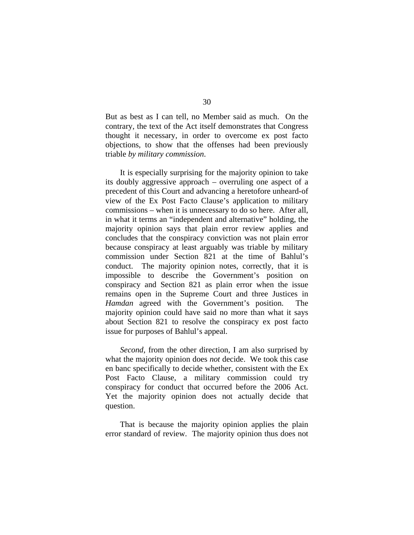But as best as I can tell, no Member said as much. On the contrary, the text of the Act itself demonstrates that Congress thought it necessary, in order to overcome ex post facto objections, to show that the offenses had been previously triable *by military commission*.

It is especially surprising for the majority opinion to take its doubly aggressive approach – overruling one aspect of a precedent of this Court and advancing a heretofore unheard-of view of the Ex Post Facto Clause's application to military commissions – when it is unnecessary to do so here. After all, in what it terms an "independent and alternative" holding, the majority opinion says that plain error review applies and concludes that the conspiracy conviction was not plain error because conspiracy at least arguably was triable by military commission under Section 821 at the time of Bahlul's conduct. The majority opinion notes, correctly, that it is impossible to describe the Government's position on conspiracy and Section 821 as plain error when the issue remains open in the Supreme Court and three Justices in *Hamdan* agreed with the Government's position. The majority opinion could have said no more than what it says about Section 821 to resolve the conspiracy ex post facto issue for purposes of Bahlul's appeal.

*Second*, from the other direction, I am also surprised by what the majority opinion does *not* decide. We took this case en banc specifically to decide whether, consistent with the Ex Post Facto Clause, a military commission could try conspiracy for conduct that occurred before the 2006 Act. Yet the majority opinion does not actually decide that question.

That is because the majority opinion applies the plain error standard of review. The majority opinion thus does not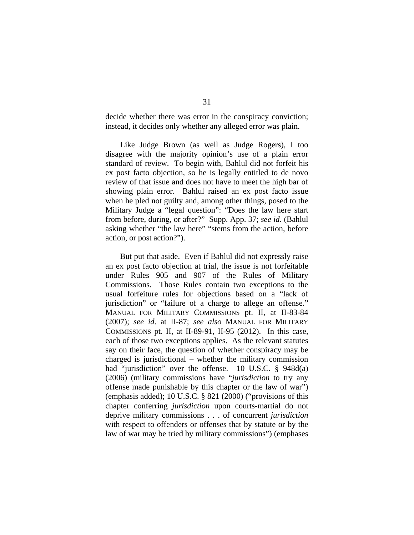decide whether there was error in the conspiracy conviction; instead, it decides only whether any alleged error was plain.

 Like Judge Brown (as well as Judge Rogers), I too disagree with the majority opinion's use of a plain error standard of review. To begin with, Bahlul did not forfeit his ex post facto objection, so he is legally entitled to de novo review of that issue and does not have to meet the high bar of showing plain error. Bahlul raised an ex post facto issue when he pled not guilty and, among other things, posed to the Military Judge a "legal question": "Does the law here start from before, during, or after?" Supp. App. 37; *see id.* (Bahlul asking whether "the law here" "stems from the action, before action, or post action?").

 But put that aside. Even if Bahlul did not expressly raise an ex post facto objection at trial, the issue is not forfeitable under Rules 905 and 907 of the Rules of Military Commissions. Those Rules contain two exceptions to the usual forfeiture rules for objections based on a "lack of jurisdiction" or "failure of a charge to allege an offense." MANUAL FOR MILITARY COMMISSIONS pt. II, at II-83-84 (2007); *see id*. at II-87; *see also* MANUAL FOR MILITARY COMMISSIONS pt. II, at II-89-91, II-95 (2012). In this case, each of those two exceptions applies. As the relevant statutes say on their face, the question of whether conspiracy may be charged is jurisdictional – whether the military commission had "jurisdiction" over the offense. 10 U.S.C. § 948d(a) (2006) (military commissions have "*jurisdiction* to try any offense made punishable by this chapter or the law of war") (emphasis added); 10 U.S.C. § 821 (2000) ("provisions of this chapter conferring *jurisdiction* upon courts-martial do not deprive military commissions . . . of concurrent *jurisdiction* with respect to offenders or offenses that by statute or by the law of war may be tried by military commissions") (emphases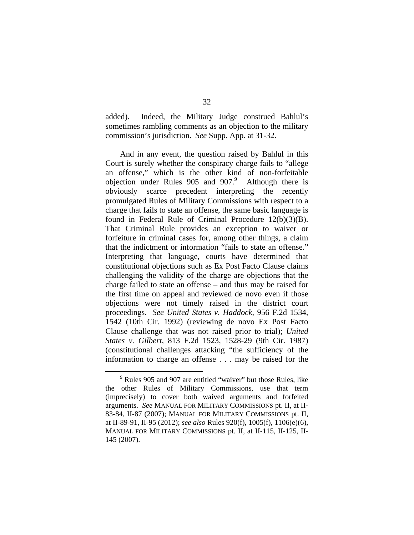added). Indeed, the Military Judge construed Bahlul's sometimes rambling comments as an objection to the military commission's jurisdiction. *See* Supp. App. at 31-32.

 And in any event, the question raised by Bahlul in this Court is surely whether the conspiracy charge fails to "allege an offense," which is the other kind of non-forfeitable objection under Rules  $905$  and  $907$ .<sup>9</sup> Although there is obviously scarce precedent interpreting the recently promulgated Rules of Military Commissions with respect to a charge that fails to state an offense, the same basic language is found in Federal Rule of Criminal Procedure 12(b)(3)(B). That Criminal Rule provides an exception to waiver or forfeiture in criminal cases for, among other things, a claim that the indictment or information "fails to state an offense." Interpreting that language, courts have determined that constitutional objections such as Ex Post Facto Clause claims challenging the validity of the charge are objections that the charge failed to state an offense – and thus may be raised for the first time on appeal and reviewed de novo even if those objections were not timely raised in the district court proceedings. *See United States v. Haddock*, 956 F.2d 1534, 1542 (10th Cir. 1992) (reviewing de novo Ex Post Facto Clause challenge that was not raised prior to trial); *United States v. Gilbert*, 813 F.2d 1523, 1528-29 (9th Cir. 1987) (constitutional challenges attacking "the sufficiency of the information to charge an offense . . . may be raised for the

 $\frac{1}{9}$  $9$  Rules 905 and 907 are entitled "waiver" but those Rules, like the other Rules of Military Commissions, use that term (imprecisely) to cover both waived arguments and forfeited arguments. *See* MANUAL FOR MILITARY COMMISSIONS pt. II, at II-83-84, II-87 (2007); MANUAL FOR MILITARY COMMISSIONS pt. II, at II-89-91, II-95 (2012); *see also* Rules 920(f), 1005(f), 1106(e)(6), MANUAL FOR MILITARY COMMISSIONS pt. II, at II-115, II-125, II-145 (2007).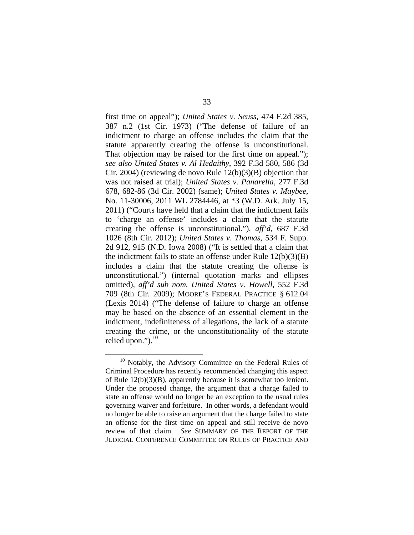first time on appeal"); *United States v. Seuss*, 474 F.2d 385, 387 n.2 (1st Cir. 1973) ("The defense of failure of an indictment to charge an offense includes the claim that the statute apparently creating the offense is unconstitutional. That objection may be raised for the first time on appeal."); *see also United States v. Al Hedaithy*, 392 F.3d 580, 586 (3d Cir. 2004) (reviewing de novo Rule 12(b)(3)(B) objection that was not raised at trial); *United States v. Panarella*, 277 F.3d 678, 682-86 (3d Cir. 2002) (same); *United States v. Maybee*, No. 11-30006, 2011 WL 2784446, at \*3 (W.D. Ark. July 15, 2011) ("Courts have held that a claim that the indictment fails to 'charge an offense' includes a claim that the statute creating the offense is unconstitutional."), *aff'd*, 687 F.3d 1026 (8th Cir. 2012); *United States v. Thomas*, 534 F. Supp. 2d 912, 915 (N.D. Iowa 2008) ("It is settled that a claim that the indictment fails to state an offense under Rule 12(b)(3)(B) includes a claim that the statute creating the offense is unconstitutional.") (internal quotation marks and ellipses omitted), *aff'd sub nom. United States v. Howell*, 552 F.3d 709 (8th Cir. 2009); MOORE'S FEDERAL PRACTICE § 612.04 (Lexis 2014) ("The defense of failure to charge an offense may be based on the absence of an essential element in the indictment, indefiniteness of allegations, the lack of a statute creating the crime, or the unconstitutionality of the statute relied upon." $)$ .<sup>10</sup>

<sup>&</sup>lt;sup>10</sup> Notably, the Advisory Committee on the Federal Rules of Criminal Procedure has recently recommended changing this aspect of Rule 12(b)(3)(B), apparently because it is somewhat too lenient. Under the proposed change, the argument that a charge failed to state an offense would no longer be an exception to the usual rules governing waiver and forfeiture. In other words, a defendant would no longer be able to raise an argument that the charge failed to state an offense for the first time on appeal and still receive de novo review of that claim. *See* SUMMARY OF THE REPORT OF THE JUDICIAL CONFERENCE COMMITTEE ON RULES OF PRACTICE AND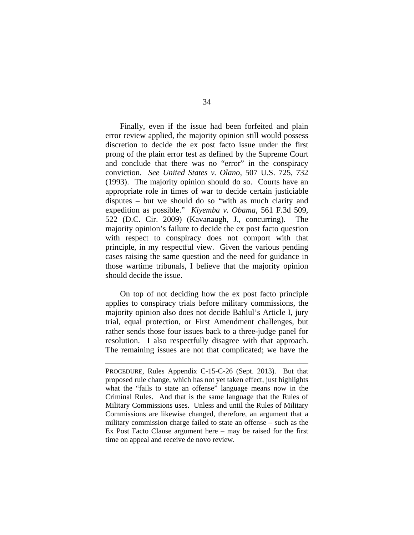Finally, even if the issue had been forfeited and plain error review applied, the majority opinion still would possess discretion to decide the ex post facto issue under the first prong of the plain error test as defined by the Supreme Court and conclude that there was no "error" in the conspiracy conviction. *See United States v. Olano*, 507 U.S. 725, 732 (1993). The majority opinion should do so. Courts have an appropriate role in times of war to decide certain justiciable disputes – but we should do so "with as much clarity and expedition as possible." *Kiyemba v. Obama*, 561 F.3d 509, 522 (D.C. Cir. 2009) (Kavanaugh, J., concurring). The majority opinion's failure to decide the ex post facto question with respect to conspiracy does not comport with that principle, in my respectful view. Given the various pending cases raising the same question and the need for guidance in those wartime tribunals, I believe that the majority opinion should decide the issue.

 On top of not deciding how the ex post facto principle applies to conspiracy trials before military commissions, the majority opinion also does not decide Bahlul's Article I, jury trial, equal protection, or First Amendment challenges, but rather sends those four issues back to a three-judge panel for resolution. I also respectfully disagree with that approach. The remaining issues are not that complicated; we have the

 $\overline{a}$ 

PROCEDURE, Rules Appendix C-15-C-26 (Sept. 2013). But that proposed rule change, which has not yet taken effect, just highlights what the "fails to state an offense" language means now in the Criminal Rules. And that is the same language that the Rules of Military Commissions uses. Unless and until the Rules of Military Commissions are likewise changed, therefore, an argument that a military commission charge failed to state an offense – such as the Ex Post Facto Clause argument here – may be raised for the first time on appeal and receive de novo review.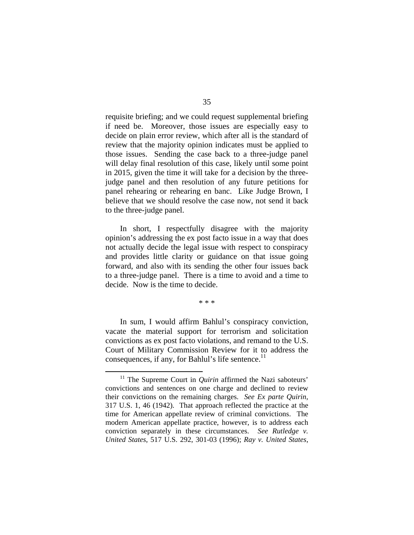requisite briefing; and we could request supplemental briefing if need be. Moreover, those issues are especially easy to decide on plain error review, which after all is the standard of review that the majority opinion indicates must be applied to those issues. Sending the case back to a three-judge panel will delay final resolution of this case, likely until some point in 2015, given the time it will take for a decision by the threejudge panel and then resolution of any future petitions for panel rehearing or rehearing en banc. Like Judge Brown, I believe that we should resolve the case now, not send it back to the three-judge panel.

 In short, I respectfully disagree with the majority opinion's addressing the ex post facto issue in a way that does not actually decide the legal issue with respect to conspiracy and provides little clarity or guidance on that issue going forward, and also with its sending the other four issues back to a three-judge panel. There is a time to avoid and a time to decide. Now is the time to decide.

\* \* \*

In sum, I would affirm Bahlul's conspiracy conviction, vacate the material support for terrorism and solicitation convictions as ex post facto violations, and remand to the U.S. Court of Military Commission Review for it to address the consequences, if any, for Bahlul's life sentence. $<sup>11</sup>$ </sup>

<sup>&</sup>lt;sup>11</sup> The Supreme Court in *Quirin* affirmed the Nazi saboteurs' convictions and sentences on one charge and declined to review their convictions on the remaining charges. *See Ex parte Quirin*, 317 U.S. 1, 46 (1942). That approach reflected the practice at the time for American appellate review of criminal convictions. The modern American appellate practice, however, is to address each conviction separately in these circumstances. *See Rutledge v. United States*, 517 U.S. 292, 301-03 (1996); *Ray v. United States*,